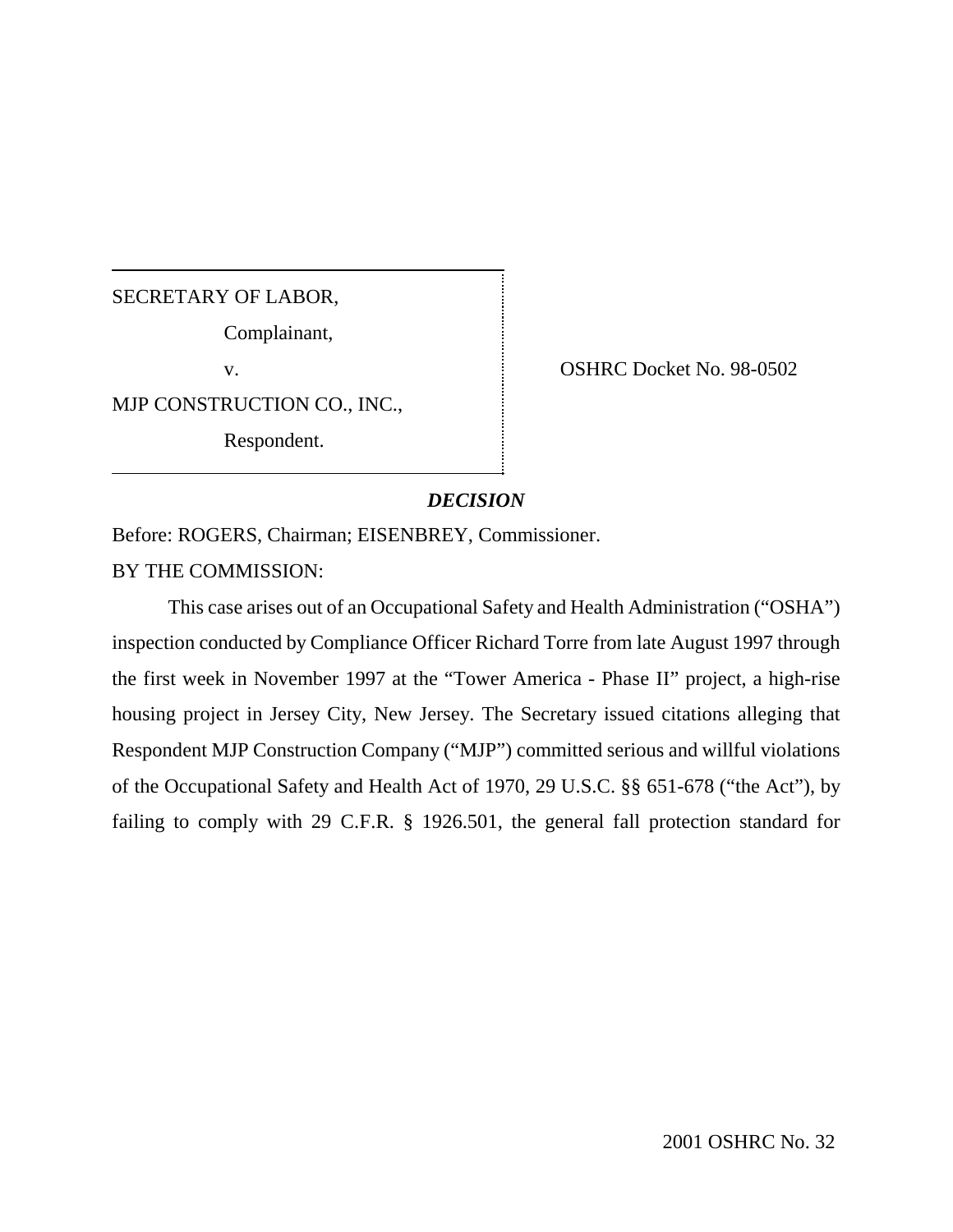# SECRETARY OF LABOR,

Complainant,

MJP CONSTRUCTION CO., INC.,

Respondent.

v. Same School State Contract No. 98-0502

# *DECISION*

Before: ROGERS, Chairman; EISENBREY, Commissioner.

BY THE COMMISSION:

This case arises out of an Occupational Safety and Health Administration ("OSHA") inspection conducted by Compliance Officer Richard Torre from late August 1997 through the first week in November 1997 at the "Tower America - Phase II" project, a high-rise housing project in Jersey City, New Jersey. The Secretary issued citations alleging that Respondent MJP Construction Company ("MJP") committed serious and willful violations of the Occupational Safety and Health Act of 1970, 29 U.S.C. §§ 651-678 ("the Act"), by failing to comply with 29 C.F.R. § 1926.501, the general fall protection standard for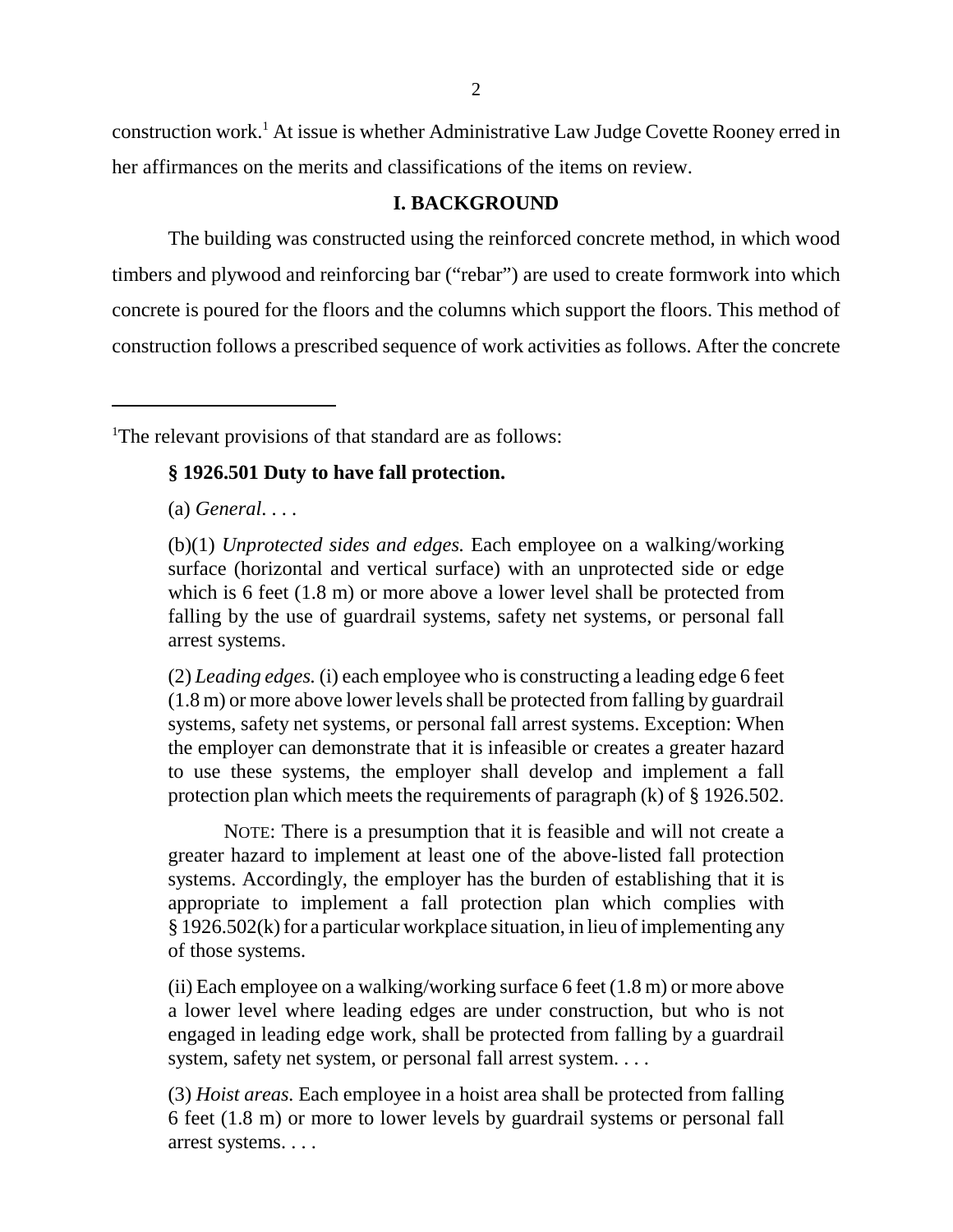construction work.<sup>1</sup> At issue is whether Administrative Law Judge Covette Rooney erred in her affirmances on the merits and classifications of the items on review.

# **I. BACKGROUND**

The building was constructed using the reinforced concrete method, in which wood timbers and plywood and reinforcing bar ("rebar") are used to create formwork into which concrete is poured for the floors and the columns which support the floors. This method of construction follows a prescribed sequence of work activities as follows. After the concrete

<sup>1</sup>The relevant provisions of that standard are as follows:

# **§ 1926.501 Duty to have fall protection.**

(a) *General*. . . .

(b)(1) *Unprotected sides and edges.* Each employee on a walking/working surface (horizontal and vertical surface) with an unprotected side or edge which is 6 feet (1.8 m) or more above a lower level shall be protected from falling by the use of guardrail systems, safety net systems, or personal fall arrest systems.

(2) *Leading edges.* (i) each employee who is constructing a leading edge 6 feet (1.8 m) or more above lower levels shall be protected from falling by guardrail systems, safety net systems, or personal fall arrest systems. Exception: When the employer can demonstrate that it is infeasible or creates a greater hazard to use these systems, the employer shall develop and implement a fall protection plan which meets the requirements of paragraph (k) of § 1926.502.

NOTE: There is a presumption that it is feasible and will not create a greater hazard to implement at least one of the above-listed fall protection systems. Accordingly, the employer has the burden of establishing that it is appropriate to implement a fall protection plan which complies with § 1926.502(k) for a particular workplace situation, in lieu of implementing any of those systems.

(ii) Each employee on a walking/working surface 6 feet (1.8 m) or more above a lower level where leading edges are under construction, but who is not engaged in leading edge work, shall be protected from falling by a guardrail system, safety net system, or personal fall arrest system. . . .

(3) *Hoist areas.* Each employee in a hoist area shall be protected from falling 6 feet (1.8 m) or more to lower levels by guardrail systems or personal fall arrest systems. . . .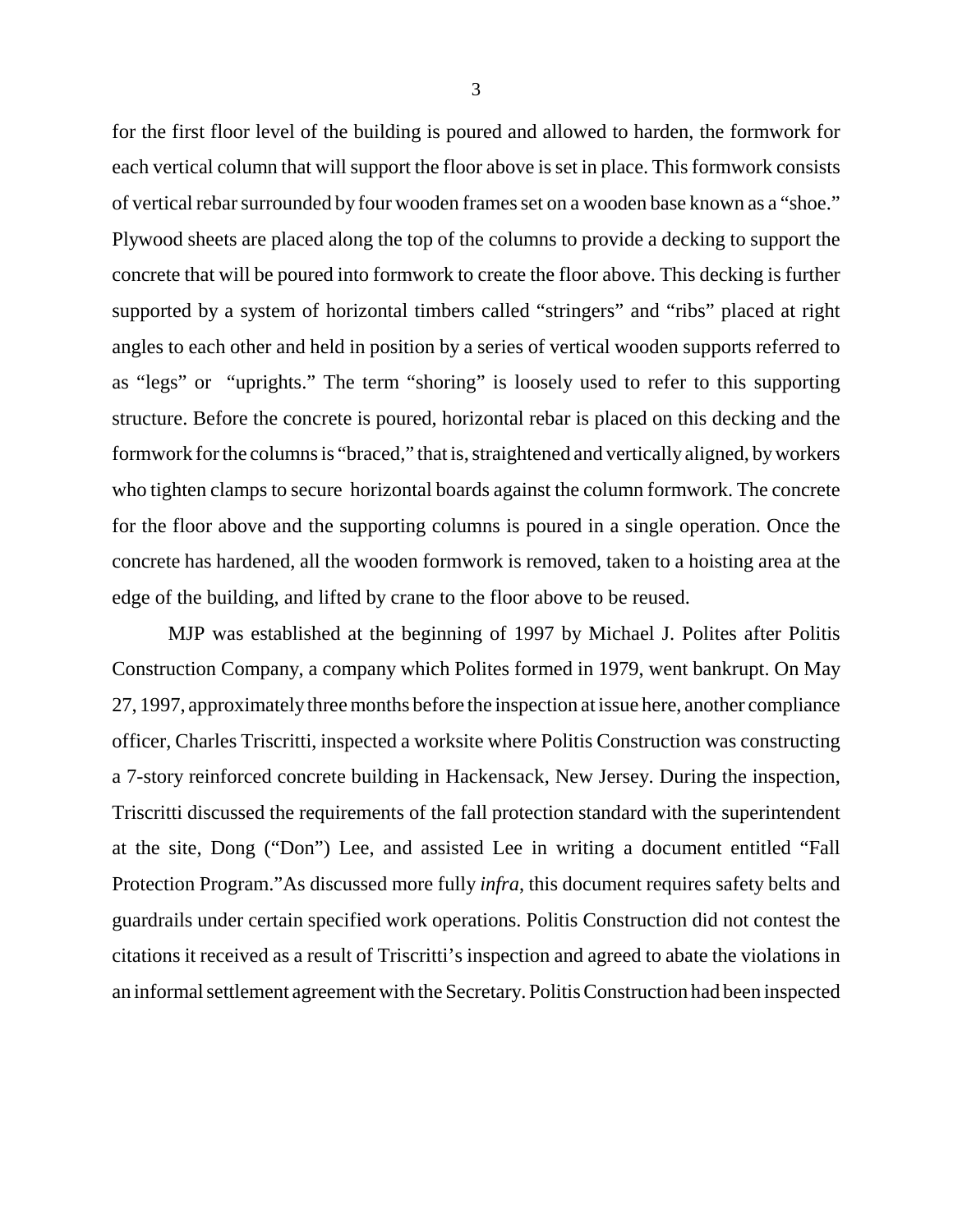for the first floor level of the building is poured and allowed to harden, the formwork for each vertical column that will support the floor above is set in place. This formwork consists of vertical rebar surrounded by four wooden frames set on a wooden base known as a "shoe." Plywood sheets are placed along the top of the columns to provide a decking to support the concrete that will be poured into formwork to create the floor above. This decking is further supported by a system of horizontal timbers called "stringers" and "ribs" placed at right angles to each other and held in position by a series of vertical wooden supports referred to as "legs" or "uprights." The term "shoring" is loosely used to refer to this supporting structure. Before the concrete is poured, horizontal rebar is placed on this decking and the formwork for the columns is "braced," that is, straightened and vertically aligned, byworkers who tighten clamps to secure horizontal boards against the column formwork. The concrete for the floor above and the supporting columns is poured in a single operation. Once the concrete has hardened, all the wooden formwork is removed, taken to a hoisting area at the edge of the building, and lifted by crane to the floor above to be reused.

MJP was established at the beginning of 1997 by Michael J. Polites after Politis Construction Company, a company which Polites formed in 1979, went bankrupt. On May 27, 1997, approximately three months before the inspection at issue here, another compliance officer, Charles Triscritti, inspected a worksite where Politis Construction was constructing a 7-story reinforced concrete building in Hackensack, New Jersey. During the inspection, Triscritti discussed the requirements of the fall protection standard with the superintendent at the site, Dong ("Don") Lee, and assisted Lee in writing a document entitled "Fall Protection Program."As discussed more fully *infra*, this document requires safety belts and guardrails under certain specified work operations. Politis Construction did not contest the citations it received as a result of Triscritti's inspection and agreed to abate the violations in an informal settlement agreement with the Secretary. Politis Construction had been inspected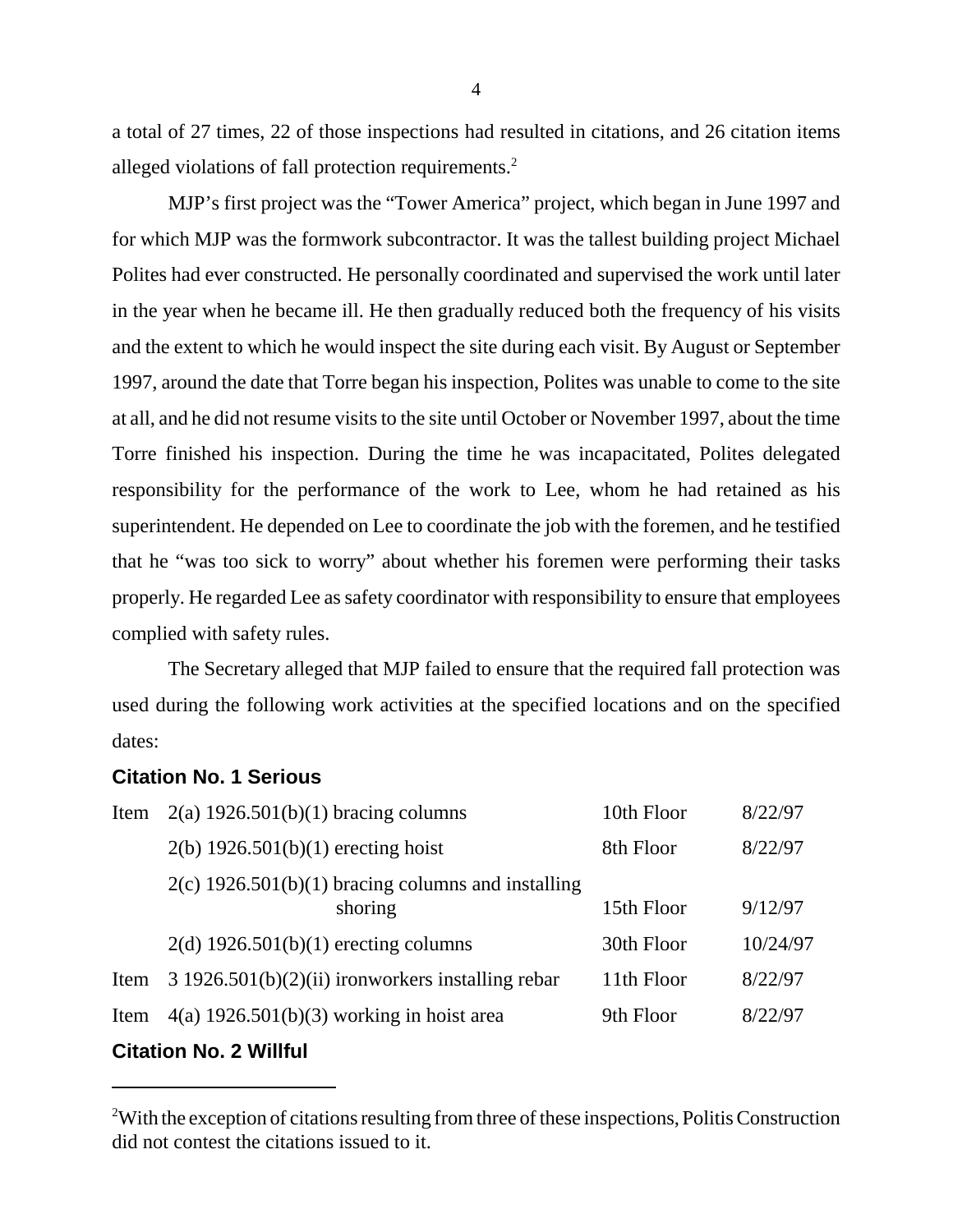a total of 27 times, 22 of those inspections had resulted in citations, and 26 citation items alleged violations of fall protection requirements.<sup>2</sup>

MJP's first project was the "Tower America" project, which began in June 1997 and for which MJP was the formwork subcontractor. It was the tallest building project Michael Polites had ever constructed. He personally coordinated and supervised the work until later in the year when he became ill. He then gradually reduced both the frequency of his visits and the extent to which he would inspect the site during each visit. By August or September 1997, around the date that Torre began his inspection, Polites was unable to come to the site at all, and he did not resume visits to the site until October or November 1997, about the time Torre finished his inspection. During the time he was incapacitated, Polites delegated responsibility for the performance of the work to Lee, whom he had retained as his superintendent. He depended on Lee to coordinate the job with the foremen, and he testified that he "was too sick to worry" about whether his foremen were performing their tasks properly. He regarded Lee as safety coordinator with responsibility to ensure that employees complied with safety rules.

The Secretary alleged that MJP failed to ensure that the required fall protection was used during the following work activities at the specified locations and on the specified dates:

## **Citation No. 1 Serious**

| Item | $2(a) 1926.501(b)(1)$ bracing columns                           | 10th Floor | 8/22/97  |
|------|-----------------------------------------------------------------|------------|----------|
|      | $2(b)$ 1926.501(b)(1) erecting hoist                            | 8th Floor  | 8/22/97  |
|      | $2(c)$ 1926.501(b)(1) bracing columns and installing<br>shoring | 15th Floor | 9/12/97  |
|      | $2(d)$ 1926.501(b)(1) erecting columns                          | 30th Floor | 10/24/97 |
| Item | 3 1926.501(b)(2)(ii) ironworkers installing rebar               | 11th Floor | 8/22/97  |
| Item | $4(a) 1926.501(b)(3)$ working in hoist area                     | 9th Floor  | 8/22/97  |
|      |                                                                 |            |          |

# **Citation No. 2 Willful**

4

<sup>&</sup>lt;sup>2</sup>With the exception of citations resulting from three of these inspections, Politis Construction did not contest the citations issued to it.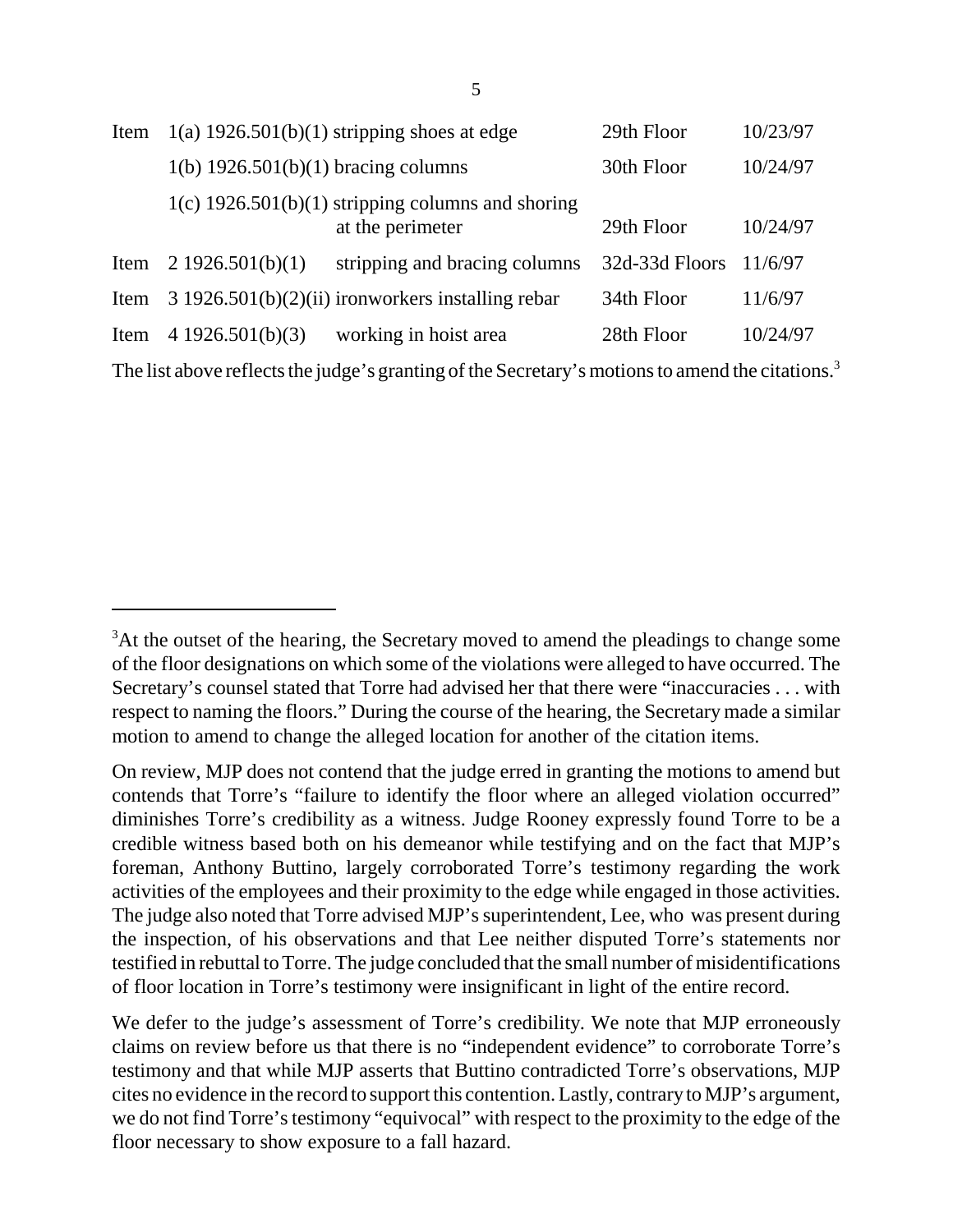| Item |                                                     | $1(a)$ 1926.501(b)(1) stripping shoes at edge        | 29th Floor     | 10/23/97 |  |
|------|-----------------------------------------------------|------------------------------------------------------|----------------|----------|--|
|      | $1(b)$ 1926.501(b)(1) bracing columns               |                                                      | 30th Floor     | 10/24/97 |  |
|      | $1(c)$ 1926.501(b)(1) stripping columns and shoring |                                                      |                |          |  |
|      |                                                     | at the perimeter                                     | 29th Floor     | 10/24/97 |  |
| Item | 2 1926.501(b)(1)                                    | stripping and bracing columns                        | 32d-33d Floors | 11/6/97  |  |
| Item |                                                     | $3\ 1926.501(b)(2)(ii)$ ironworkers installing rebar | 34th Floor     | 11/6/97  |  |
| Item | 4 1926.501(b)(3)                                    | working in hoist area                                | 28th Floor     | 10/24/97 |  |

The list above reflects the judge's granting of the Secretary's motions to amend the citations.<sup>3</sup>

 $3$ At the outset of the hearing, the Secretary moved to amend the pleadings to change some of the floor designations on which some of the violations were alleged to have occurred. The Secretary's counsel stated that Torre had advised her that there were "inaccuracies . . . with respect to naming the floors." During the course of the hearing, the Secretary made a similar motion to amend to change the alleged location for another of the citation items.

On review, MJP does not contend that the judge erred in granting the motions to amend but contends that Torre's "failure to identify the floor where an alleged violation occurred" diminishes Torre's credibility as a witness. Judge Rooney expressly found Torre to be a credible witness based both on his demeanor while testifying and on the fact that MJP's foreman, Anthony Buttino, largely corroborated Torre's testimony regarding the work activities of the employees and their proximity to the edge while engaged in those activities. The judge also noted that Torre advised MJP's superintendent, Lee, who was present during the inspection, of his observations and that Lee neither disputed Torre's statements nor testified in rebuttal to Torre. The judge concluded that the small number of misidentifications of floor location in Torre's testimony were insignificant in light of the entire record.

We defer to the judge's assessment of Torre's credibility. We note that MJP erroneously claims on review before us that there is no "independent evidence" to corroborate Torre's testimony and that while MJP asserts that Buttino contradicted Torre's observations, MJP cites no evidence in the record to support this contention. Lastly, contrary to MJP's argument, we do not find Torre's testimony "equivocal" with respect to the proximity to the edge of the floor necessary to show exposure to a fall hazard.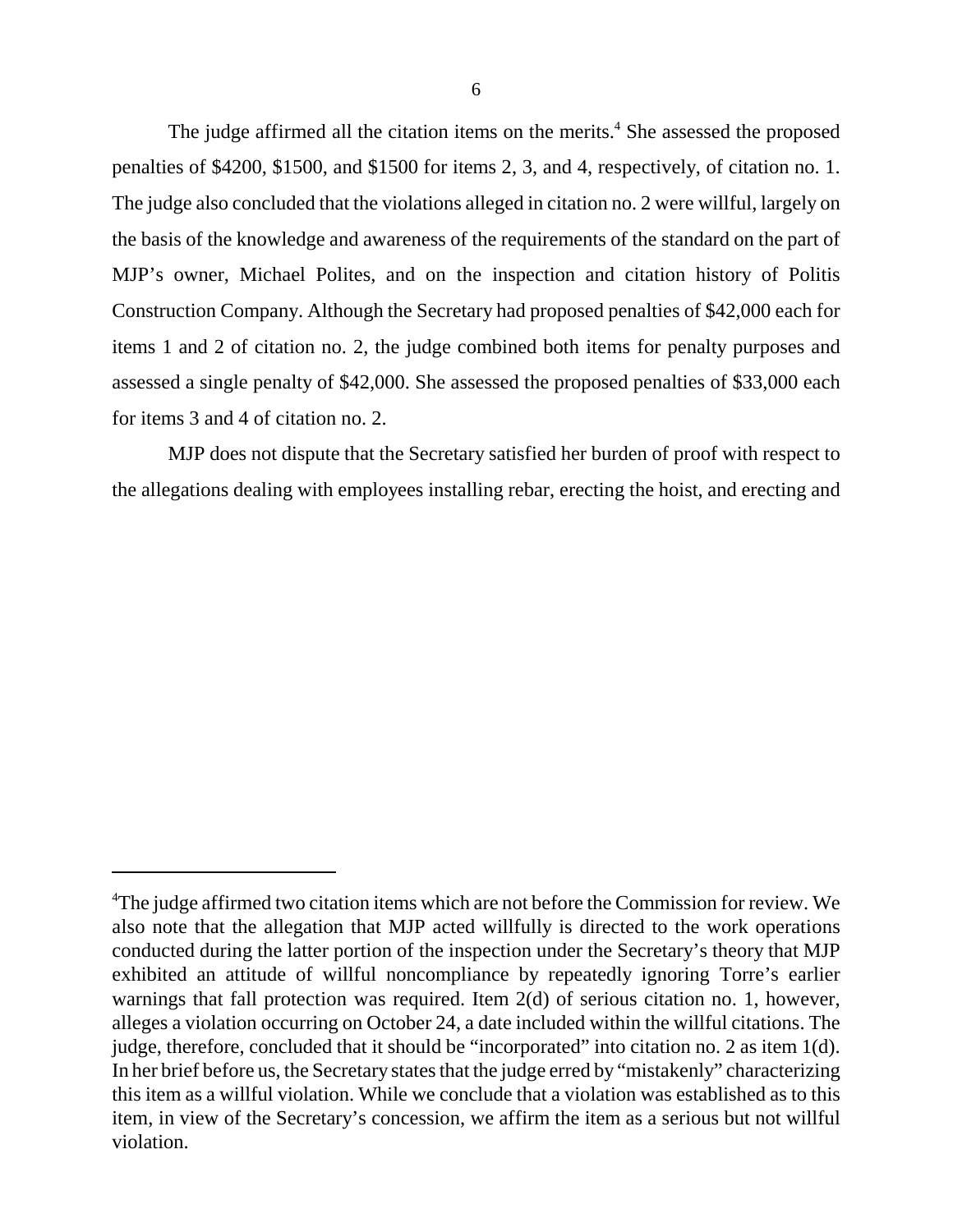The judge affirmed all the citation items on the merits.<sup>4</sup> She assessed the proposed penalties of \$4200, \$1500, and \$1500 for items 2, 3, and 4, respectively, of citation no. 1. The judge also concluded that the violations alleged in citation no. 2 were willful, largely on the basis of the knowledge and awareness of the requirements of the standard on the part of MJP's owner, Michael Polites, and on the inspection and citation history of Politis Construction Company. Although the Secretary had proposed penalties of \$42,000 each for items 1 and 2 of citation no. 2, the judge combined both items for penalty purposes and assessed a single penalty of \$42,000. She assessed the proposed penalties of \$33,000 each for items 3 and 4 of citation no. 2.

MJP does not dispute that the Secretary satisfied her burden of proof with respect to the allegations dealing with employees installing rebar, erecting the hoist, and erecting and

<sup>&</sup>lt;sup>4</sup>The judge affirmed two citation items which are not before the Commission for review. We also note that the allegation that MJP acted willfully is directed to the work operations conducted during the latter portion of the inspection under the Secretary's theory that MJP exhibited an attitude of willful noncompliance by repeatedly ignoring Torre's earlier warnings that fall protection was required. Item 2(d) of serious citation no. 1, however, alleges a violation occurring on October 24, a date included within the willful citations. The judge, therefore, concluded that it should be "incorporated" into citation no. 2 as item 1(d). In her brief before us, the Secretary states that the judge erred by "mistakenly" characterizing this item as a willful violation. While we conclude that a violation was established as to this item, in view of the Secretary's concession, we affirm the item as a serious but not willful violation.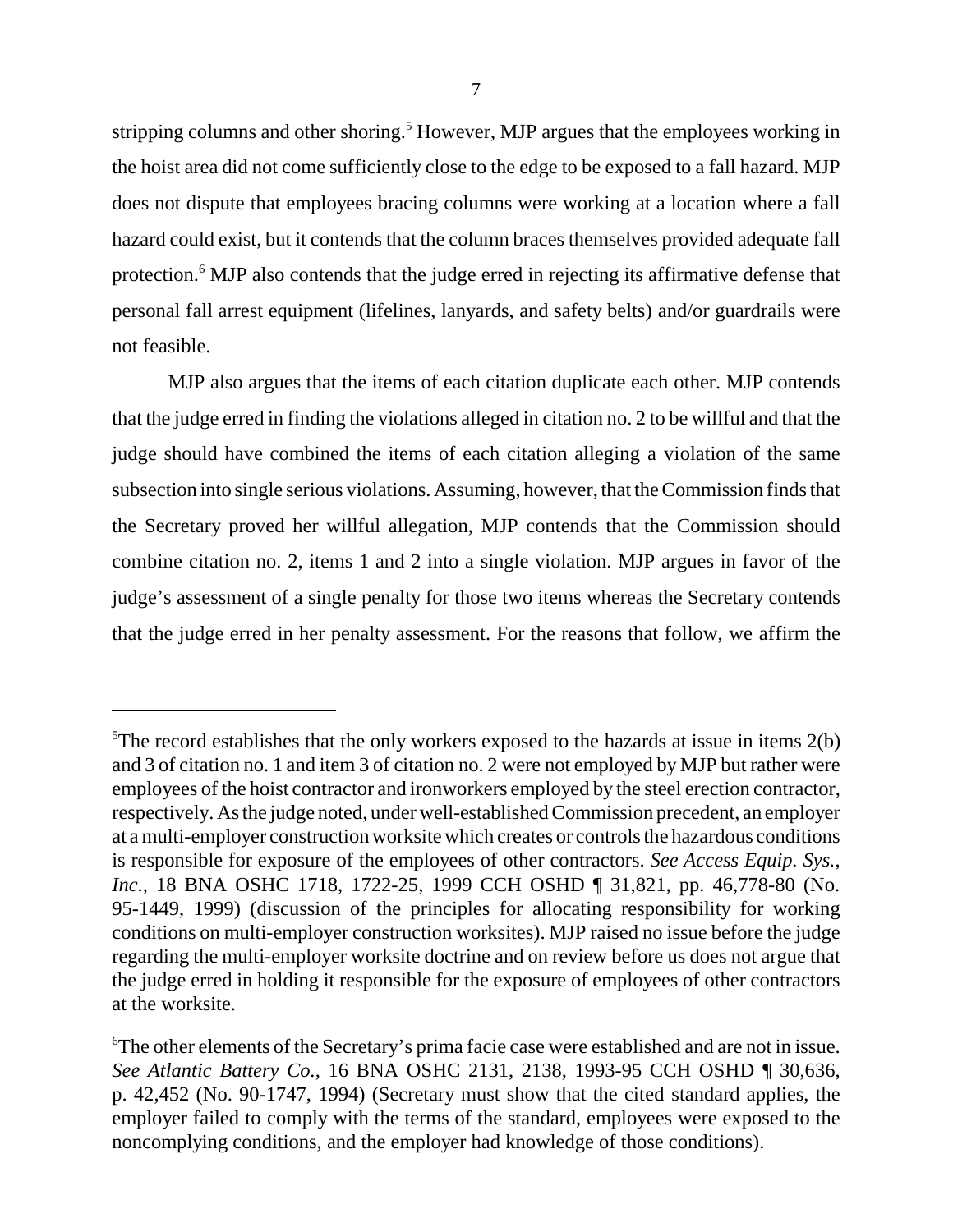stripping columns and other shoring.<sup>5</sup> However, MJP argues that the employees working in the hoist area did not come sufficiently close to the edge to be exposed to a fall hazard. MJP does not dispute that employees bracing columns were working at a location where a fall hazard could exist, but it contends that the column braces themselves provided adequate fall protection.<sup>6</sup> MJP also contends that the judge erred in rejecting its affirmative defense that personal fall arrest equipment (lifelines, lanyards, and safety belts) and/or guardrails were not feasible.

MJP also argues that the items of each citation duplicate each other. MJP contends that the judge erred in finding the violations alleged in citation no. 2 to be willful and that the judge should have combined the items of each citation alleging a violation of the same subsection into single serious violations. Assuming, however, that the Commission finds that the Secretary proved her willful allegation, MJP contends that the Commission should combine citation no. 2, items 1 and 2 into a single violation. MJP argues in favor of the judge's assessment of a single penalty for those two items whereas the Secretary contends that the judge erred in her penalty assessment. For the reasons that follow, we affirm the

<sup>&</sup>lt;sup>5</sup>The record establishes that the only workers exposed to the hazards at issue in items  $2(b)$ and 3 of citation no. 1 and item 3 of citation no. 2 were not employed by MJP but rather were employees of the hoist contractor and ironworkers employed by the steel erection contractor, respectively. As the judge noted, under well-established Commission precedent, an employer at a multi-employer construction worksite which creates or controls the hazardous conditions is responsible for exposure of the employees of other contractors. *See Access Equip. Sys., Inc.*, 18 BNA OSHC 1718, 1722-25, 1999 CCH OSHD | 31,821, pp. 46,778-80 (No. 95-1449, 1999) (discussion of the principles for allocating responsibility for working conditions on multi-employer construction worksites). MJP raised no issue before the judge regarding the multi-employer worksite doctrine and on review before us does not argue that the judge erred in holding it responsible for the exposure of employees of other contractors at the worksite.

<sup>&</sup>lt;sup>6</sup>The other elements of the Secretary's prima facie case were established and are not in issue. *See Atlantic Battery Co.*, 16 BNA OSHC 2131, 2138, 1993-95 CCH OSHD ¶ 30,636, p. 42,452 (No. 90-1747, 1994) (Secretary must show that the cited standard applies, the employer failed to comply with the terms of the standard, employees were exposed to the noncomplying conditions, and the employer had knowledge of those conditions).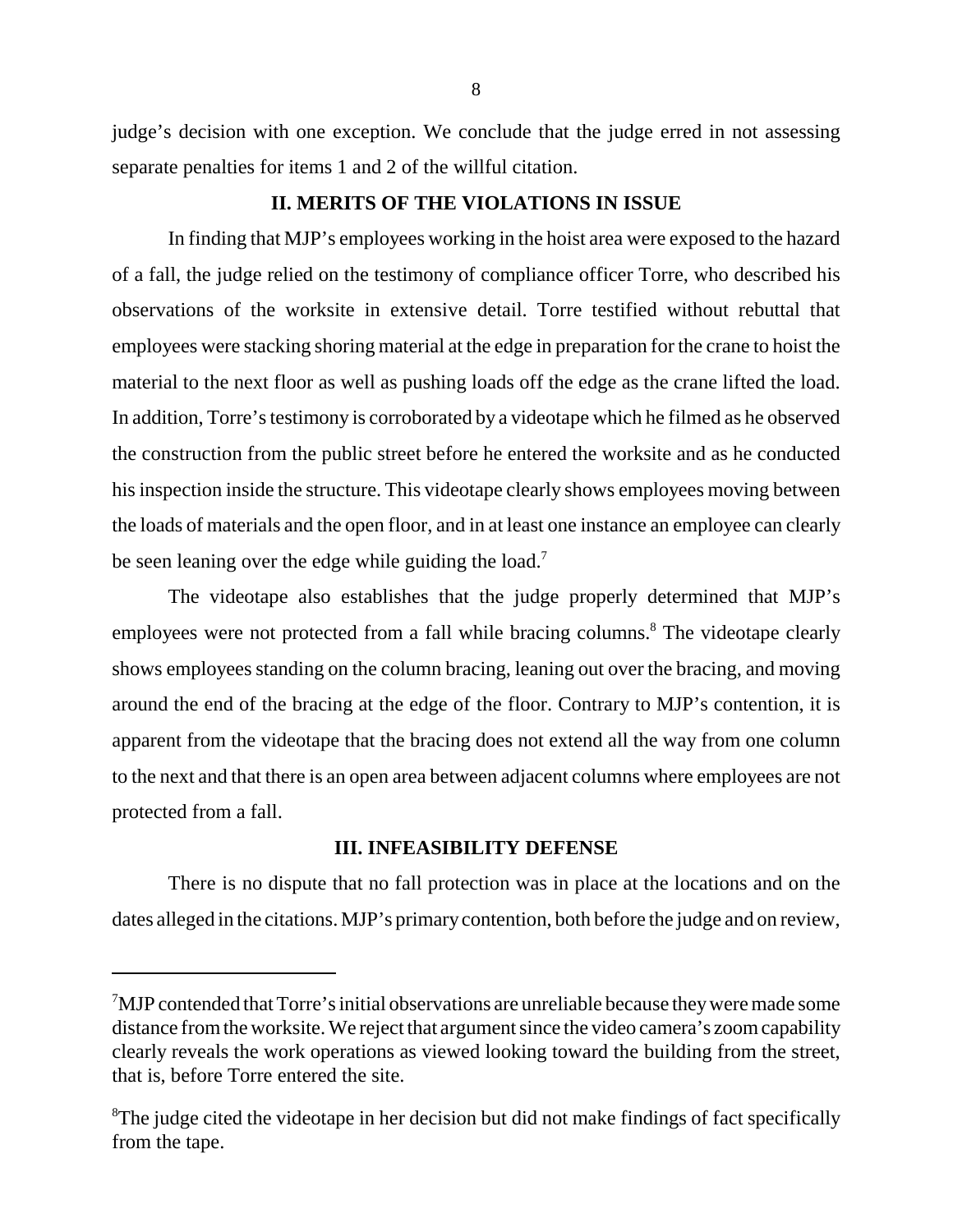judge's decision with one exception. We conclude that the judge erred in not assessing separate penalties for items 1 and 2 of the willful citation.

# **II. MERITS OF THE VIOLATIONS IN ISSUE**

In finding that MJP's employees working in the hoist area were exposed to the hazard of a fall, the judge relied on the testimony of compliance officer Torre, who described his observations of the worksite in extensive detail. Torre testified without rebuttal that employees were stacking shoring material at the edge in preparation for the crane to hoist the material to the next floor as well as pushing loads off the edge as the crane lifted the load. In addition, Torre's testimony is corroborated by a videotape which he filmed as he observed the construction from the public street before he entered the worksite and as he conducted his inspection inside the structure. This videotape clearly shows employees moving between the loads of materials and the open floor, and in at least one instance an employee can clearly be seen leaning over the edge while guiding the load.<sup>7</sup>

The videotape also establishes that the judge properly determined that MJP's employees were not protected from a fall while bracing columns.<sup>8</sup> The videotape clearly shows employees standing on the column bracing, leaning out over the bracing, and moving around the end of the bracing at the edge of the floor. Contrary to MJP's contention, it is apparent from the videotape that the bracing does not extend all the way from one column to the next and that there is an open area between adjacent columns where employees are not protected from a fall.

# **III. INFEASIBILITY DEFENSE**

There is no dispute that no fall protection was in place at the locations and on the dates alleged in the citations. MJP's primarycontention, both before the judge and on review,

<sup>&</sup>lt;sup>7</sup>MJP contended that Torre's initial observations are unreliable because they were made some distance from the worksite. We reject that argument since the video camera's zoom capability clearly reveals the work operations as viewed looking toward the building from the street, that is, before Torre entered the site.

<sup>&</sup>lt;sup>8</sup>The judge cited the videotape in her decision but did not make findings of fact specifically from the tape.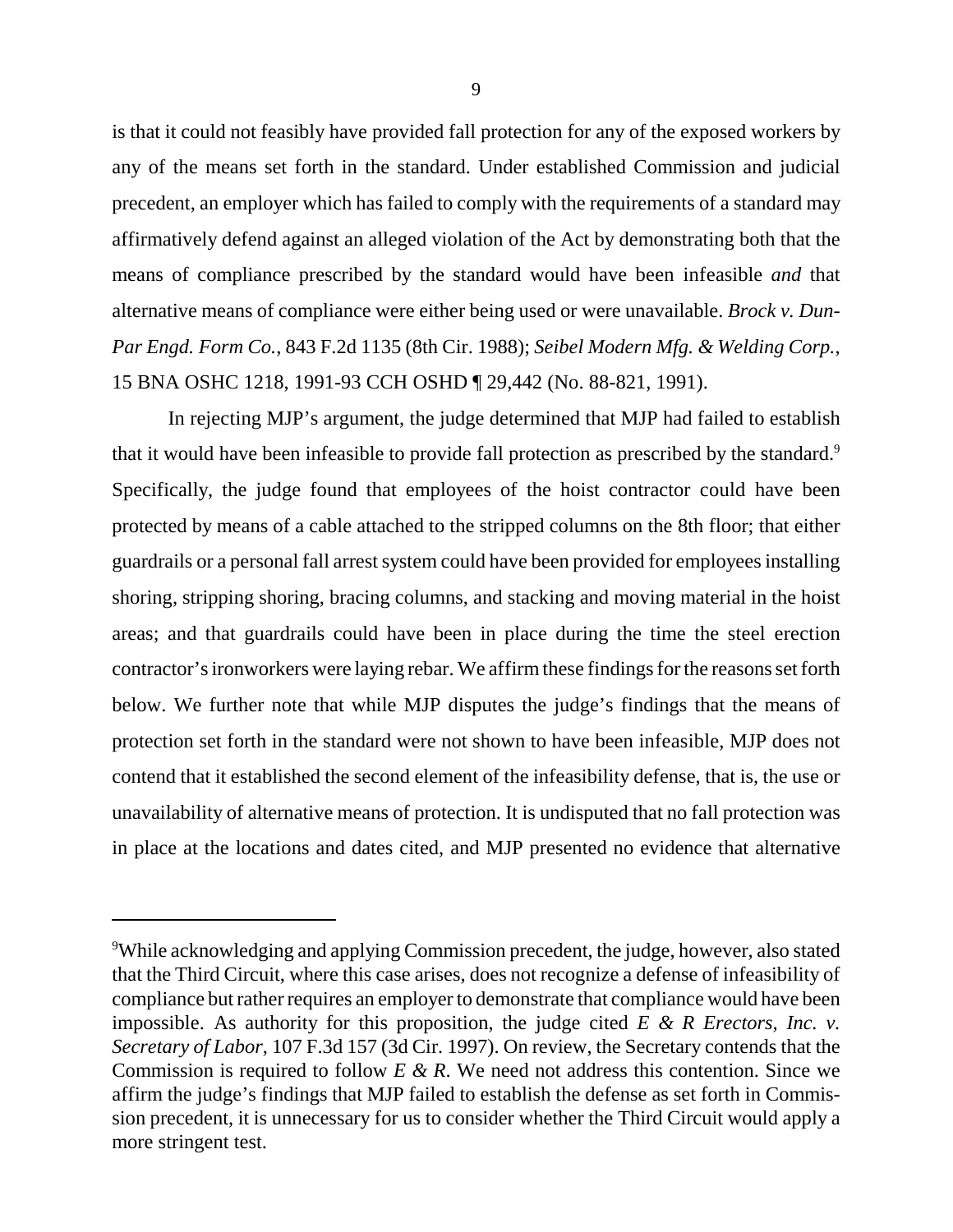is that it could not feasibly have provided fall protection for any of the exposed workers by any of the means set forth in the standard. Under established Commission and judicial precedent, an employer which has failed to comply with the requirements of a standard may affirmatively defend against an alleged violation of the Act by demonstrating both that the means of compliance prescribed by the standard would have been infeasible *and* that alternative means of compliance were either being used or were unavailable. *Brock v. Dun-Par Engd. Form Co.*, 843 F.2d 1135 (8th Cir. 1988); *Seibel Modern Mfg. & Welding Corp.*, 15 BNA OSHC 1218, 1991-93 CCH OSHD ¶ 29,442 (No. 88-821, 1991).

In rejecting MJP's argument, the judge determined that MJP had failed to establish that it would have been infeasible to provide fall protection as prescribed by the standard.<sup>9</sup> Specifically, the judge found that employees of the hoist contractor could have been protected by means of a cable attached to the stripped columns on the 8th floor; that either guardrails or a personal fall arrest system could have been provided for employees installing shoring, stripping shoring, bracing columns, and stacking and moving material in the hoist areas; and that guardrails could have been in place during the time the steel erection contractor's ironworkers were laying rebar. We affirm these findings for the reasons set forth below. We further note that while MJP disputes the judge's findings that the means of protection set forth in the standard were not shown to have been infeasible, MJP does not contend that it established the second element of the infeasibility defense, that is, the use or unavailability of alternative means of protection. It is undisputed that no fall protection was in place at the locations and dates cited, and MJP presented no evidence that alternative

<sup>&</sup>lt;sup>9</sup>While acknowledging and applying Commission precedent, the judge, however, also stated that the Third Circuit, where this case arises, does not recognize a defense of infeasibility of compliance but rather requires an employer to demonstrate that compliance would have been impossible. As authority for this proposition, the judge cited *E & R Erectors, Inc. v. Secretary of Labor*, 107 F.3d 157 (3d Cir. 1997). On review, the Secretary contends that the Commission is required to follow *E & R*. We need not address this contention. Since we affirm the judge's findings that MJP failed to establish the defense as set forth in Commission precedent, it is unnecessary for us to consider whether the Third Circuit would apply a more stringent test.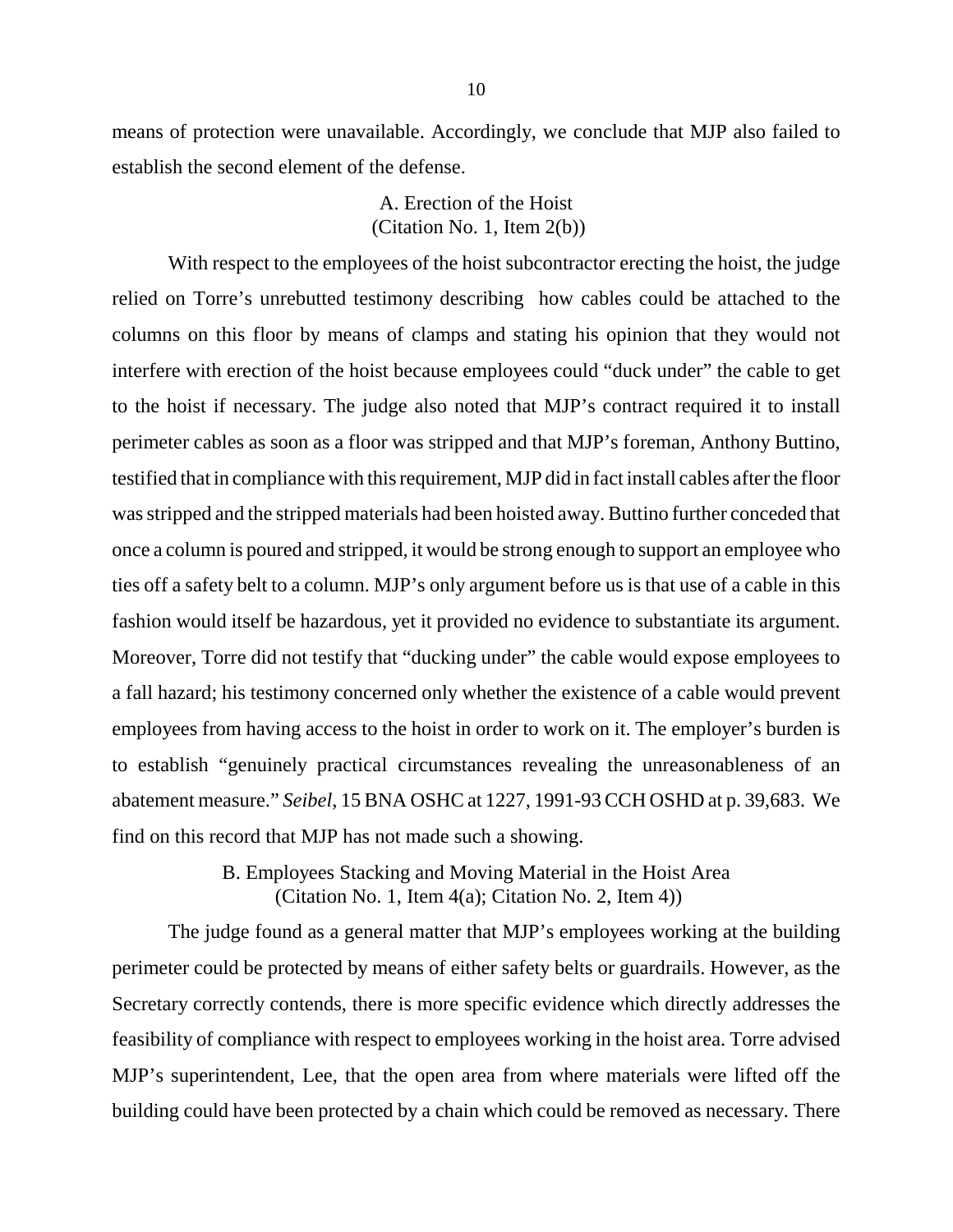means of protection were unavailable. Accordingly, we conclude that MJP also failed to establish the second element of the defense.

> A. Erection of the Hoist (Citation No. 1, Item 2(b))

With respect to the employees of the hoist subcontractor erecting the hoist, the judge relied on Torre's unrebutted testimony describing how cables could be attached to the columns on this floor by means of clamps and stating his opinion that they would not interfere with erection of the hoist because employees could "duck under" the cable to get to the hoist if necessary. The judge also noted that MJP's contract required it to install perimeter cables as soon as a floor was stripped and that MJP's foreman, Anthony Buttino, testified that in compliance with this requirement, MJP did in fact install cables after the floor was stripped and the stripped materials had been hoisted away. Buttino further conceded that once a column is poured and stripped, it would be strong enough to support an employee who ties off a safety belt to a column. MJP's only argument before us is that use of a cable in this fashion would itself be hazardous, yet it provided no evidence to substantiate its argument. Moreover, Torre did not testify that "ducking under" the cable would expose employees to a fall hazard; his testimony concerned only whether the existence of a cable would prevent employees from having access to the hoist in order to work on it. The employer's burden is to establish "genuinely practical circumstances revealing the unreasonableness of an abatement measure." *Seibel*, 15 BNA OSHC at 1227, 1991-93 CCH OSHD at p. 39,683. We find on this record that MJP has not made such a showing.

> B. Employees Stacking and Moving Material in the Hoist Area (Citation No. 1, Item 4(a); Citation No. 2, Item 4))

The judge found as a general matter that MJP's employees working at the building perimeter could be protected by means of either safety belts or guardrails. However, as the Secretary correctly contends, there is more specific evidence which directly addresses the feasibility of compliance with respect to employees working in the hoist area. Torre advised MJP's superintendent, Lee, that the open area from where materials were lifted off the building could have been protected by a chain which could be removed as necessary. There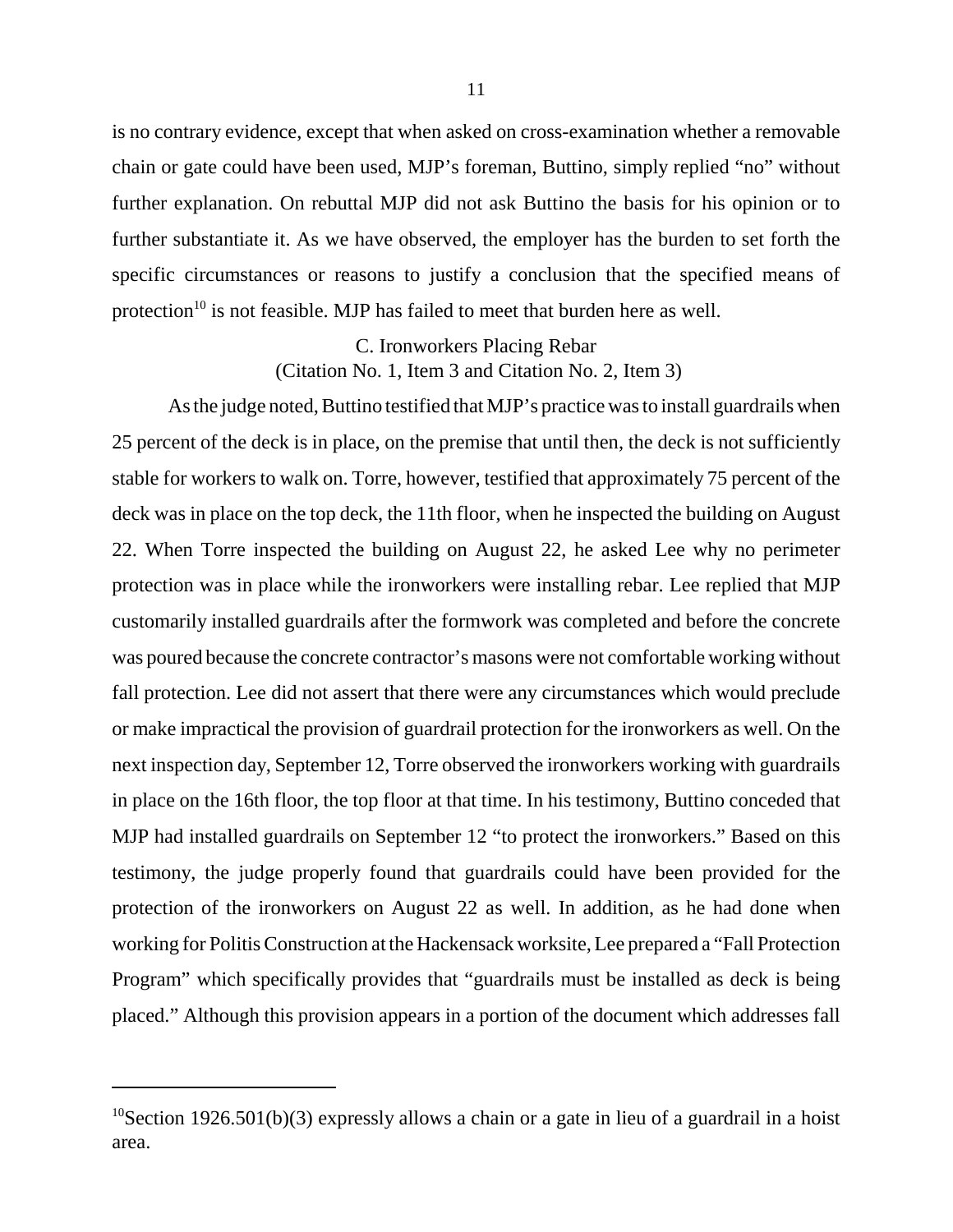is no contrary evidence, except that when asked on cross-examination whether a removable chain or gate could have been used, MJP's foreman, Buttino, simply replied "no" without further explanation. On rebuttal MJP did not ask Buttino the basis for his opinion or to further substantiate it. As we have observed, the employer has the burden to set forth the specific circumstances or reasons to justify a conclusion that the specified means of protection<sup>10</sup> is not feasible. MJP has failed to meet that burden here as well.

# C. Ironworkers Placing Rebar (Citation No. 1, Item 3 and Citation No. 2, Item 3)

As the judge noted, Buttino testified that MJP's practice was to install guardrails when 25 percent of the deck is in place, on the premise that until then, the deck is not sufficiently stable for workers to walk on. Torre, however, testified that approximately 75 percent of the deck was in place on the top deck, the 11th floor, when he inspected the building on August 22. When Torre inspected the building on August 22, he asked Lee why no perimeter protection was in place while the ironworkers were installing rebar. Lee replied that MJP customarily installed guardrails after the formwork was completed and before the concrete was poured because the concrete contractor's masons were not comfortable working without fall protection. Lee did not assert that there were any circumstances which would preclude or make impractical the provision of guardrail protection for the ironworkers as well. On the next inspection day, September 12, Torre observed the ironworkers working with guardrails in place on the 16th floor, the top floor at that time. In his testimony, Buttino conceded that MJP had installed guardrails on September 12 "to protect the ironworkers." Based on this testimony, the judge properly found that guardrails could have been provided for the protection of the ironworkers on August 22 as well. In addition, as he had done when working for Politis Construction at the Hackensack worksite, Lee prepared a "Fall Protection Program" which specifically provides that "guardrails must be installed as deck is being placed." Although this provision appears in a portion of the document which addresses fall

<sup>&</sup>lt;sup>10</sup>Section 1926.501(b)(3) expressly allows a chain or a gate in lieu of a guardrail in a hoist area.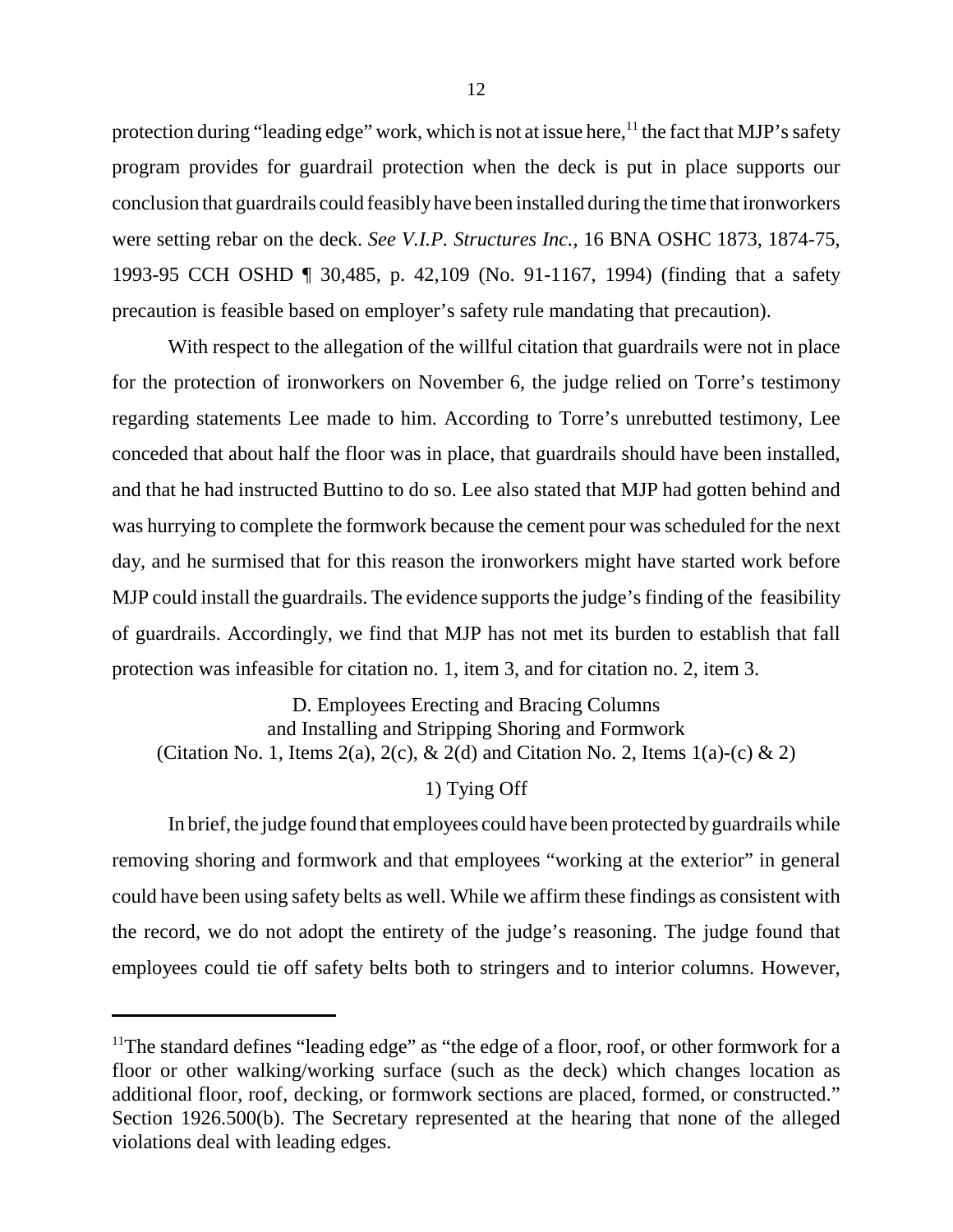protection during "leading edge" work, which is not at issue here, $^{11}$  the fact that MJP's safety program provides for guardrail protection when the deck is put in place supports our conclusion that guardrails could feasibly have been installed during the time that ironworkers were setting rebar on the deck. *See V.I.P. Structures Inc.,* 16 BNA OSHC 1873, 1874-75, 1993-95 CCH OSHD ¶ 30,485, p. 42,109 (No. 91-1167, 1994) (finding that a safety precaution is feasible based on employer's safety rule mandating that precaution).

With respect to the allegation of the willful citation that guardrails were not in place for the protection of ironworkers on November 6, the judge relied on Torre's testimony regarding statements Lee made to him. According to Torre's unrebutted testimony, Lee conceded that about half the floor was in place, that guardrails should have been installed, and that he had instructed Buttino to do so. Lee also stated that MJP had gotten behind and was hurrying to complete the formwork because the cement pour was scheduled for the next day, and he surmised that for this reason the ironworkers might have started work before MJP could install the guardrails. The evidence supports the judge's finding of the feasibility of guardrails. Accordingly, we find that MJP has not met its burden to establish that fall protection was infeasible for citation no. 1, item 3, and for citation no. 2, item 3.

D. Employees Erecting and Bracing Columns and Installing and Stripping Shoring and Formwork (Citation No. 1, Items 2(a), 2(c), & 2(d) and Citation No. 2, Items  $1(a)-(c)$  & 2)

1) Tying Off

In brief, the judge found that employees could have been protected by guardrails while removing shoring and formwork and that employees "working at the exterior" in general could have been using safety belts as well. While we affirm these findings as consistent with the record, we do not adopt the entirety of the judge's reasoning. The judge found that employees could tie off safety belts both to stringers and to interior columns. However,

<sup>&</sup>lt;sup>11</sup>The standard defines "leading edge" as "the edge of a floor, roof, or other formwork for a floor or other walking/working surface (such as the deck) which changes location as additional floor, roof, decking, or formwork sections are placed, formed, or constructed." Section 1926.500(b). The Secretary represented at the hearing that none of the alleged violations deal with leading edges.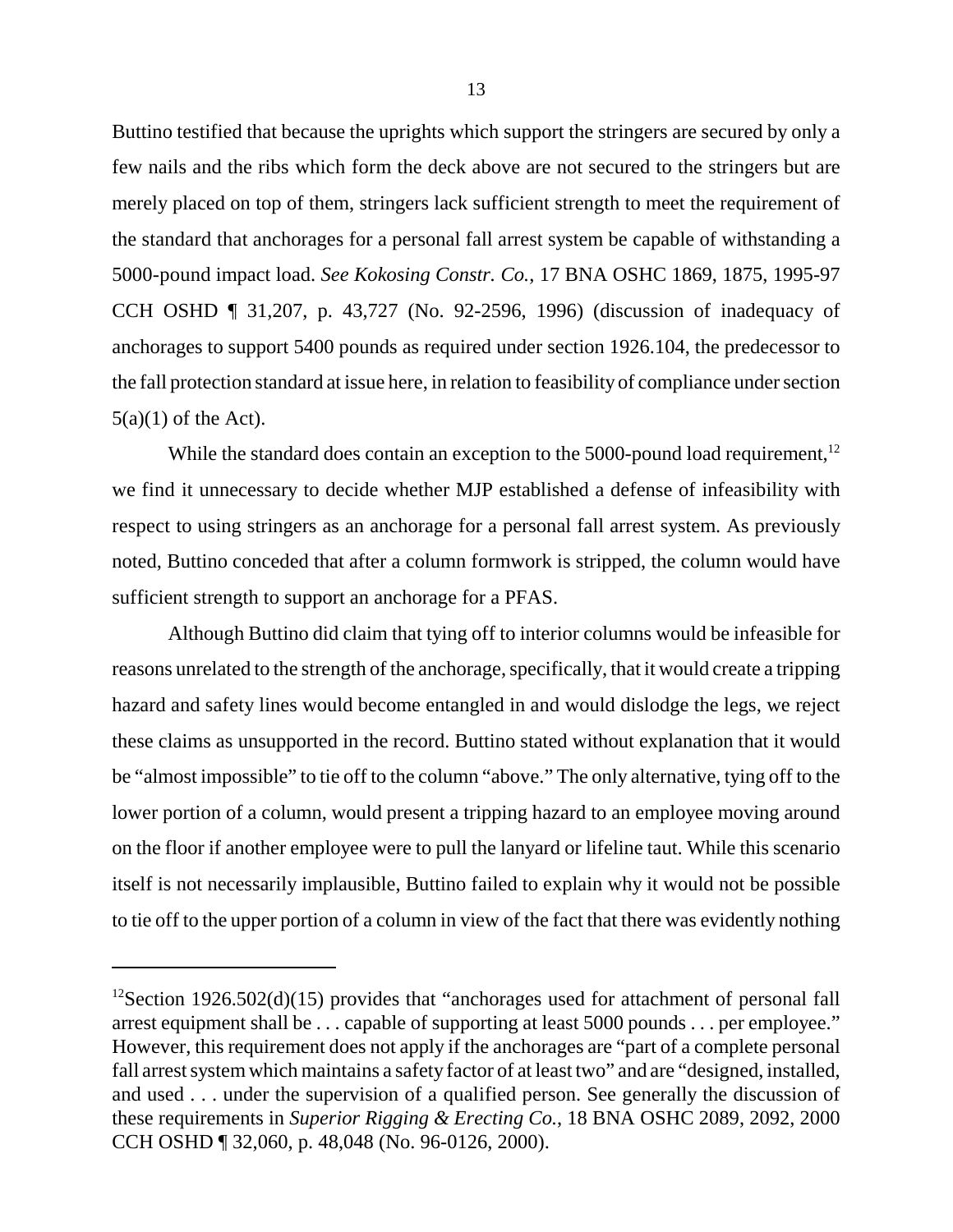Buttino testified that because the uprights which support the stringers are secured by only a few nails and the ribs which form the deck above are not secured to the stringers but are merely placed on top of them, stringers lack sufficient strength to meet the requirement of the standard that anchorages for a personal fall arrest system be capable of withstanding a 5000-pound impact load. *See Kokosing Constr. Co.*, 17 BNA OSHC 1869, 1875, 1995-97 CCH OSHD ¶ 31,207, p. 43,727 (No. 92-2596, 1996) (discussion of inadequacy of anchorages to support 5400 pounds as required under section 1926.104, the predecessor to the fall protection standard at issue here, in relation to feasibility of compliance under section  $5(a)(1)$  of the Act).

While the standard does contain an exception to the 5000-pound load requirement,  $12$ we find it unnecessary to decide whether MJP established a defense of infeasibility with respect to using stringers as an anchorage for a personal fall arrest system. As previously noted, Buttino conceded that after a column formwork is stripped, the column would have sufficient strength to support an anchorage for a PFAS.

Although Buttino did claim that tying off to interior columns would be infeasible for reasons unrelated to the strength of the anchorage, specifically, that it would create a tripping hazard and safety lines would become entangled in and would dislodge the legs, we reject these claims as unsupported in the record. Buttino stated without explanation that it would be "almost impossible" to tie off to the column "above." The only alternative, tying off to the lower portion of a column, would present a tripping hazard to an employee moving around on the floor if another employee were to pull the lanyard or lifeline taut. While this scenario itself is not necessarily implausible, Buttino failed to explain why it would not be possible to tie off to the upper portion of a column in view of the fact that there was evidently nothing

 $12$ Section 1926.502(d)(15) provides that "anchorages used for attachment of personal fall arrest equipment shall be . . . capable of supporting at least 5000 pounds . . . per employee." However, this requirement does not apply if the anchorages are "part of a complete personal fall arrest system which maintains a safety factor of at least two" and are "designed, installed, and used . . . under the supervision of a qualified person. See generally the discussion of these requirements in *Superior Rigging & Erecting Co.*, 18 BNA OSHC 2089, 2092, 2000 CCH OSHD ¶ 32,060, p. 48,048 (No. 96-0126, 2000).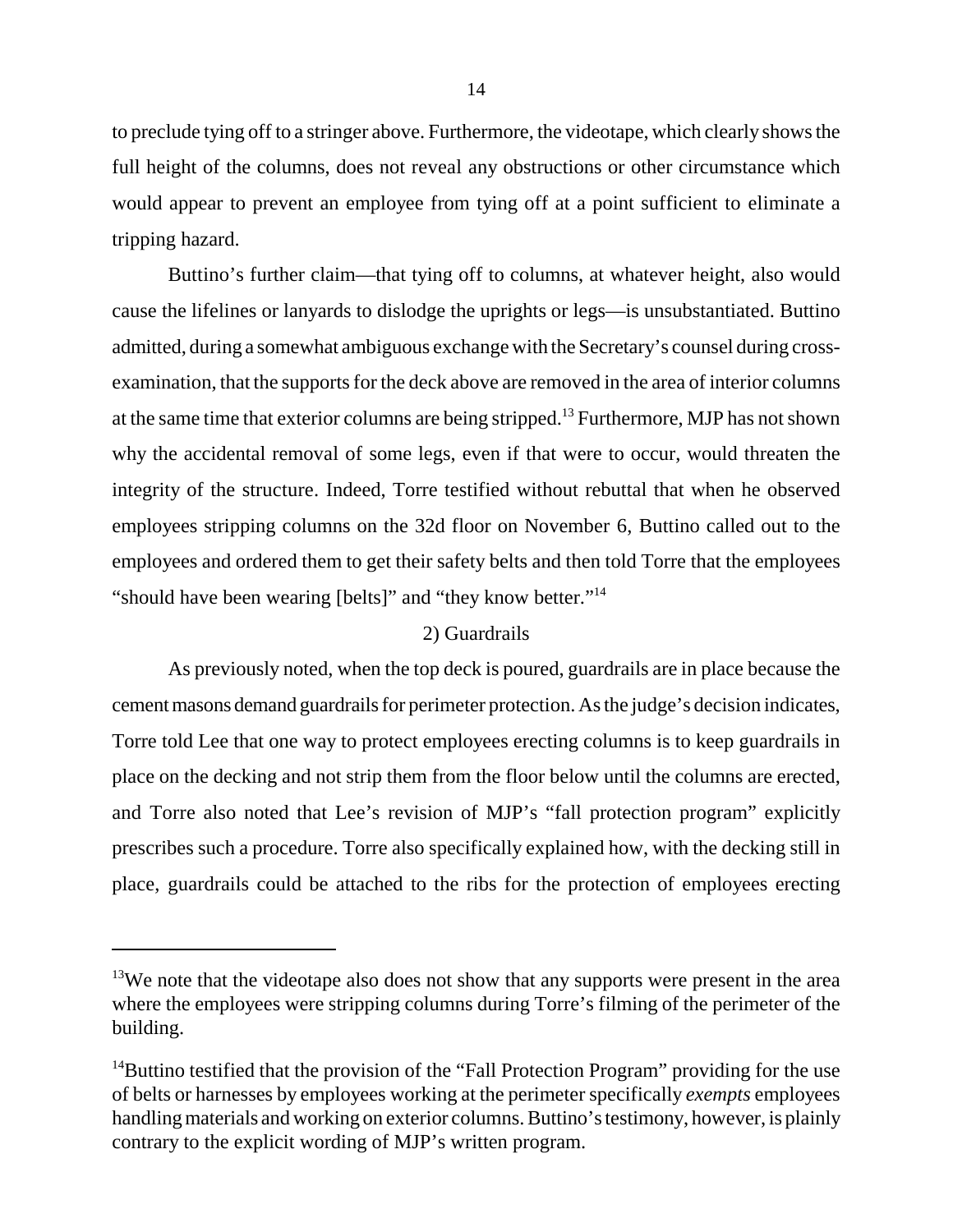to preclude tying off to a stringer above. Furthermore, the videotape, which clearly shows the full height of the columns, does not reveal any obstructions or other circumstance which would appear to prevent an employee from tying off at a point sufficient to eliminate a tripping hazard.

Buttino's further claim—that tying off to columns, at whatever height, also would cause the lifelines or lanyards to dislodge the uprights or legs—is unsubstantiated. Buttino admitted, during a somewhat ambiguous exchange with the Secretary's counsel during crossexamination, that the supports for the deck above are removed in the area of interior columns at the same time that exterior columns are being stripped.13 Furthermore, MJP has not shown why the accidental removal of some legs, even if that were to occur, would threaten the integrity of the structure. Indeed, Torre testified without rebuttal that when he observed employees stripping columns on the 32d floor on November 6, Buttino called out to the employees and ordered them to get their safety belts and then told Torre that the employees "should have been wearing [belts]" and "they know better."<sup>14</sup>

## 2) Guardrails

As previously noted, when the top deck is poured, guardrails are in place because the cement masons demand guardrails for perimeter protection. As the judge's decision indicates, Torre told Lee that one way to protect employees erecting columns is to keep guardrails in place on the decking and not strip them from the floor below until the columns are erected, and Torre also noted that Lee's revision of MJP's "fall protection program" explicitly prescribes such a procedure. Torre also specifically explained how, with the decking still in place, guardrails could be attached to the ribs for the protection of employees erecting

 $13$ We note that the videotape also does not show that any supports were present in the area where the employees were stripping columns during Torre's filming of the perimeter of the building.

<sup>&</sup>lt;sup>14</sup>Buttino testified that the provision of the "Fall Protection Program" providing for the use of belts or harnesses by employees working at the perimeter specifically *exempts* employees handling materials and working on exterior columns. Buttino's testimony, however, is plainly contrary to the explicit wording of MJP's written program.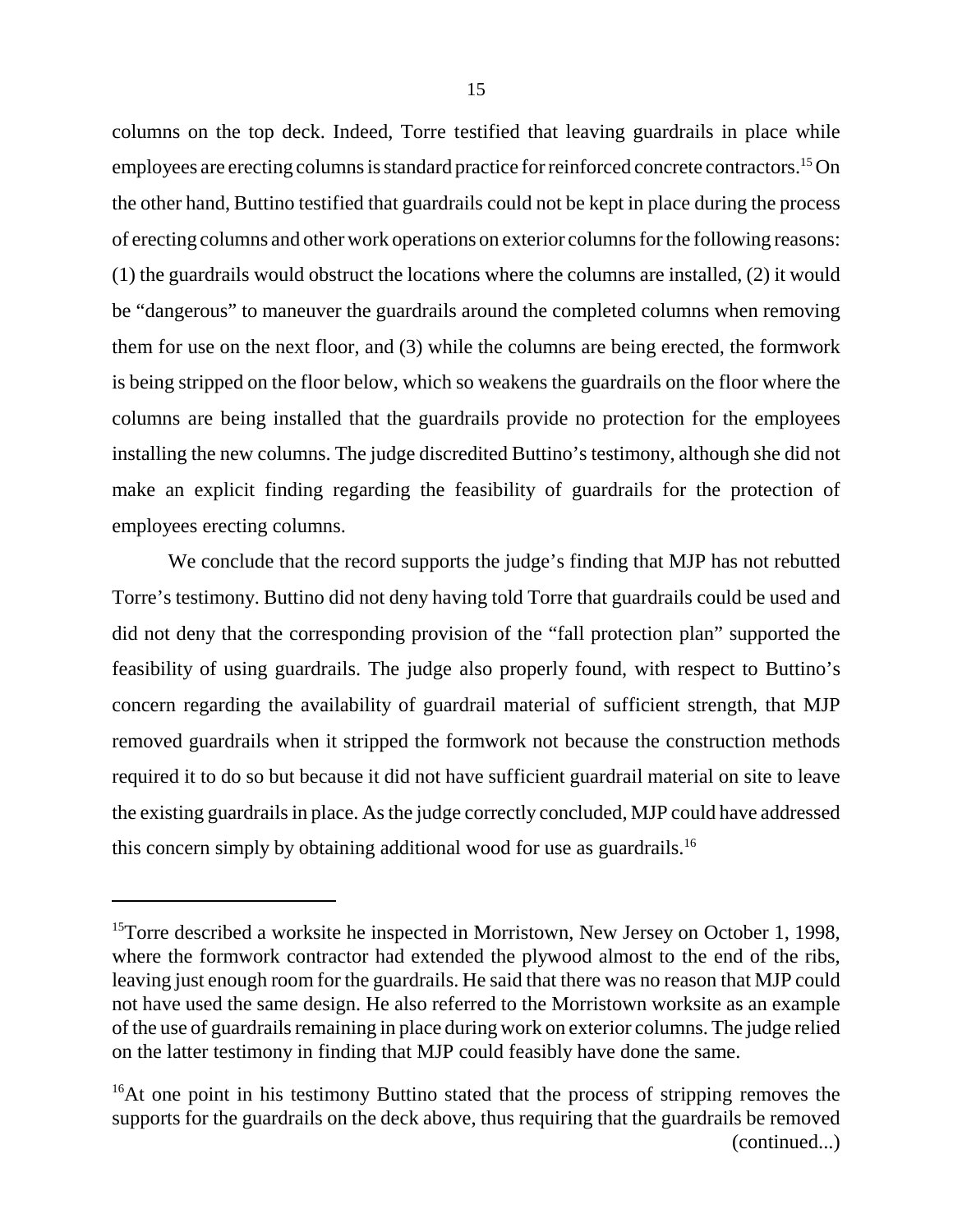columns on the top deck. Indeed, Torre testified that leaving guardrails in place while employees are erecting columns is standard practice for reinforced concrete contractors.<sup>15</sup> On the other hand, Buttino testified that guardrails could not be kept in place during the process of erecting columns and other work operations on exterior columns for the following reasons: (1) the guardrails would obstruct the locations where the columns are installed, (2) it would be "dangerous" to maneuver the guardrails around the completed columns when removing them for use on the next floor, and (3) while the columns are being erected, the formwork is being stripped on the floor below, which so weakens the guardrails on the floor where the columns are being installed that the guardrails provide no protection for the employees installing the new columns. The judge discredited Buttino's testimony, although she did not make an explicit finding regarding the feasibility of guardrails for the protection of employees erecting columns.

We conclude that the record supports the judge's finding that MJP has not rebutted Torre's testimony. Buttino did not deny having told Torre that guardrails could be used and did not deny that the corresponding provision of the "fall protection plan" supported the feasibility of using guardrails. The judge also properly found, with respect to Buttino's concern regarding the availability of guardrail material of sufficient strength, that MJP removed guardrails when it stripped the formwork not because the construction methods required it to do so but because it did not have sufficient guardrail material on site to leave the existing guardrails in place. As the judge correctly concluded, MJP could have addressed this concern simply by obtaining additional wood for use as guardrails.<sup>16</sup>

<sup>&</sup>lt;sup>15</sup>Torre described a worksite he inspected in Morristown, New Jersey on October 1, 1998, where the formwork contractor had extended the plywood almost to the end of the ribs, leaving just enough room for the guardrails. He said that there was no reason that MJP could not have used the same design. He also referred to the Morristown worksite as an example of the use of guardrails remaining in place during work on exterior columns. The judge relied on the latter testimony in finding that MJP could feasibly have done the same.

<sup>&</sup>lt;sup>16</sup>At one point in his testimony Buttino stated that the process of stripping removes the supports for the guardrails on the deck above, thus requiring that the guardrails be removed (continued...)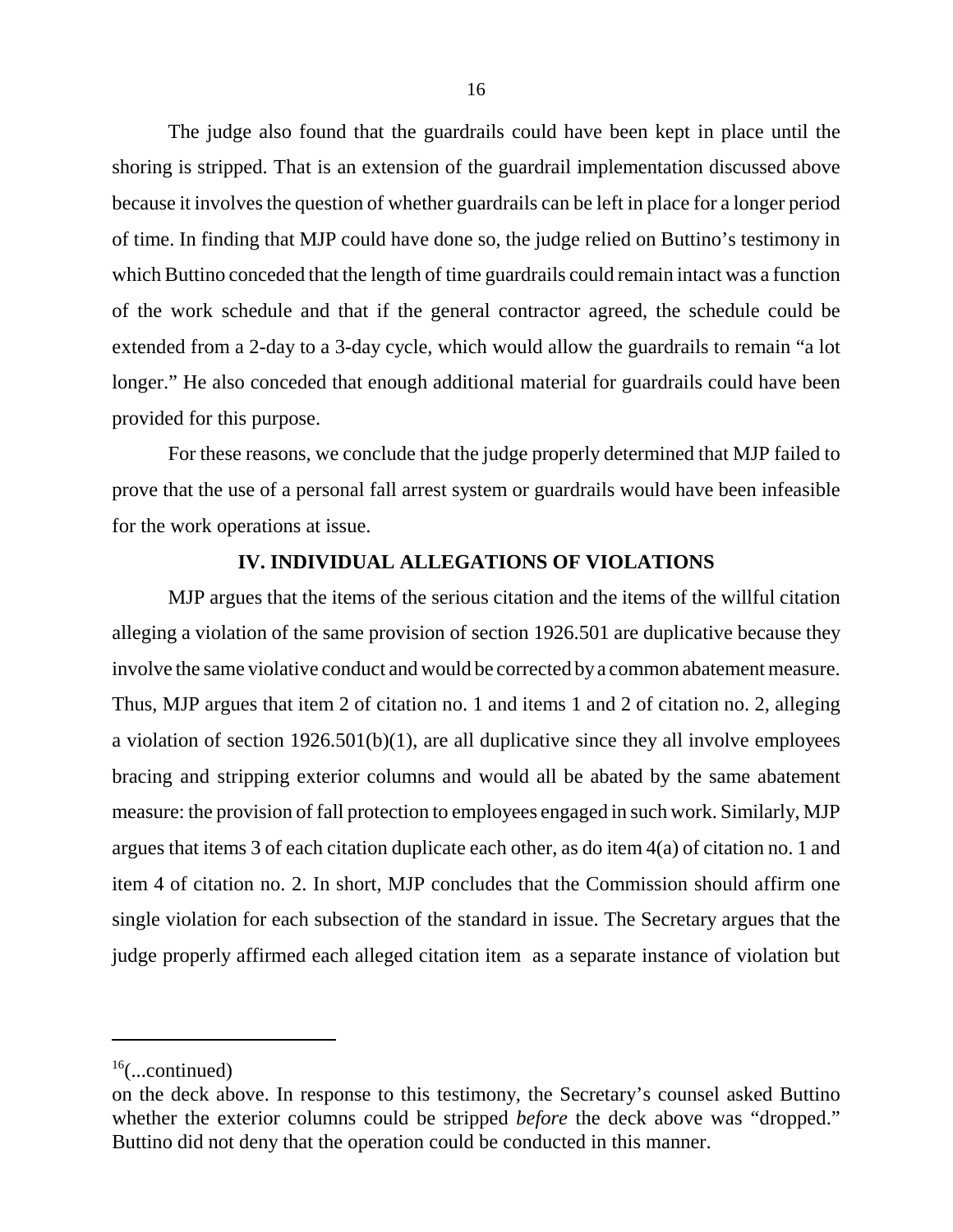The judge also found that the guardrails could have been kept in place until the shoring is stripped. That is an extension of the guardrail implementation discussed above because it involves the question of whether guardrails can be left in place for a longer period of time. In finding that MJP could have done so, the judge relied on Buttino's testimony in which Buttino conceded that the length of time guardrails could remain intact was a function of the work schedule and that if the general contractor agreed, the schedule could be extended from a 2-day to a 3-day cycle, which would allow the guardrails to remain "a lot longer." He also conceded that enough additional material for guardrails could have been provided for this purpose.

For these reasons, we conclude that the judge properly determined that MJP failed to prove that the use of a personal fall arrest system or guardrails would have been infeasible for the work operations at issue.

# **IV. INDIVIDUAL ALLEGATIONS OF VIOLATIONS**

MJP argues that the items of the serious citation and the items of the willful citation alleging a violation of the same provision of section 1926.501 are duplicative because they involve the same violative conduct and would be corrected bya common abatement measure. Thus, MJP argues that item 2 of citation no. 1 and items 1 and 2 of citation no. 2, alleging a violation of section  $1926.501(b)(1)$ , are all duplicative since they all involve employees bracing and stripping exterior columns and would all be abated by the same abatement measure: the provision of fall protection to employees engaged in such work. Similarly, MJP argues that items 3 of each citation duplicate each other, as do item 4(a) of citation no. 1 and item 4 of citation no. 2. In short, MJP concludes that the Commission should affirm one single violation for each subsection of the standard in issue. The Secretary argues that the judge properly affirmed each alleged citation item as a separate instance of violation but

 $16$ (...continued)

on the deck above. In response to this testimony, the Secretary's counsel asked Buttino whether the exterior columns could be stripped *before* the deck above was "dropped." Buttino did not deny that the operation could be conducted in this manner.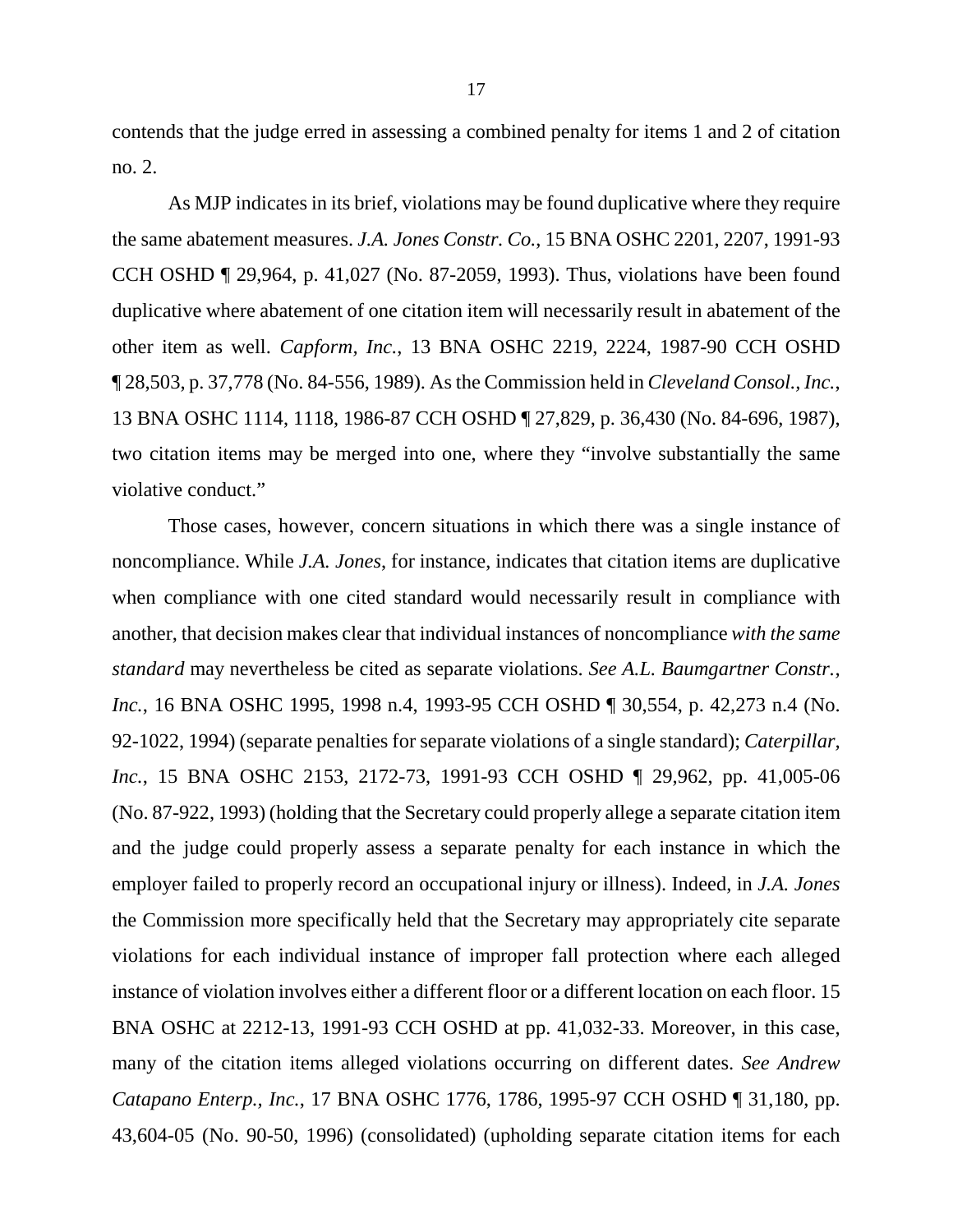contends that the judge erred in assessing a combined penalty for items 1 and 2 of citation no. 2.

As MJP indicates in its brief, violations may be found duplicative where they require the same abatement measures. *J.A. Jones Constr. Co.*, 15 BNA OSHC 2201, 2207, 1991-93 CCH OSHD ¶ 29,964, p. 41,027 (No. 87-2059, 1993). Thus, violations have been found duplicative where abatement of one citation item will necessarily result in abatement of the other item as well. *Capform, Inc.*, 13 BNA OSHC 2219, 2224, 1987-90 CCH OSHD ¶ 28,503, p. 37,778 (No. 84-556, 1989). As the Commission held in *Cleveland Consol., Inc.*, 13 BNA OSHC 1114, 1118, 1986-87 CCH OSHD ¶ 27,829, p. 36,430 (No. 84-696, 1987), two citation items may be merged into one, where they "involve substantially the same violative conduct."

Those cases, however, concern situations in which there was a single instance of noncompliance. While *J.A. Jones*, for instance, indicates that citation items are duplicative when compliance with one cited standard would necessarily result in compliance with another, that decision makes clear that individual instances of noncompliance *with the same standard* may nevertheless be cited as separate violations. *See A.L. Baumgartner Constr., Inc.*, 16 BNA OSHC 1995, 1998 n.4, 1993-95 CCH OSHD ¶ 30,554, p. 42,273 n.4 (No. 92-1022, 1994) (separate penalties for separate violations of a single standard); *Caterpillar, Inc.*, 15 BNA OSHC 2153, 2172-73, 1991-93 CCH OSHD ¶ 29,962, pp. 41,005-06 (No. 87-922, 1993) (holding that the Secretary could properly allege a separate citation item and the judge could properly assess a separate penalty for each instance in which the employer failed to properly record an occupational injury or illness). Indeed, in *J.A. Jones*  the Commission more specifically held that the Secretary may appropriately cite separate violations for each individual instance of improper fall protection where each alleged instance of violation involves either a different floor or a different location on each floor. 15 BNA OSHC at 2212-13, 1991-93 CCH OSHD at pp. 41,032-33. Moreover, in this case, many of the citation items alleged violations occurring on different dates. *See Andrew Catapano Enterp., Inc.*, 17 BNA OSHC 1776, 1786, 1995-97 CCH OSHD ¶ 31,180, pp. 43,604-05 (No. 90-50, 1996) (consolidated) (upholding separate citation items for each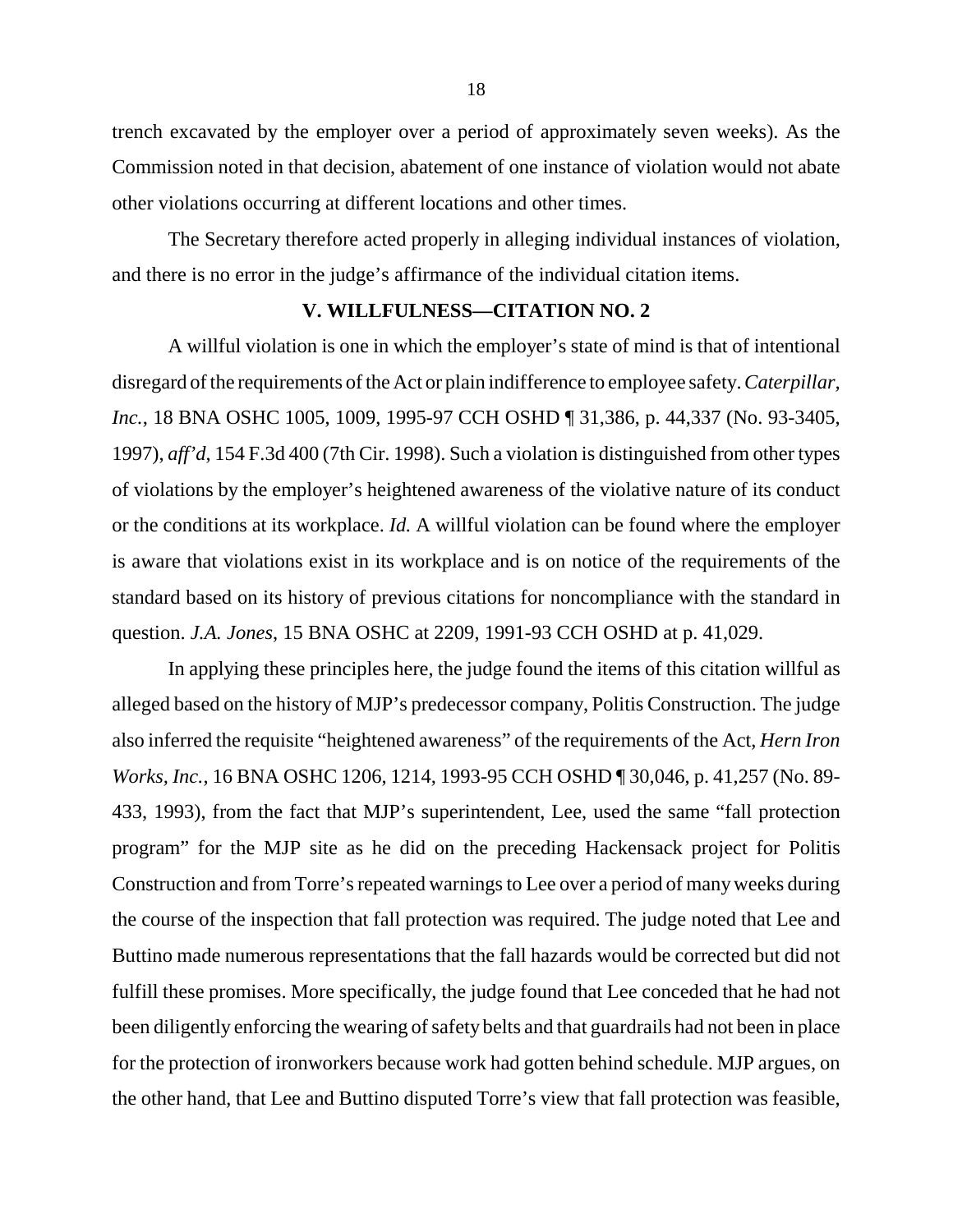trench excavated by the employer over a period of approximately seven weeks). As the Commission noted in that decision, abatement of one instance of violation would not abate other violations occurring at different locations and other times.

The Secretary therefore acted properly in alleging individual instances of violation, and there is no error in the judge's affirmance of the individual citation items.

# **V. WILLFULNESS—CITATION NO. 2**

A willful violation is one in which the employer's state of mind is that of intentional disregard of the requirements of the Act or plain indifference to employee safety. *Caterpillar, Inc.*, 18 BNA OSHC 1005, 1009, 1995-97 CCH OSHD ¶ 31,386, p. 44,337 (No. 93-3405, 1997), *aff'd*, 154 F.3d 400 (7th Cir. 1998). Such a violation is distinguished from other types of violations by the employer's heightened awareness of the violative nature of its conduct or the conditions at its workplace. *Id.* A willful violation can be found where the employer is aware that violations exist in its workplace and is on notice of the requirements of the standard based on its history of previous citations for noncompliance with the standard in question. *J.A. Jones*, 15 BNA OSHC at 2209, 1991-93 CCH OSHD at p. 41,029.

In applying these principles here, the judge found the items of this citation willful as alleged based on the history of MJP's predecessor company, Politis Construction. The judge also inferred the requisite "heightened awareness" of the requirements of the Act, *Hern Iron Works, Inc.*, 16 BNA OSHC 1206, 1214, 1993-95 CCH OSHD ¶ 30,046, p. 41,257 (No. 89- 433, 1993), from the fact that MJP's superintendent, Lee, used the same "fall protection program" for the MJP site as he did on the preceding Hackensack project for Politis Construction and from Torre's repeated warnings to Lee over a period of many weeks during the course of the inspection that fall protection was required. The judge noted that Lee and Buttino made numerous representations that the fall hazards would be corrected but did not fulfill these promises. More specifically, the judge found that Lee conceded that he had not been diligently enforcing the wearing of safety belts and that guardrails had not been in place for the protection of ironworkers because work had gotten behind schedule. MJP argues, on the other hand, that Lee and Buttino disputed Torre's view that fall protection was feasible,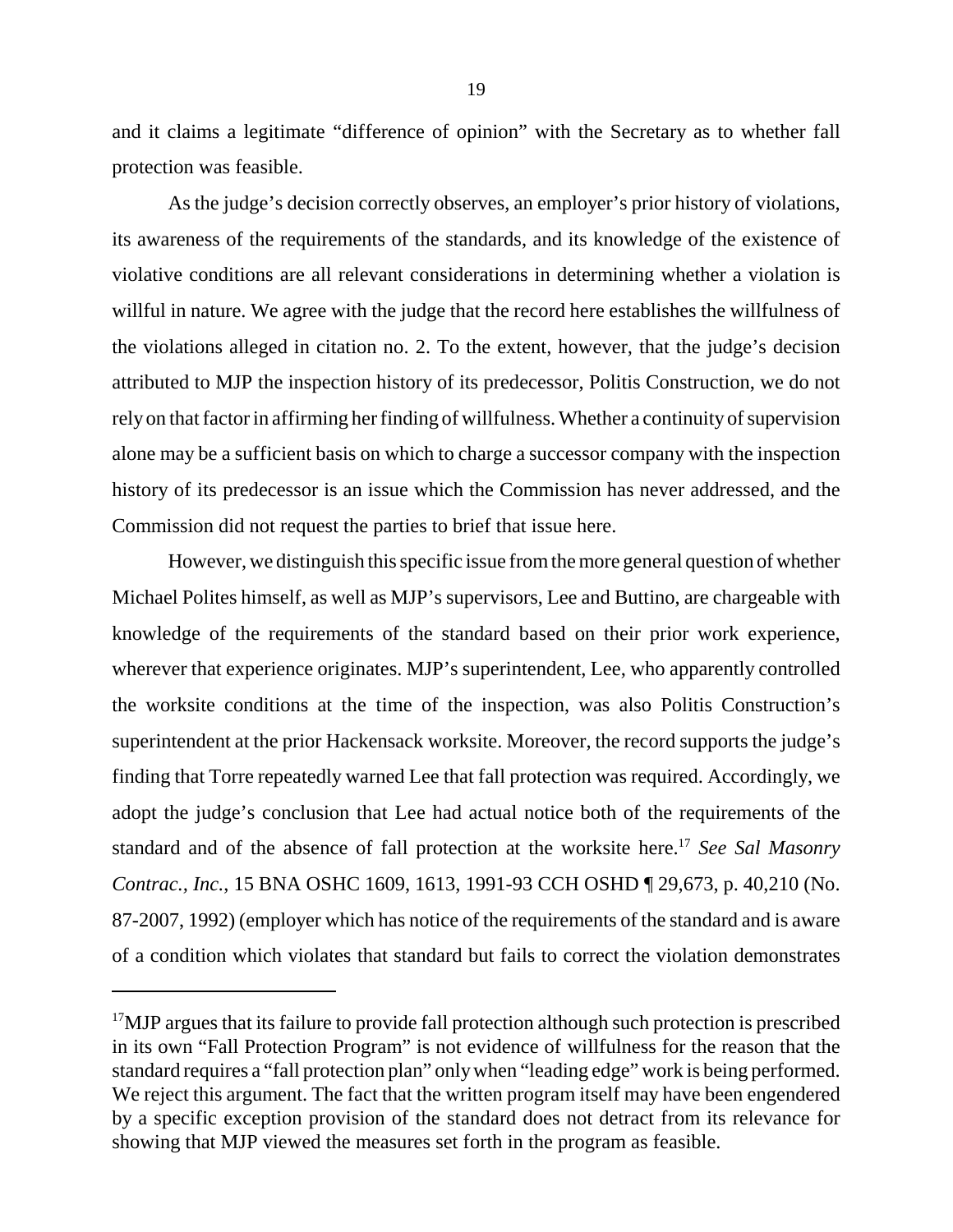and it claims a legitimate "difference of opinion" with the Secretary as to whether fall protection was feasible.

As the judge's decision correctly observes, an employer's prior history of violations, its awareness of the requirements of the standards, and its knowledge of the existence of violative conditions are all relevant considerations in determining whether a violation is willful in nature. We agree with the judge that the record here establishes the willfulness of the violations alleged in citation no. 2. To the extent, however, that the judge's decision attributed to MJP the inspection history of its predecessor, Politis Construction, we do not rely on that factor in affirming her finding of willfulness. Whether a continuity of supervision alone may be a sufficient basis on which to charge a successor company with the inspection history of its predecessor is an issue which the Commission has never addressed, and the Commission did not request the parties to brief that issue here.

However, we distinguish this specific issue from the more general question of whether Michael Polites himself, as well as MJP's supervisors, Lee and Buttino, are chargeable with knowledge of the requirements of the standard based on their prior work experience, wherever that experience originates. MJP's superintendent, Lee, who apparently controlled the worksite conditions at the time of the inspection, was also Politis Construction's superintendent at the prior Hackensack worksite. Moreover, the record supports the judge's finding that Torre repeatedly warned Lee that fall protection was required. Accordingly, we adopt the judge's conclusion that Lee had actual notice both of the requirements of the standard and of the absence of fall protection at the worksite here.17 *See Sal Masonry Contrac., Inc.*, 15 BNA OSHC 1609, 1613, 1991-93 CCH OSHD ¶ 29,673, p. 40,210 (No. 87-2007, 1992) (employer which has notice of the requirements of the standard and is aware of a condition which violates that standard but fails to correct the violation demonstrates

<sup>&</sup>lt;sup>17</sup>MJP argues that its failure to provide fall protection although such protection is prescribed in its own "Fall Protection Program" is not evidence of willfulness for the reason that the standard requires a "fall protection plan" only when "leading edge" work is being performed. We reject this argument. The fact that the written program itself may have been engendered by a specific exception provision of the standard does not detract from its relevance for showing that MJP viewed the measures set forth in the program as feasible.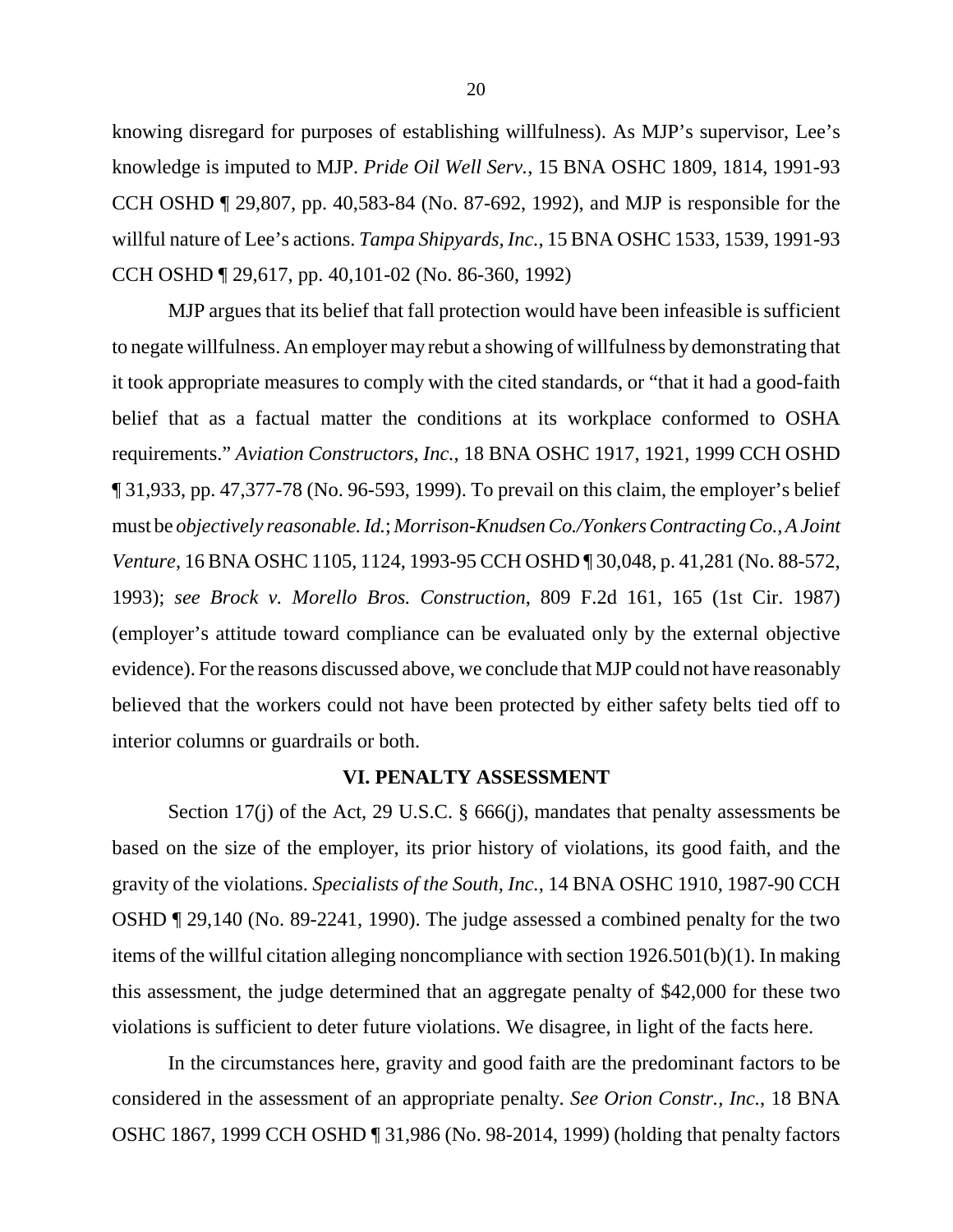knowing disregard for purposes of establishing willfulness). As MJP's supervisor, Lee's knowledge is imputed to MJP. *Pride Oil Well Serv.*, 15 BNA OSHC 1809, 1814, 1991-93 CCH OSHD ¶ 29,807, pp. 40,583-84 (No. 87-692, 1992), and MJP is responsible for the willful nature of Lee's actions. *Tampa Shipyards, Inc.*, 15 BNA OSHC 1533, 1539, 1991-93 CCH OSHD ¶ 29,617, pp. 40,101-02 (No. 86-360, 1992)

MJP argues that its belief that fall protection would have been infeasible is sufficient to negate willfulness. An employer may rebut a showing of willfulness by demonstrating that it took appropriate measures to comply with the cited standards, or "that it had a good-faith belief that as a factual matter the conditions at its workplace conformed to OSHA requirements." *Aviation Constructors, Inc.*, 18 BNA OSHC 1917, 1921, 1999 CCH OSHD ¶ 31,933, pp. 47,377-78 (No. 96-593, 1999). To prevail on this claim, the employer's belief must be *objectively reasonable. Id.*; *Morrison-Knudsen Co./Yonkers Contracting Co., A Joint Venture*, 16 BNA OSHC 1105, 1124, 1993-95 CCH OSHD ¶ 30,048, p. 41,281 (No. 88-572, 1993); *see Brock v. Morello Bros. Construction*, 809 F.2d 161, 165 (1st Cir. 1987) (employer's attitude toward compliance can be evaluated only by the external objective evidence). For the reasons discussed above, we conclude that MJP could not have reasonably believed that the workers could not have been protected by either safety belts tied off to interior columns or guardrails or both.

#### **VI. PENALTY ASSESSMENT**

Section 17(j) of the Act, 29 U.S.C. § 666(j), mandates that penalty assessments be based on the size of the employer, its prior history of violations, its good faith, and the gravity of the violations. *Specialists of the South, Inc.*, 14 BNA OSHC 1910, 1987-90 CCH OSHD ¶ 29,140 (No. 89-2241, 1990). The judge assessed a combined penalty for the two items of the willful citation alleging noncompliance with section 1926.501(b)(1). In making this assessment, the judge determined that an aggregate penalty of \$42,000 for these two violations is sufficient to deter future violations. We disagree, in light of the facts here.

In the circumstances here, gravity and good faith are the predominant factors to be considered in the assessment of an appropriate penalty. *See Orion Constr., Inc.*, 18 BNA OSHC 1867, 1999 CCH OSHD ¶ 31,986 (No. 98-2014, 1999) (holding that penalty factors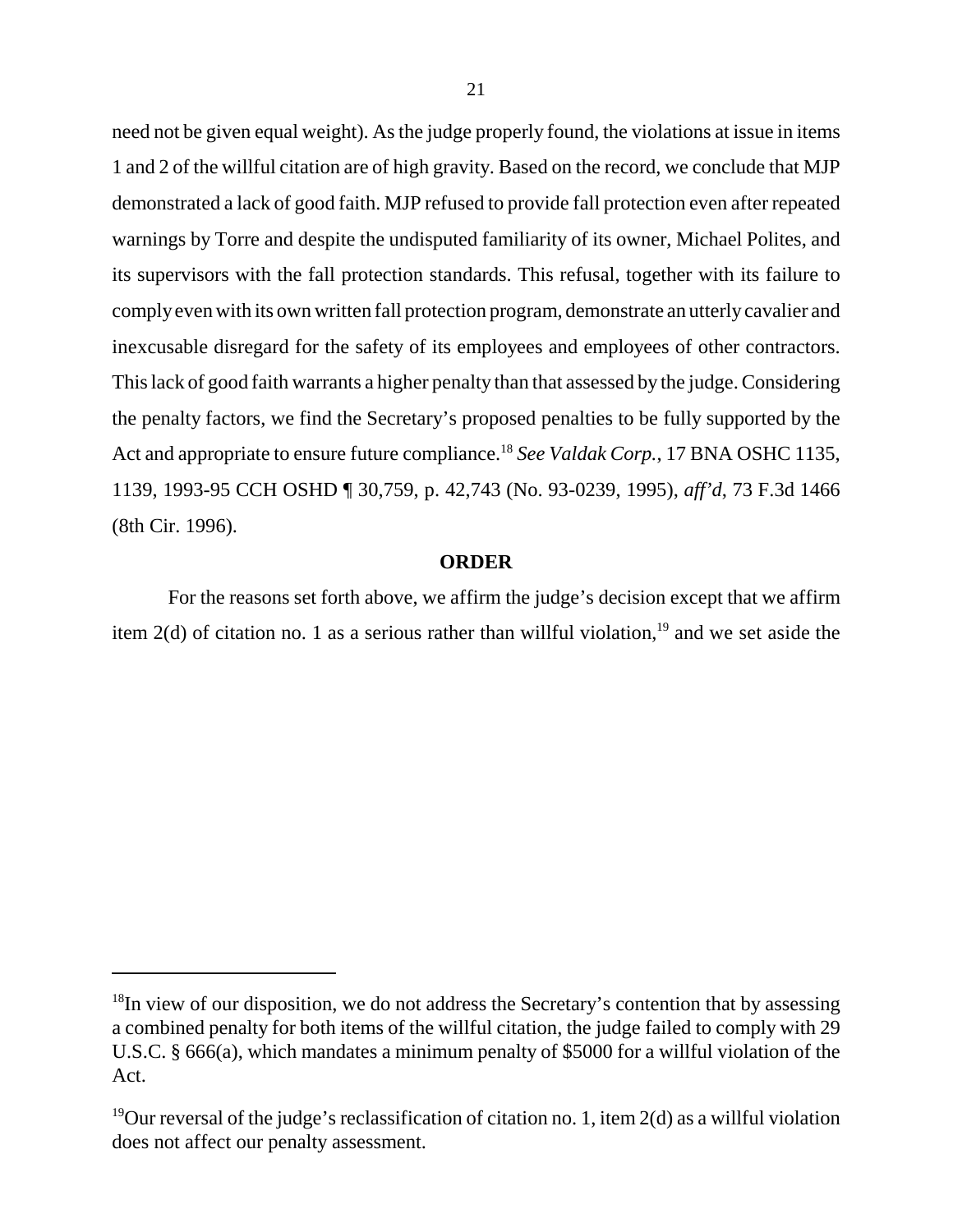need not be given equal weight). As the judge properly found, the violations at issue in items 1 and 2 of the willful citation are of high gravity. Based on the record, we conclude that MJP demonstrated a lack of good faith. MJP refused to provide fall protection even after repeated warnings by Torre and despite the undisputed familiarity of its owner, Michael Polites, and its supervisors with the fall protection standards. This refusal, together with its failure to comply even with its own written fall protection program, demonstrate an utterly cavalier and inexcusable disregard for the safety of its employees and employees of other contractors. This lack of good faith warrants a higher penalty than that assessed by the judge. Considering the penalty factors, we find the Secretary's proposed penalties to be fully supported by the Act and appropriate to ensure future compliance.18 *See Valdak Corp.*, 17 BNA OSHC 1135, 1139, 1993-95 CCH OSHD ¶ 30,759, p. 42,743 (No. 93-0239, 1995), *aff'd*, 73 F.3d 1466 (8th Cir. 1996).

## **ORDER**

For the reasons set forth above, we affirm the judge's decision except that we affirm item 2(d) of citation no. 1 as a serious rather than willful violation,<sup>19</sup> and we set aside the

 $18$ In view of our disposition, we do not address the Secretary's contention that by assessing a combined penalty for both items of the willful citation, the judge failed to comply with 29 U.S.C. § 666(a), which mandates a minimum penalty of \$5000 for a willful violation of the Act.

<sup>&</sup>lt;sup>19</sup>Our reversal of the judge's reclassification of citation no. 1, item  $2(d)$  as a willful violation does not affect our penalty assessment.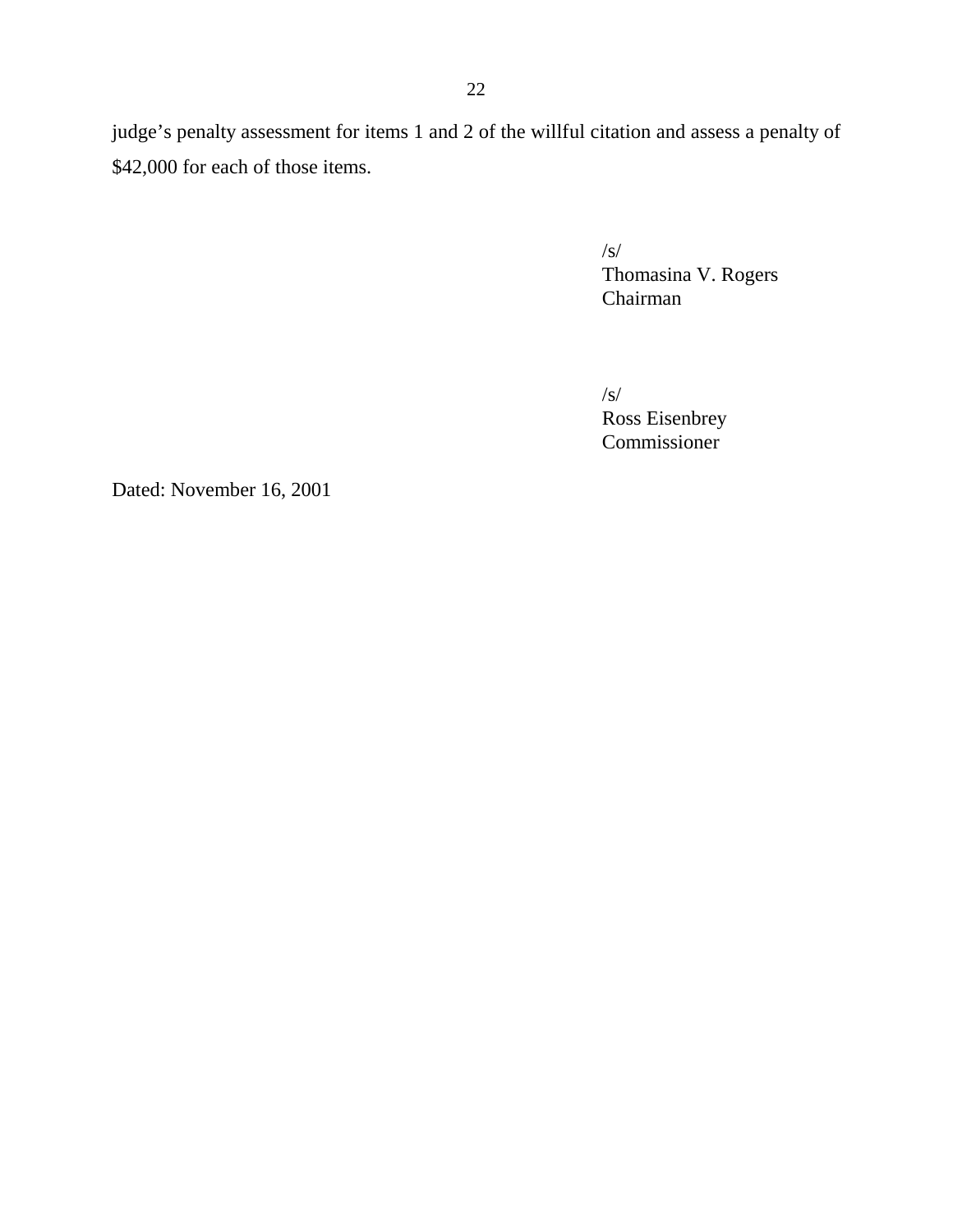judge's penalty assessment for items 1 and 2 of the willful citation and assess a penalty of \$42,000 for each of those items.

> /s/ Thomasina V. Rogers Chairman

/s/ Ross Eisenbrey Commissioner

Dated: November 16, 2001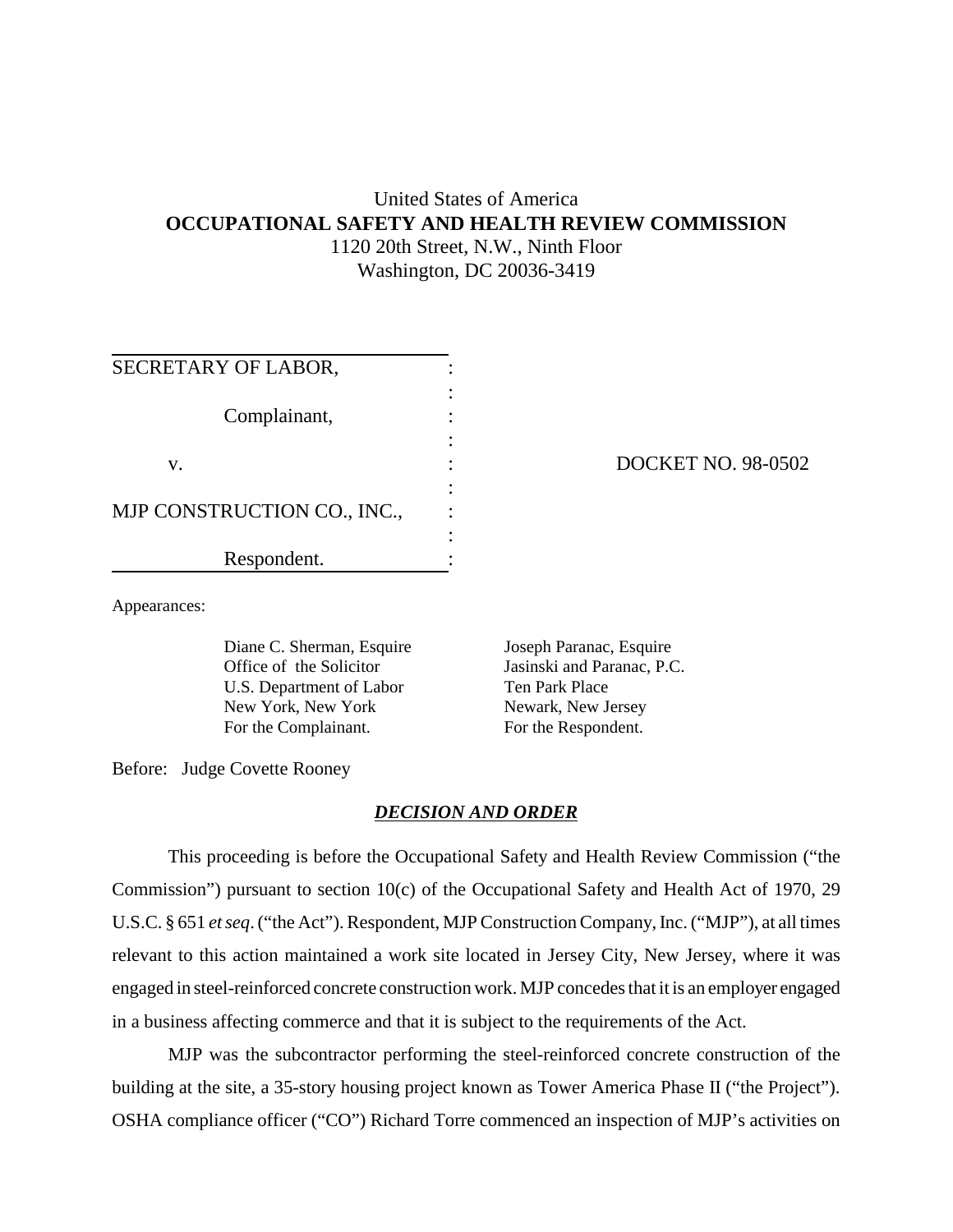# United States of America **OCCUPATIONAL SAFETY AND HEALTH REVIEW COMMISSION** 1120 20th Street, N.W., Ninth Floor Washington, DC 20036-3419

| SECRETARY OF LABOR,         |  |  |
|-----------------------------|--|--|
|                             |  |  |
| Complainant,                |  |  |
| V.                          |  |  |
|                             |  |  |
| MJP CONSTRUCTION CO., INC., |  |  |
| Respondent.                 |  |  |

## DOCKET NO. 98-0502

Appearances:

Diane C. Sherman, Esquire Office of the Solicitor U.S. Department of Labor New York, New York For the Complainant.

Joseph Paranac, Esquire Jasinski and Paranac, P.C. Ten Park Place Newark, New Jersey For the Respondent.

Before: Judge Covette Rooney

#### *DECISION AND ORDER*

This proceeding is before the Occupational Safety and Health Review Commission ("the Commission") pursuant to section 10(c) of the Occupational Safety and Health Act of 1970, 29 U.S.C. § 651 *et seq*. ("the Act"). Respondent, MJP Construction Company, Inc. ("MJP"), at all times relevant to this action maintained a work site located in Jersey City, New Jersey, where it was engaged in steel-reinforced concrete construction work. MJP concedes that it is an employer engaged in a business affecting commerce and that it is subject to the requirements of the Act.

MJP was the subcontractor performing the steel-reinforced concrete construction of the building at the site, a 35-story housing project known as Tower America Phase II ("the Project"). OSHA compliance officer ("CO") Richard Torre commenced an inspection of MJP's activities on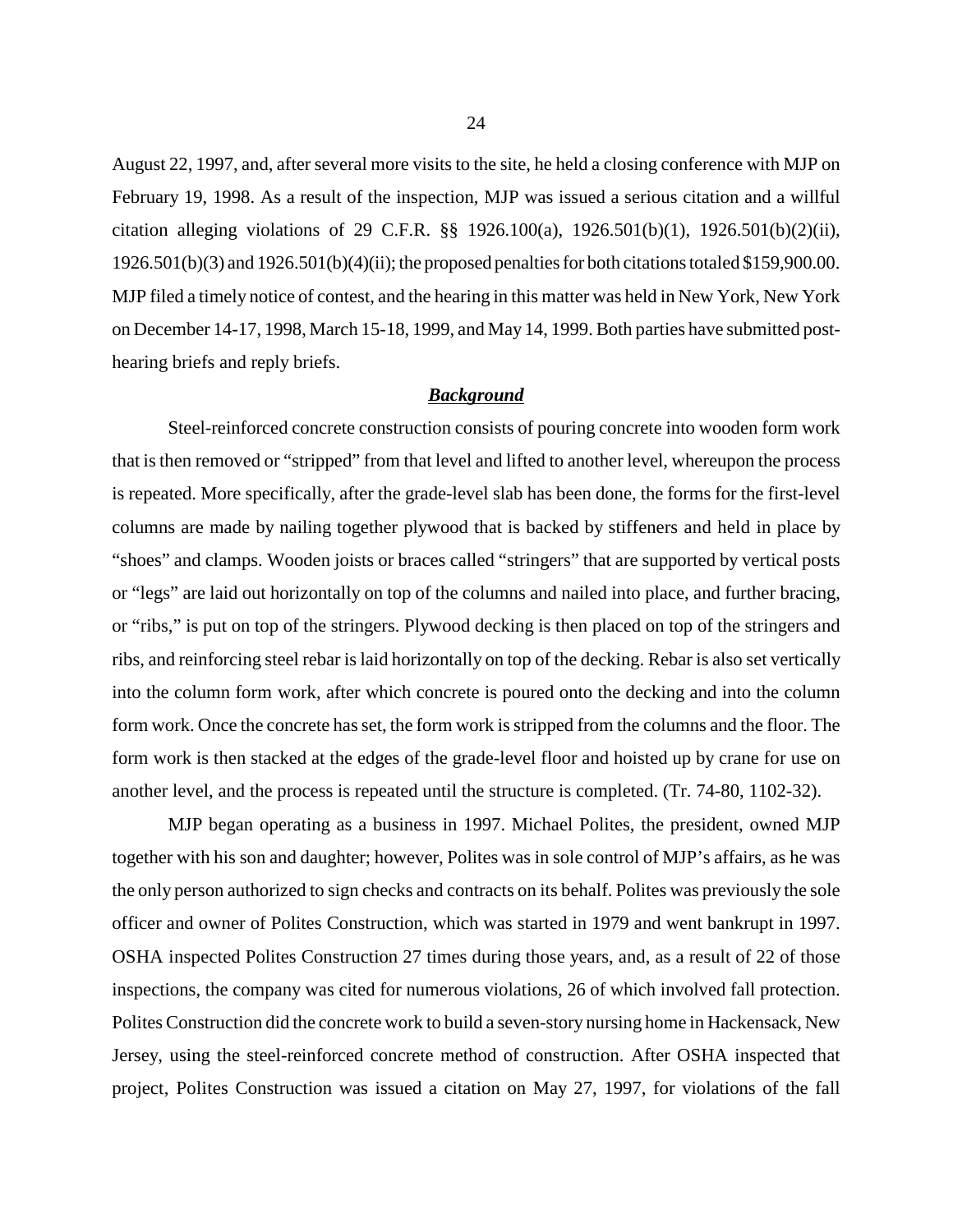August 22, 1997, and, after several more visits to the site, he held a closing conference with MJP on February 19, 1998. As a result of the inspection, MJP was issued a serious citation and a willful citation alleging violations of 29 C.F.R. §§ 1926.100(a), 1926.501(b)(1), 1926.501(b)(2)(ii), 1926.501(b)(3) and 1926.501(b)(4)(ii); the proposed penalties for both citations totaled \$159,900.00. MJP filed a timely notice of contest, and the hearing in this matter was held in New York, New York on December 14-17, 1998, March 15-18, 1999, and May 14, 1999. Both parties have submitted posthearing briefs and reply briefs.

#### *Background*

Steel-reinforced concrete construction consists of pouring concrete into wooden form work that is then removed or "stripped" from that level and lifted to another level, whereupon the process is repeated. More specifically, after the grade-level slab has been done, the forms for the first-level columns are made by nailing together plywood that is backed by stiffeners and held in place by "shoes" and clamps. Wooden joists or braces called "stringers" that are supported by vertical posts or "legs" are laid out horizontally on top of the columns and nailed into place, and further bracing, or "ribs," is put on top of the stringers. Plywood decking is then placed on top of the stringers and ribs, and reinforcing steel rebar is laid horizontally on top of the decking. Rebar is also set vertically into the column form work, after which concrete is poured onto the decking and into the column form work. Once the concrete has set, the form work is stripped from the columns and the floor. The form work is then stacked at the edges of the grade-level floor and hoisted up by crane for use on another level, and the process is repeated until the structure is completed. (Tr. 74-80, 1102-32).

MJP began operating as a business in 1997. Michael Polites, the president, owned MJP together with his son and daughter; however, Polites was in sole control of MJP's affairs, as he was the only person authorized to sign checks and contracts on its behalf. Polites was previously the sole officer and owner of Polites Construction, which was started in 1979 and went bankrupt in 1997. OSHA inspected Polites Construction 27 times during those years, and, as a result of 22 of those inspections, the company was cited for numerous violations, 26 of which involved fall protection. Polites Construction did the concrete work to build a seven-story nursing home in Hackensack, New Jersey, using the steel-reinforced concrete method of construction. After OSHA inspected that project, Polites Construction was issued a citation on May 27, 1997, for violations of the fall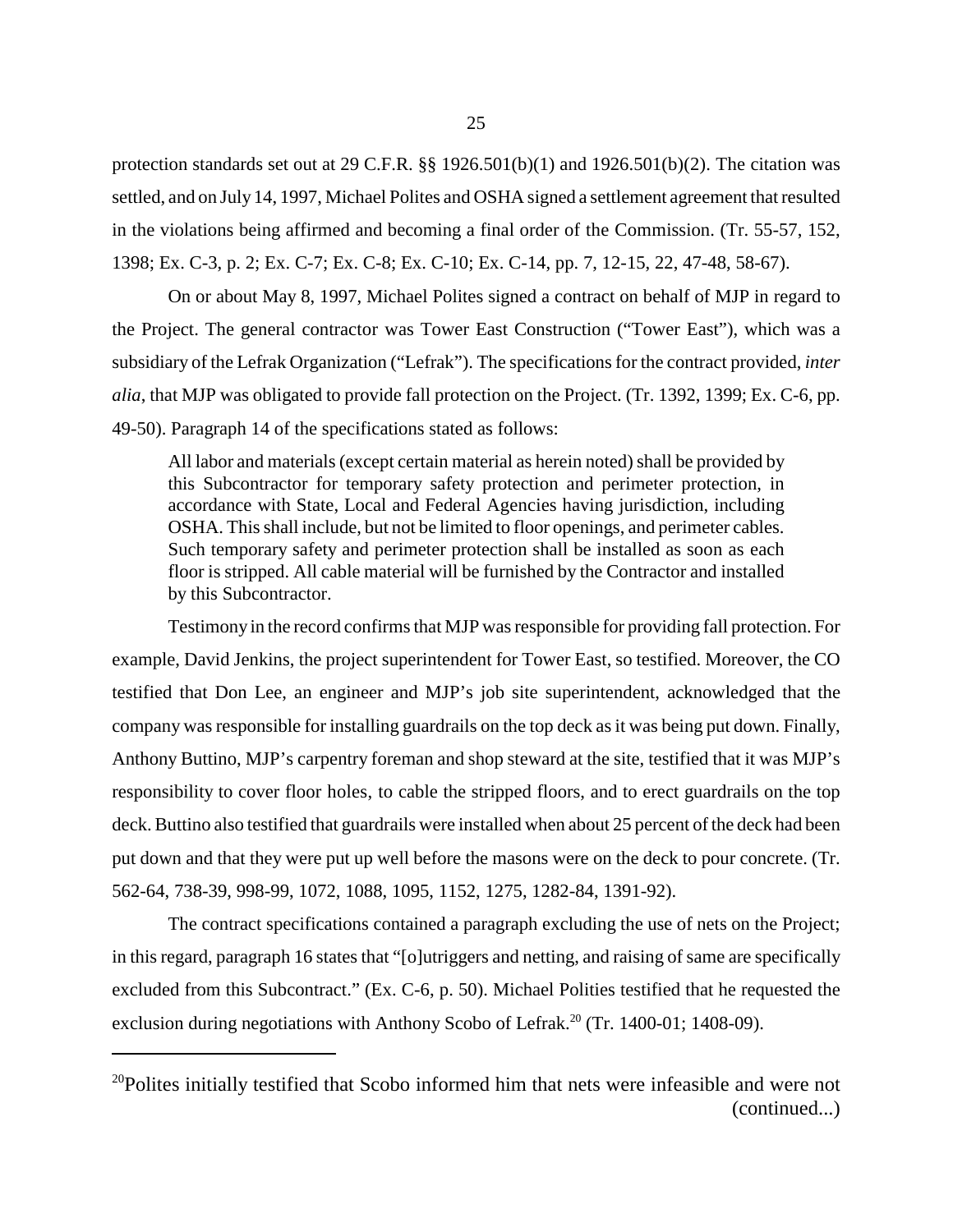protection standards set out at 29 C.F.R.  $\S$  1926.501(b)(1) and 1926.501(b)(2). The citation was settled, and on July 14, 1997, Michael Polites and OSHA signed a settlement agreement that resulted in the violations being affirmed and becoming a final order of the Commission. (Tr. 55-57, 152, 1398; Ex. C-3, p. 2; Ex. C-7; Ex. C-8; Ex. C-10; Ex. C-14, pp. 7, 12-15, 22, 47-48, 58-67).

On or about May 8, 1997, Michael Polites signed a contract on behalf of MJP in regard to the Project. The general contractor was Tower East Construction ("Tower East"), which was a subsidiary of the Lefrak Organization ("Lefrak"). The specifications for the contract provided, *inter alia*, that MJP was obligated to provide fall protection on the Project. (Tr. 1392, 1399; Ex. C-6, pp. 49-50). Paragraph 14 of the specifications stated as follows:

All labor and materials (except certain material as herein noted) shall be provided by this Subcontractor for temporary safety protection and perimeter protection, in accordance with State, Local and Federal Agencies having jurisdiction, including OSHA. This shall include, but not be limited to floor openings, and perimeter cables. Such temporary safety and perimeter protection shall be installed as soon as each floor is stripped. All cable material will be furnished by the Contractor and installed by this Subcontractor.

Testimony in the record confirms that MJP was responsible for providing fall protection. For example, David Jenkins, the project superintendent for Tower East, so testified. Moreover, the CO testified that Don Lee, an engineer and MJP's job site superintendent, acknowledged that the company was responsible for installing guardrails on the top deck as it was being put down. Finally, Anthony Buttino, MJP's carpentry foreman and shop steward at the site, testified that it was MJP's responsibility to cover floor holes, to cable the stripped floors, and to erect guardrails on the top deck. Buttino also testified that guardrails were installed when about 25 percent of the deck had been put down and that they were put up well before the masons were on the deck to pour concrete. (Tr. 562-64, 738-39, 998-99, 1072, 1088, 1095, 1152, 1275, 1282-84, 1391-92).

The contract specifications contained a paragraph excluding the use of nets on the Project; in this regard, paragraph 16 states that "[o]utriggers and netting, and raising of same are specifically excluded from this Subcontract." (Ex. C-6, p. 50). Michael Polities testified that he requested the exclusion during negotiations with Anthony Scobo of Lefrak.<sup>20</sup> (Tr. 1400-01; 1408-09).

<sup>&</sup>lt;sup>20</sup>Polites initially testified that Scobo informed him that nets were infeasible and were not (continued...)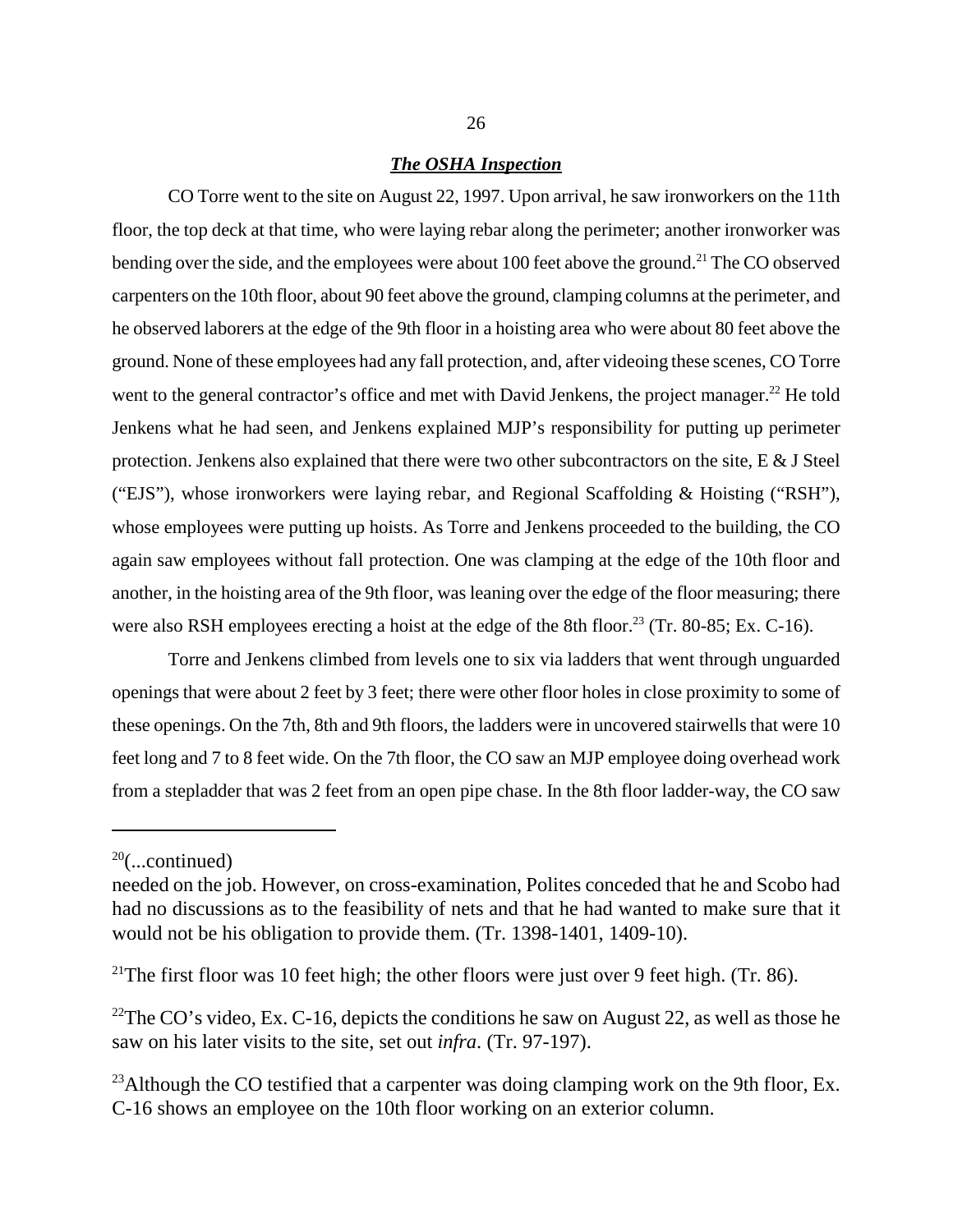#### *The OSHA Inspection*

CO Torre went to the site on August 22, 1997. Upon arrival, he saw ironworkers on the 11th floor, the top deck at that time, who were laying rebar along the perimeter; another ironworker was bending over the side, and the employees were about 100 feet above the ground.<sup>21</sup> The CO observed carpenters on the 10th floor, about 90 feet above the ground, clamping columns at the perimeter, and he observed laborers at the edge of the 9th floor in a hoisting area who were about 80 feet above the ground. None of these employees had any fall protection, and, after videoing these scenes, CO Torre went to the general contractor's office and met with David Jenkens, the project manager.<sup>22</sup> He told Jenkens what he had seen, and Jenkens explained MJP's responsibility for putting up perimeter protection. Jenkens also explained that there were two other subcontractors on the site, E & J Steel ("EJS"), whose ironworkers were laying rebar, and Regional Scaffolding & Hoisting ("RSH"), whose employees were putting up hoists. As Torre and Jenkens proceeded to the building, the CO again saw employees without fall protection. One was clamping at the edge of the 10th floor and another, in the hoisting area of the 9th floor, was leaning over the edge of the floor measuring; there were also RSH employees erecting a hoist at the edge of the 8th floor.<sup>23</sup> (Tr. 80-85; Ex. C-16).

Torre and Jenkens climbed from levels one to six via ladders that went through unguarded openings that were about 2 feet by 3 feet; there were other floor holes in close proximity to some of these openings. On the 7th, 8th and 9th floors, the ladders were in uncovered stairwells that were 10 feet long and 7 to 8 feet wide. On the 7th floor, the CO saw an MJP employee doing overhead work from a stepladder that was 2 feet from an open pipe chase. In the 8th floor ladder-way, the CO saw

 $20$ (...continued)

needed on the job. However, on cross-examination, Polites conceded that he and Scobo had had no discussions as to the feasibility of nets and that he had wanted to make sure that it would not be his obligation to provide them. (Tr. 1398-1401, 1409-10).

<sup>&</sup>lt;sup>21</sup>The first floor was 10 feet high; the other floors were just over 9 feet high. (Tr. 86).

<sup>&</sup>lt;sup>22</sup>The CO's video, Ex. C-16, depicts the conditions he saw on August 22, as well as those he saw on his later visits to the site, set out *infra*. (Tr. 97-197).

<sup>&</sup>lt;sup>23</sup>Although the CO testified that a carpenter was doing clamping work on the 9th floor, Ex. C-16 shows an employee on the 10th floor working on an exterior column.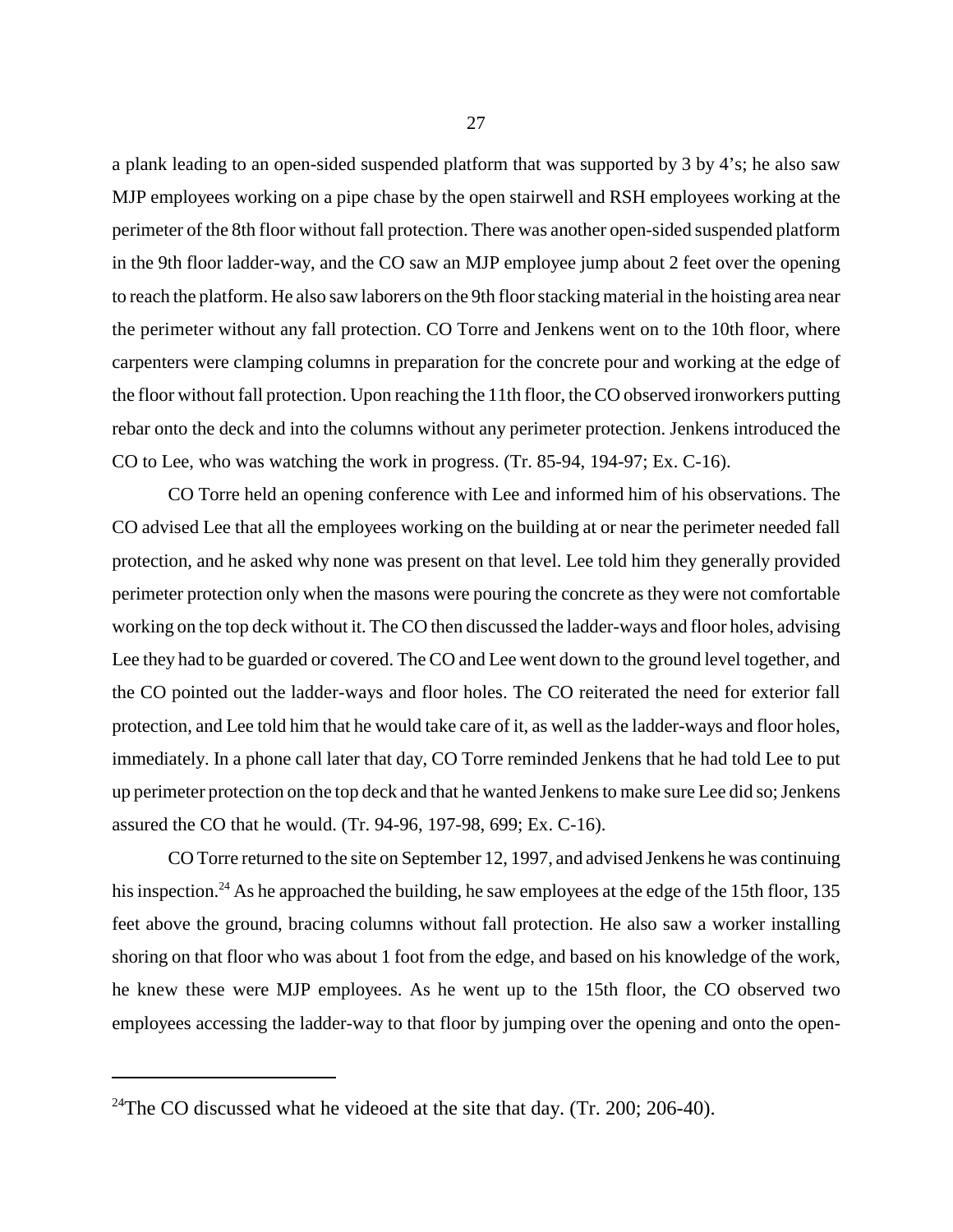a plank leading to an open-sided suspended platform that was supported by 3 by 4's; he also saw MJP employees working on a pipe chase by the open stairwell and RSH employees working at the perimeter of the 8th floor without fall protection. There was another open-sided suspended platform in the 9th floor ladder-way, and the CO saw an MJP employee jump about 2 feet over the opening to reach the platform. He also saw laborers on the 9th floor stacking material in the hoisting area near the perimeter without any fall protection. CO Torre and Jenkens went on to the 10th floor, where carpenters were clamping columns in preparation for the concrete pour and working at the edge of the floor without fall protection. Upon reaching the 11th floor, the CO observed ironworkers putting rebar onto the deck and into the columns without any perimeter protection. Jenkens introduced the CO to Lee, who was watching the work in progress. (Tr. 85-94, 194-97; Ex. C-16).

CO Torre held an opening conference with Lee and informed him of his observations. The CO advised Lee that all the employees working on the building at or near the perimeter needed fall protection, and he asked why none was present on that level. Lee told him they generally provided perimeter protection only when the masons were pouring the concrete as they were not comfortable working on the top deck without it. The CO then discussed the ladder-ways and floor holes, advising Lee they had to be guarded or covered. The CO and Lee went down to the ground level together, and the CO pointed out the ladder-ways and floor holes. The CO reiterated the need for exterior fall protection, and Lee told him that he would take care of it, as well as the ladder-ways and floor holes, immediately. In a phone call later that day, CO Torre reminded Jenkens that he had told Lee to put up perimeter protection on the top deck and that he wanted Jenkens to make sure Lee did so; Jenkens assured the CO that he would. (Tr. 94-96, 197-98, 699; Ex. C-16).

CO Torre returned to the site on September 12, 1997, and advised Jenkens he was continuing his inspection.<sup>24</sup> As he approached the building, he saw employees at the edge of the 15th floor, 135 feet above the ground, bracing columns without fall protection. He also saw a worker installing shoring on that floor who was about 1 foot from the edge, and based on his knowledge of the work, he knew these were MJP employees. As he went up to the 15th floor, the CO observed two employees accessing the ladder-way to that floor by jumping over the opening and onto the open-

<sup>&</sup>lt;sup>24</sup>The CO discussed what he videoed at the site that day. (Tr. 200; 206-40).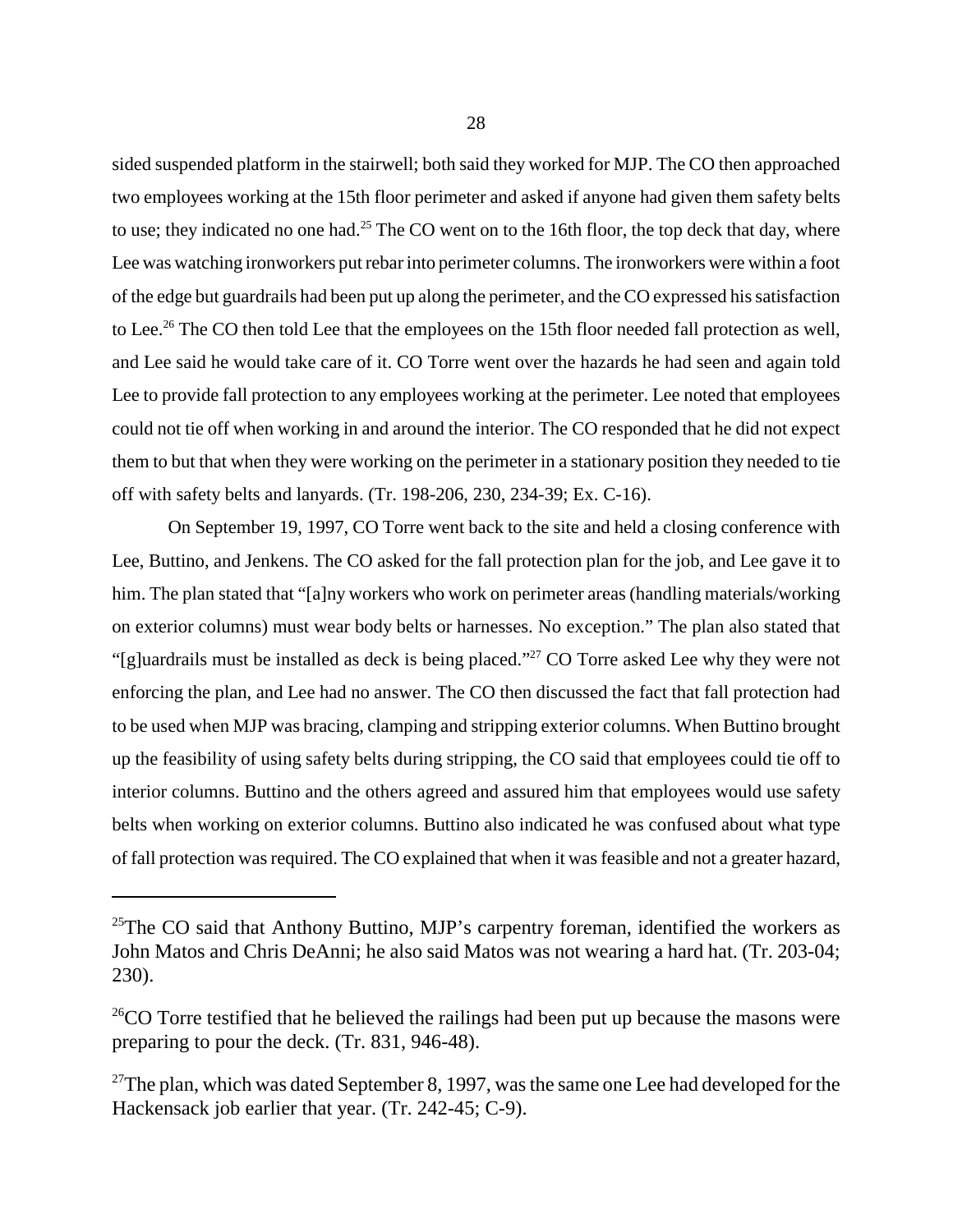sided suspended platform in the stairwell; both said they worked for MJP. The CO then approached two employees working at the 15th floor perimeter and asked if anyone had given them safety belts to use; they indicated no one had.<sup>25</sup> The CO went on to the 16th floor, the top deck that day, where Lee was watching ironworkers put rebar into perimeter columns. The ironworkers were within a foot of the edge but guardrails had been put up along the perimeter, and the CO expressed his satisfaction to Lee.<sup>26</sup> The CO then told Lee that the employees on the 15th floor needed fall protection as well, and Lee said he would take care of it. CO Torre went over the hazards he had seen and again told Lee to provide fall protection to any employees working at the perimeter. Lee noted that employees could not tie off when working in and around the interior. The CO responded that he did not expect them to but that when they were working on the perimeter in a stationary position they needed to tie off with safety belts and lanyards. (Tr. 198-206, 230, 234-39; Ex. C-16).

On September 19, 1997, CO Torre went back to the site and held a closing conference with Lee, Buttino, and Jenkens. The CO asked for the fall protection plan for the job, and Lee gave it to him. The plan stated that "[a]ny workers who work on perimeter areas (handling materials/working on exterior columns) must wear body belts or harnesses. No exception." The plan also stated that "[g]uardrails must be installed as deck is being placed."27 CO Torre asked Lee why they were not enforcing the plan, and Lee had no answer. The CO then discussed the fact that fall protection had to be used when MJP was bracing, clamping and stripping exterior columns. When Buttino brought up the feasibility of using safety belts during stripping, the CO said that employees could tie off to interior columns. Buttino and the others agreed and assured him that employees would use safety belts when working on exterior columns. Buttino also indicated he was confused about what type of fall protection was required. The CO explained that when it was feasible and not a greater hazard,

<sup>&</sup>lt;sup>25</sup>The CO said that Anthony Buttino, MJP's carpentry foreman, identified the workers as John Matos and Chris DeAnni; he also said Matos was not wearing a hard hat. (Tr. 203-04; 230).

 $^{26}$ CO Torre testified that he believed the railings had been put up because the masons were preparing to pour the deck. (Tr. 831, 946-48).

<sup>&</sup>lt;sup>27</sup>The plan, which was dated September 8, 1997, was the same one Lee had developed for the Hackensack job earlier that year. (Tr. 242-45; C-9).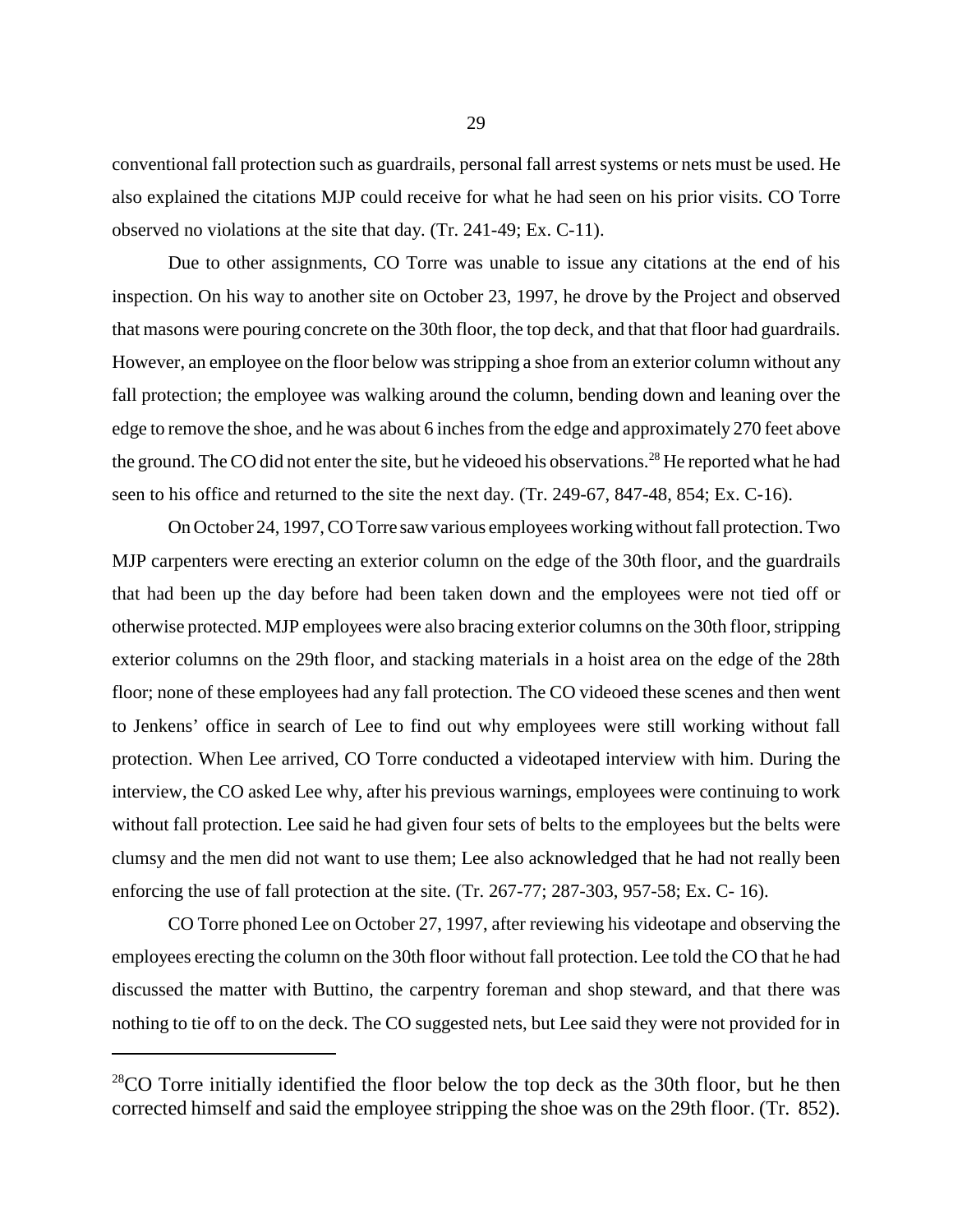conventional fall protection such as guardrails, personal fall arrest systems or nets must be used. He also explained the citations MJP could receive for what he had seen on his prior visits. CO Torre observed no violations at the site that day. (Tr. 241-49; Ex. C-11).

Due to other assignments, CO Torre was unable to issue any citations at the end of his inspection. On his way to another site on October 23, 1997, he drove by the Project and observed that masons were pouring concrete on the 30th floor, the top deck, and that that floor had guardrails. However, an employee on the floor below was stripping a shoe from an exterior column without any fall protection; the employee was walking around the column, bending down and leaning over the edge to remove the shoe, and he was about 6 inches from the edge and approximately 270 feet above the ground. The CO did not enter the site, but he videoed his observations.<sup>28</sup> He reported what he had seen to his office and returned to the site the next day. (Tr. 249-67, 847-48, 854; Ex. C-16).

On October 24, 1997, CO Torre saw various employees working without fall protection. Two MJP carpenters were erecting an exterior column on the edge of the 30th floor, and the guardrails that had been up the day before had been taken down and the employees were not tied off or otherwise protected. MJP employees were also bracing exterior columns on the 30th floor, stripping exterior columns on the 29th floor, and stacking materials in a hoist area on the edge of the 28th floor; none of these employees had any fall protection. The CO videoed these scenes and then went to Jenkens' office in search of Lee to find out why employees were still working without fall protection. When Lee arrived, CO Torre conducted a videotaped interview with him. During the interview, the CO asked Lee why, after his previous warnings, employees were continuing to work without fall protection. Lee said he had given four sets of belts to the employees but the belts were clumsy and the men did not want to use them; Lee also acknowledged that he had not really been enforcing the use of fall protection at the site. (Tr. 267-77; 287-303, 957-58; Ex. C- 16).

CO Torre phoned Lee on October 27, 1997, after reviewing his videotape and observing the employees erecting the column on the 30th floor without fall protection. Lee told the CO that he had discussed the matter with Buttino, the carpentry foreman and shop steward, and that there was nothing to tie off to on the deck. The CO suggested nets, but Lee said they were not provided for in

 $^{28}$ CO Torre initially identified the floor below the top deck as the 30th floor, but he then corrected himself and said the employee stripping the shoe was on the 29th floor. (Tr. 852).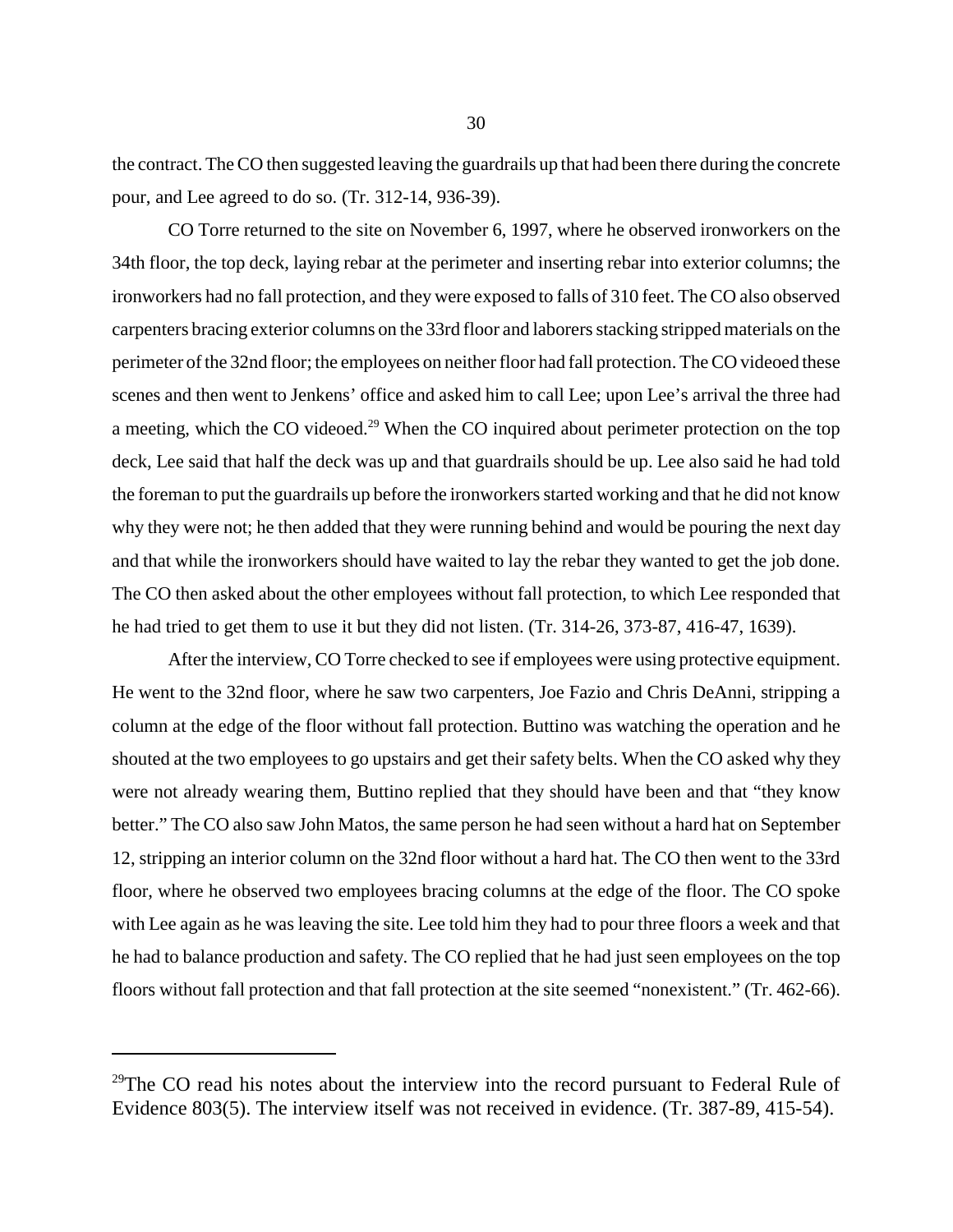the contract. The CO then suggested leaving the guardrails up that had been there during the concrete pour, and Lee agreed to do so. (Tr. 312-14, 936-39).

CO Torre returned to the site on November 6, 1997, where he observed ironworkers on the 34th floor, the top deck, laying rebar at the perimeter and inserting rebar into exterior columns; the ironworkers had no fall protection, and they were exposed to falls of 310 feet. The CO also observed carpenters bracing exterior columns on the 33rd floor and laborers stacking stripped materials on the perimeter of the 32nd floor; the employees on neither floor had fall protection. The CO videoed these scenes and then went to Jenkens' office and asked him to call Lee; upon Lee's arrival the three had a meeting, which the CO videoed.<sup>29</sup> When the CO inquired about perimeter protection on the top deck, Lee said that half the deck was up and that guardrails should be up. Lee also said he had told the foreman to put the guardrails up before the ironworkers started working and that he did not know why they were not; he then added that they were running behind and would be pouring the next day and that while the ironworkers should have waited to lay the rebar they wanted to get the job done. The CO then asked about the other employees without fall protection, to which Lee responded that he had tried to get them to use it but they did not listen. (Tr. 314-26, 373-87, 416-47, 1639).

After the interview, CO Torre checked to see if employees were using protective equipment. He went to the 32nd floor, where he saw two carpenters, Joe Fazio and Chris DeAnni, stripping a column at the edge of the floor without fall protection. Buttino was watching the operation and he shouted at the two employees to go upstairs and get their safety belts. When the CO asked why they were not already wearing them, Buttino replied that they should have been and that "they know better." The CO also saw John Matos, the same person he had seen without a hard hat on September 12, stripping an interior column on the 32nd floor without a hard hat. The CO then went to the 33rd floor, where he observed two employees bracing columns at the edge of the floor. The CO spoke with Lee again as he was leaving the site. Lee told him they had to pour three floors a week and that he had to balance production and safety. The CO replied that he had just seen employees on the top floors without fall protection and that fall protection at the site seemed "nonexistent." (Tr. 462-66).

 $29$ The CO read his notes about the interview into the record pursuant to Federal Rule of Evidence 803(5). The interview itself was not received in evidence. (Tr. 387-89, 415-54).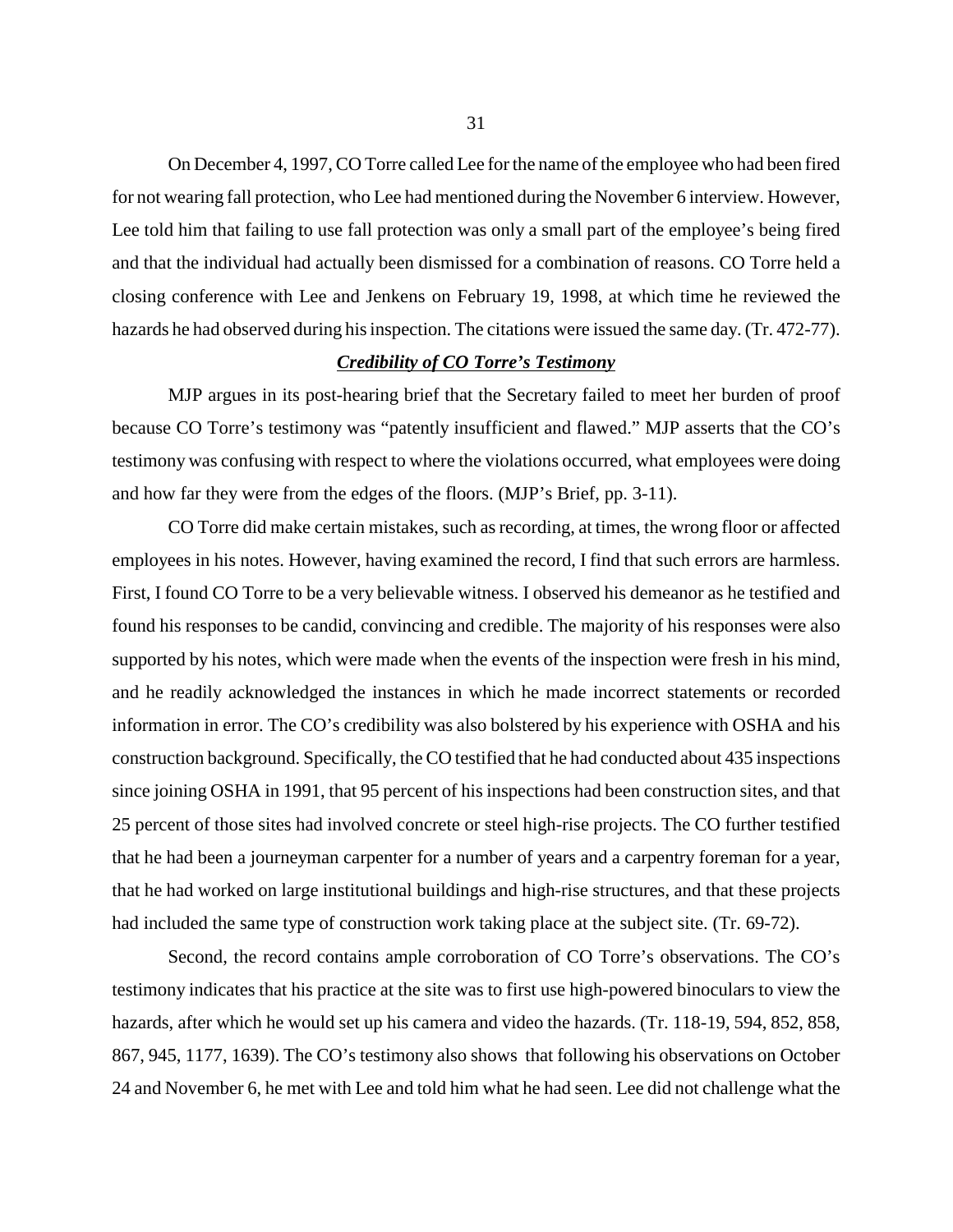On December 4, 1997, CO Torre called Lee for the name of the employee who had been fired for not wearing fall protection, who Lee had mentioned during the November 6 interview. However, Lee told him that failing to use fall protection was only a small part of the employee's being fired and that the individual had actually been dismissed for a combination of reasons. CO Torre held a closing conference with Lee and Jenkens on February 19, 1998, at which time he reviewed the hazards he had observed during his inspection. The citations were issued the same day. (Tr. 472-77).

### *Credibility of CO Torre's Testimony*

MJP argues in its post-hearing brief that the Secretary failed to meet her burden of proof because CO Torre's testimony was "patently insufficient and flawed." MJP asserts that the CO's testimony was confusing with respect to where the violations occurred, what employees were doing and how far they were from the edges of the floors. (MJP's Brief, pp. 3-11).

CO Torre did make certain mistakes, such as recording, at times, the wrong floor or affected employees in his notes. However, having examined the record, I find that such errors are harmless. First, I found CO Torre to be a very believable witness. I observed his demeanor as he testified and found his responses to be candid, convincing and credible. The majority of his responses were also supported by his notes, which were made when the events of the inspection were fresh in his mind, and he readily acknowledged the instances in which he made incorrect statements or recorded information in error. The CO's credibility was also bolstered by his experience with OSHA and his construction background. Specifically, the CO testified that he had conducted about 435 inspections since joining OSHA in 1991, that 95 percent of his inspections had been construction sites, and that 25 percent of those sites had involved concrete or steel high-rise projects. The CO further testified that he had been a journeyman carpenter for a number of years and a carpentry foreman for a year, that he had worked on large institutional buildings and high-rise structures, and that these projects had included the same type of construction work taking place at the subject site. (Tr. 69-72).

Second, the record contains ample corroboration of CO Torre's observations. The CO's testimony indicates that his practice at the site was to first use high-powered binoculars to view the hazards, after which he would set up his camera and video the hazards. (Tr. 118-19, 594, 852, 858, 867, 945, 1177, 1639). The CO's testimony also shows that following his observations on October 24 and November 6, he met with Lee and told him what he had seen. Lee did not challenge what the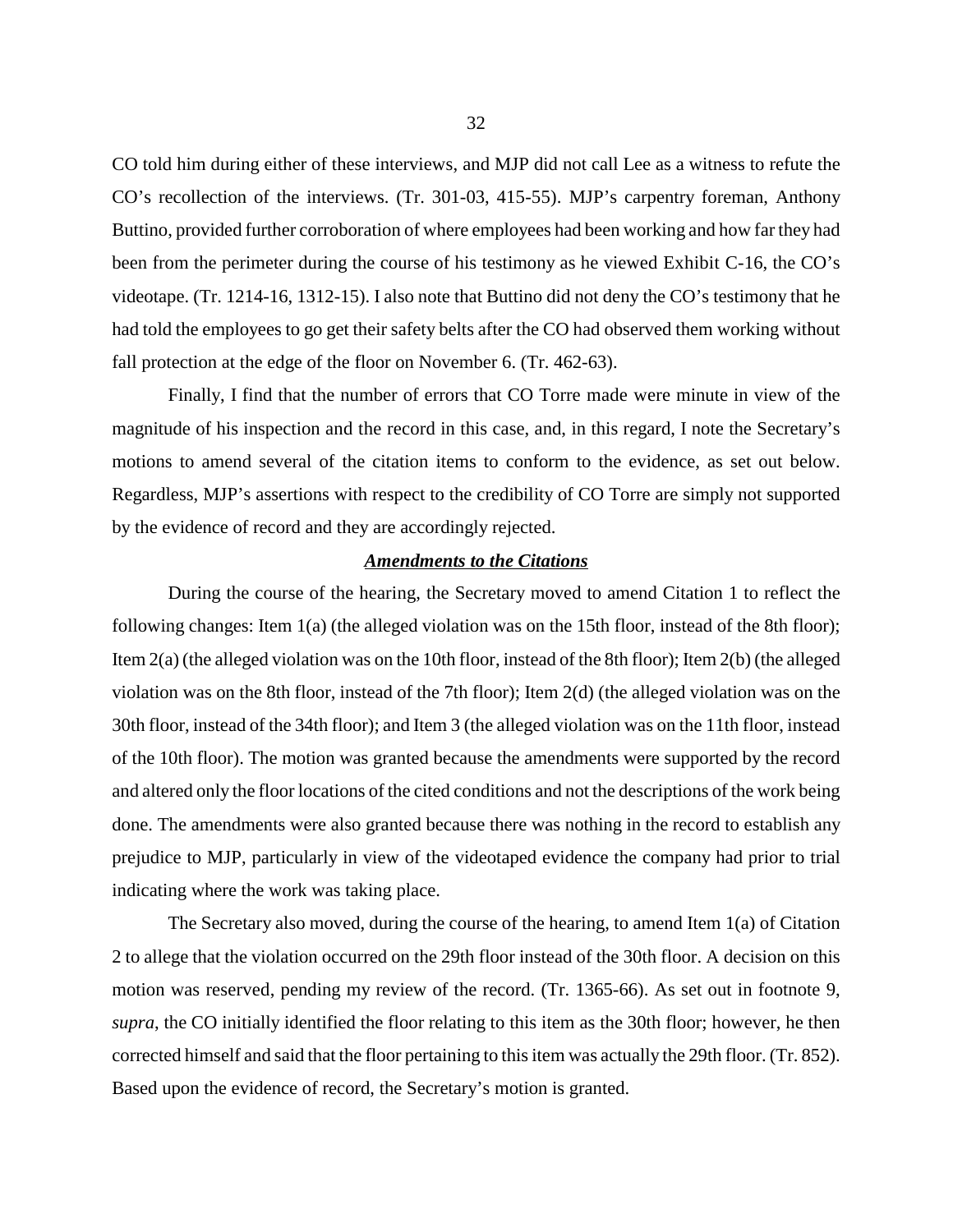CO told him during either of these interviews, and MJP did not call Lee as a witness to refute the CO's recollection of the interviews. (Tr. 301-03, 415-55). MJP's carpentry foreman, Anthony Buttino, provided further corroboration of where employees had been working and how far they had been from the perimeter during the course of his testimony as he viewed Exhibit C-16, the CO's videotape. (Tr. 1214-16, 1312-15). I also note that Buttino did not deny the CO's testimony that he had told the employees to go get their safety belts after the CO had observed them working without fall protection at the edge of the floor on November 6. (Tr. 462-63).

Finally, I find that the number of errors that CO Torre made were minute in view of the magnitude of his inspection and the record in this case, and, in this regard, I note the Secretary's motions to amend several of the citation items to conform to the evidence, as set out below. Regardless, MJP's assertions with respect to the credibility of CO Torre are simply not supported by the evidence of record and they are accordingly rejected.

#### *Amendments to the Citations*

During the course of the hearing, the Secretary moved to amend Citation 1 to reflect the following changes: Item 1(a) (the alleged violation was on the 15th floor, instead of the 8th floor); Item 2(a) (the alleged violation was on the 10th floor, instead of the 8th floor); Item 2(b) (the alleged violation was on the 8th floor, instead of the 7th floor); Item 2(d) (the alleged violation was on the 30th floor, instead of the 34th floor); and Item 3 (the alleged violation was on the 11th floor, instead of the 10th floor). The motion was granted because the amendments were supported by the record and altered only the floor locations of the cited conditions and not the descriptions of the work being done. The amendments were also granted because there was nothing in the record to establish any prejudice to MJP, particularly in view of the videotaped evidence the company had prior to trial indicating where the work was taking place.

The Secretary also moved, during the course of the hearing, to amend Item 1(a) of Citation 2 to allege that the violation occurred on the 29th floor instead of the 30th floor. A decision on this motion was reserved, pending my review of the record. (Tr. 1365-66). As set out in footnote 9, *supra*, the CO initially identified the floor relating to this item as the 30th floor; however, he then corrected himself and said that the floor pertaining to this item was actually the 29th floor. (Tr. 852). Based upon the evidence of record, the Secretary's motion is granted.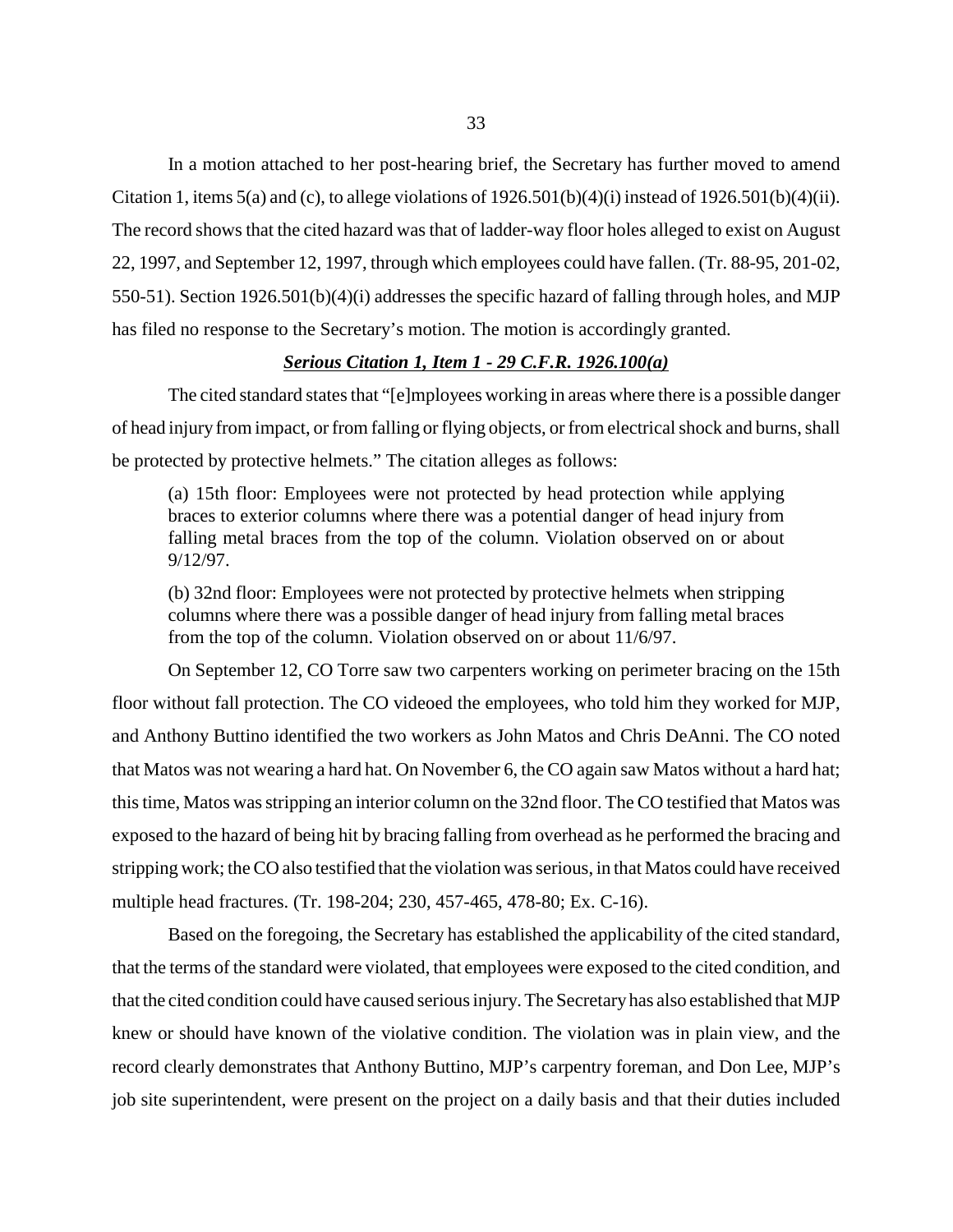In a motion attached to her post-hearing brief, the Secretary has further moved to amend Citation 1, items 5(a) and (c), to allege violations of  $1926.501(b)(4)(i)$  instead of  $1926.501(b)(4)(ii)$ . The record shows that the cited hazard was that of ladder-way floor holes alleged to exist on August 22, 1997, and September 12, 1997, through which employees could have fallen. (Tr. 88-95, 201-02, 550-51). Section 1926.501(b)(4)(i) addresses the specific hazard of falling through holes, and MJP has filed no response to the Secretary's motion. The motion is accordingly granted.

## *Serious Citation 1, Item 1 - 29 C.F.R. 1926.100(a)*

The cited standard states that "[e]mployees working in areas where there is a possible danger of head injury from impact, or from falling or flying objects, or from electrical shock and burns, shall be protected by protective helmets." The citation alleges as follows:

(a) 15th floor: Employees were not protected by head protection while applying braces to exterior columns where there was a potential danger of head injury from falling metal braces from the top of the column. Violation observed on or about 9/12/97.

(b) 32nd floor: Employees were not protected by protective helmets when stripping columns where there was a possible danger of head injury from falling metal braces from the top of the column. Violation observed on or about 11/6/97.

On September 12, CO Torre saw two carpenters working on perimeter bracing on the 15th floor without fall protection. The CO videoed the employees, who told him they worked for MJP, and Anthony Buttino identified the two workers as John Matos and Chris DeAnni. The CO noted that Matos was not wearing a hard hat. On November 6, the CO again saw Matos without a hard hat; this time, Matos was stripping an interior column on the 32nd floor. The CO testified that Matos was exposed to the hazard of being hit by bracing falling from overhead as he performed the bracing and stripping work; the CO also testified that the violation was serious, in that Matos could have received multiple head fractures. (Tr. 198-204; 230, 457-465, 478-80; Ex. C-16).

Based on the foregoing, the Secretary has established the applicability of the cited standard, that the terms of the standard were violated, that employees were exposed to the cited condition, and that the cited condition could have caused serious injury. The Secretary has also established that MJP knew or should have known of the violative condition. The violation was in plain view, and the record clearly demonstrates that Anthony Buttino, MJP's carpentry foreman, and Don Lee, MJP's job site superintendent, were present on the project on a daily basis and that their duties included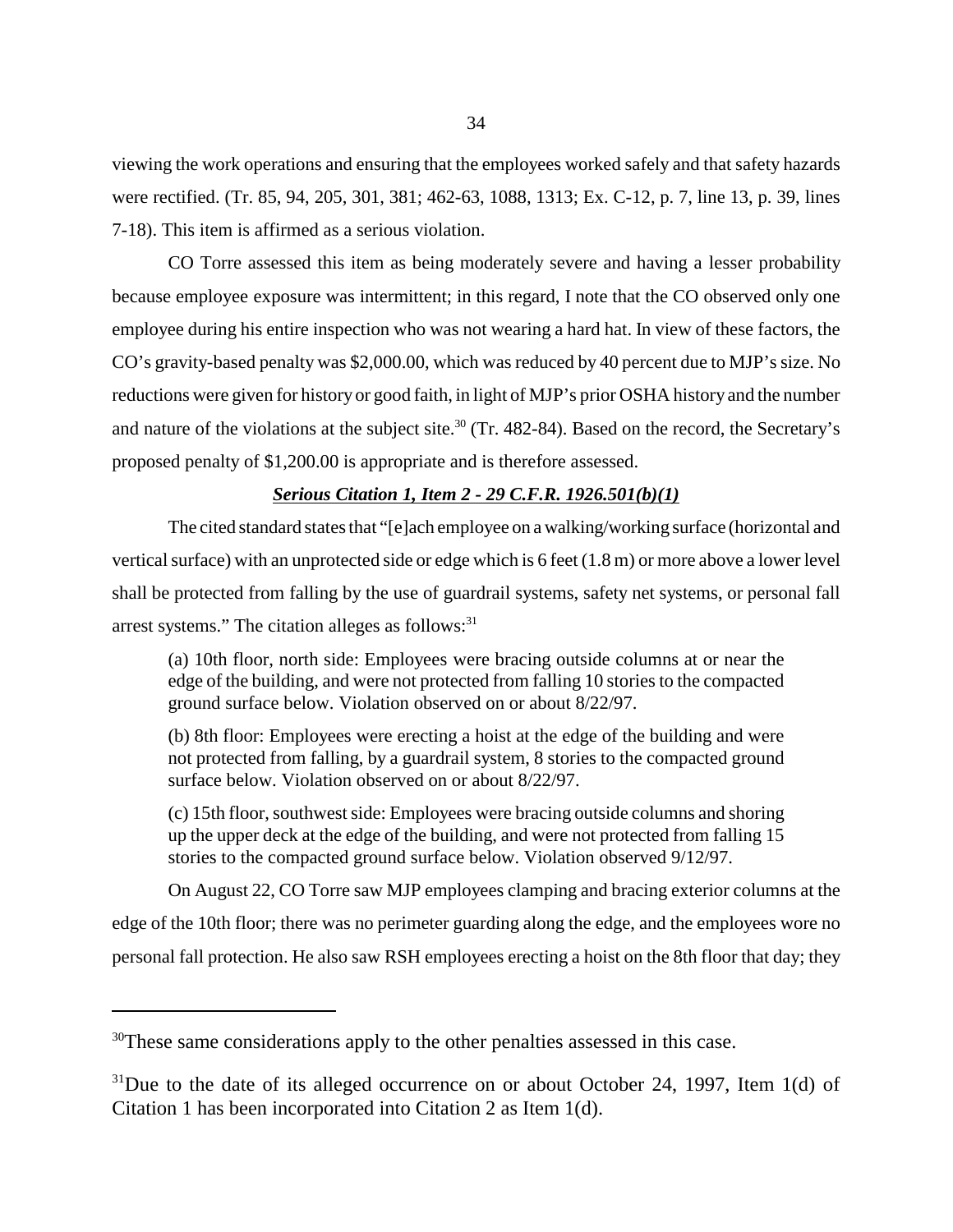viewing the work operations and ensuring that the employees worked safely and that safety hazards were rectified. (Tr. 85, 94, 205, 301, 381; 462-63, 1088, 1313; Ex. C-12, p. 7, line 13, p. 39, lines 7-18). This item is affirmed as a serious violation.

CO Torre assessed this item as being moderately severe and having a lesser probability because employee exposure was intermittent; in this regard, I note that the CO observed only one employee during his entire inspection who was not wearing a hard hat. In view of these factors, the CO's gravity-based penalty was \$2,000.00, which was reduced by 40 percent due to MJP's size. No reductions were given for history or good faith, in light of MJP's prior OSHA history and the number and nature of the violations at the subject site.<sup>30</sup> (Tr. 482-84). Based on the record, the Secretary's proposed penalty of \$1,200.00 is appropriate and is therefore assessed.

## *Serious Citation 1, Item 2 - 29 C.F.R. 1926.501(b)(1)*

The cited standard states that "[e]ach employee on a walking/working surface (horizontal and vertical surface) with an unprotected side or edge which is 6 feet (1.8 m) or more above a lower level shall be protected from falling by the use of guardrail systems, safety net systems, or personal fall arrest systems." The citation alleges as follows: $31$ 

(a) 10th floor, north side: Employees were bracing outside columns at or near the edge of the building, and were not protected from falling 10 stories to the compacted ground surface below. Violation observed on or about 8/22/97.

(b) 8th floor: Employees were erecting a hoist at the edge of the building and were not protected from falling, by a guardrail system, 8 stories to the compacted ground surface below. Violation observed on or about 8/22/97.

(c) 15th floor, southwest side: Employees were bracing outside columns and shoring up the upper deck at the edge of the building, and were not protected from falling 15 stories to the compacted ground surface below. Violation observed 9/12/97.

On August 22, CO Torre saw MJP employees clamping and bracing exterior columns at the edge of the 10th floor; there was no perimeter guarding along the edge, and the employees wore no personal fall protection. He also saw RSH employees erecting a hoist on the 8th floor that day; they

<sup>&</sup>lt;sup>30</sup>These same considerations apply to the other penalties assessed in this case.

 $31$ Due to the date of its alleged occurrence on or about October 24, 1997, Item 1(d) of Citation 1 has been incorporated into Citation 2 as Item 1(d).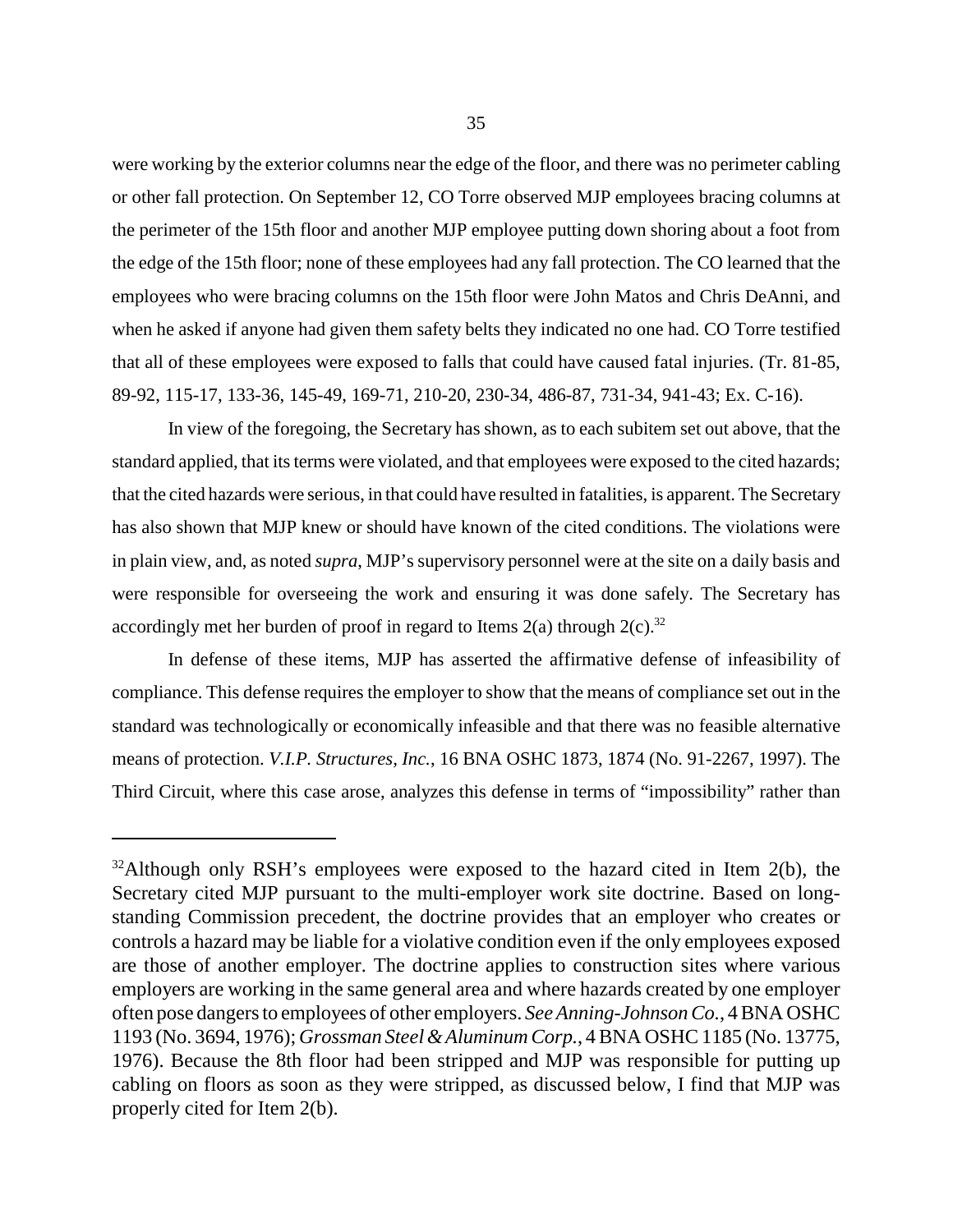were working by the exterior columns near the edge of the floor, and there was no perimeter cabling or other fall protection. On September 12, CO Torre observed MJP employees bracing columns at the perimeter of the 15th floor and another MJP employee putting down shoring about a foot from the edge of the 15th floor; none of these employees had any fall protection. The CO learned that the employees who were bracing columns on the 15th floor were John Matos and Chris DeAnni, and when he asked if anyone had given them safety belts they indicated no one had. CO Torre testified that all of these employees were exposed to falls that could have caused fatal injuries. (Tr. 81-85, 89-92, 115-17, 133-36, 145-49, 169-71, 210-20, 230-34, 486-87, 731-34, 941-43; Ex. C-16).

In view of the foregoing, the Secretary has shown, as to each subitem set out above, that the standard applied, that its terms were violated, and that employees were exposed to the cited hazards; that the cited hazards were serious, in that could have resulted in fatalities, is apparent. The Secretary has also shown that MJP knew or should have known of the cited conditions. The violations were in plain view, and, as noted *supra*, MJP's supervisory personnel were at the site on a daily basis and were responsible for overseeing the work and ensuring it was done safely. The Secretary has accordingly met her burden of proof in regard to Items  $2(a)$  through  $2(c)$ .<sup>32</sup>

In defense of these items, MJP has asserted the affirmative defense of infeasibility of compliance. This defense requires the employer to show that the means of compliance set out in the standard was technologically or economically infeasible and that there was no feasible alternative means of protection. *V.I.P. Structures, Inc.*, 16 BNA OSHC 1873, 1874 (No. 91-2267, 1997). The Third Circuit, where this case arose, analyzes this defense in terms of "impossibility" rather than

 $32$ Although only RSH's employees were exposed to the hazard cited in Item 2(b), the Secretary cited MJP pursuant to the multi-employer work site doctrine. Based on longstanding Commission precedent, the doctrine provides that an employer who creates or controls a hazard may be liable for a violative condition even if the only employees exposed are those of another employer. The doctrine applies to construction sites where various employers are working in the same general area and where hazards created by one employer often pose dangers to employees of other employers. *See Anning-Johnson Co.*, 4 BNA OSHC 1193 (No. 3694, 1976); *Grossman Steel & Aluminum Corp.*, 4 BNA OSHC 1185 (No. 13775, 1976). Because the 8th floor had been stripped and MJP was responsible for putting up cabling on floors as soon as they were stripped, as discussed below, I find that MJP was properly cited for Item 2(b).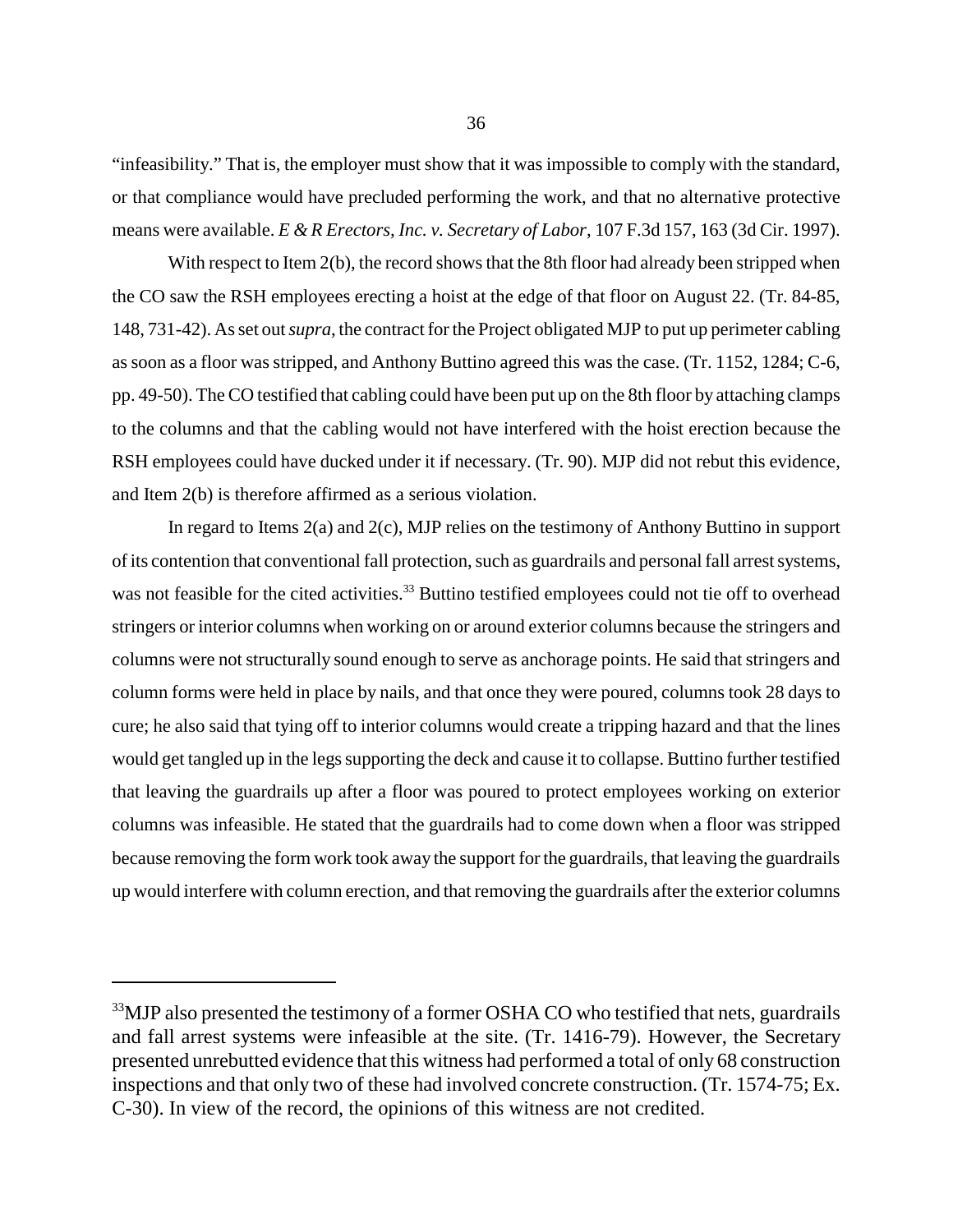"infeasibility." That is, the employer must show that it was impossible to comply with the standard, or that compliance would have precluded performing the work, and that no alternative protective means were available. *E & R Erectors, Inc. v. Secretary of Labor*, 107 F.3d 157, 163 (3d Cir. 1997).

With respect to Item 2(b), the record shows that the 8th floor had already been stripped when the CO saw the RSH employees erecting a hoist at the edge of that floor on August 22. (Tr. 84-85, 148, 731-42). As set out *supra*, the contract for the Project obligated MJP to put up perimeter cabling as soon as a floor was stripped, and Anthony Buttino agreed this was the case. (Tr. 1152, 1284; C-6, pp. 49-50). The CO testified that cabling could have been put up on the 8th floor by attaching clamps to the columns and that the cabling would not have interfered with the hoist erection because the RSH employees could have ducked under it if necessary. (Tr. 90). MJP did not rebut this evidence, and Item 2(b) is therefore affirmed as a serious violation.

In regard to Items 2(a) and 2(c), MJP relies on the testimony of Anthony Buttino in support of its contention that conventional fall protection, such as guardrails and personal fall arrest systems, was not feasible for the cited activities.<sup>33</sup> Buttino testified employees could not tie off to overhead stringers or interior columns when working on or around exterior columns because the stringers and columns were not structurally sound enough to serve as anchorage points. He said that stringers and column forms were held in place by nails, and that once they were poured, columns took 28 days to cure; he also said that tying off to interior columns would create a tripping hazard and that the lines would get tangled up in the legs supporting the deck and cause it to collapse. Buttino further testified that leaving the guardrails up after a floor was poured to protect employees working on exterior columns was infeasible. He stated that the guardrails had to come down when a floor was stripped because removing the form work took away the support for the guardrails, that leaving the guardrails up would interfere with column erection, and that removing the guardrails after the exterior columns

<sup>&</sup>lt;sup>33</sup>MJP also presented the testimony of a former OSHA CO who testified that nets, guardrails and fall arrest systems were infeasible at the site. (Tr. 1416-79). However, the Secretary presented unrebutted evidence that this witness had performed a total of only 68 construction inspections and that only two of these had involved concrete construction. (Tr. 1574-75; Ex. C-30). In view of the record, the opinions of this witness are not credited.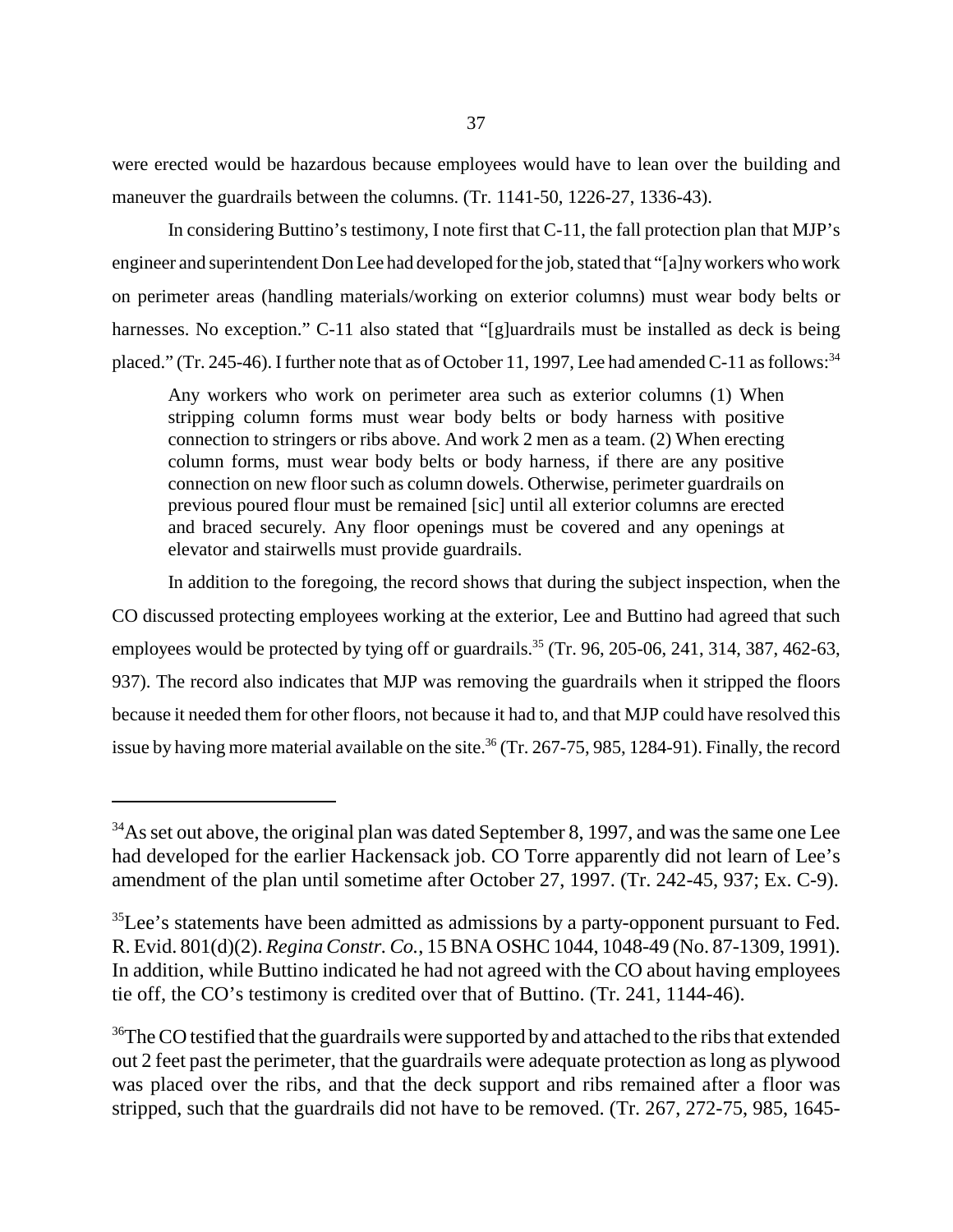were erected would be hazardous because employees would have to lean over the building and maneuver the guardrails between the columns. (Tr. 1141-50, 1226-27, 1336-43).

In considering Buttino's testimony, I note first that C-11, the fall protection plan that MJP's engineer and superintendent Don Lee had developed for the job, stated that "[a]ny workers who work on perimeter areas (handling materials/working on exterior columns) must wear body belts or harnesses. No exception." C-11 also stated that "[g]uardrails must be installed as deck is being placed." (Tr. 245-46). I further note that as of October 11, 1997, Lee had amended C-11 as follows:<sup>34</sup>

Any workers who work on perimeter area such as exterior columns (1) When stripping column forms must wear body belts or body harness with positive connection to stringers or ribs above. And work 2 men as a team. (2) When erecting column forms, must wear body belts or body harness, if there are any positive connection on new floor such as column dowels. Otherwise, perimeter guardrails on previous poured flour must be remained [sic] until all exterior columns are erected and braced securely. Any floor openings must be covered and any openings at elevator and stairwells must provide guardrails.

In addition to the foregoing, the record shows that during the subject inspection, when the CO discussed protecting employees working at the exterior, Lee and Buttino had agreed that such employees would be protected by tying off or guardrails.<sup>35</sup> (Tr. 96, 205-06, 241, 314, 387, 462-63, 937). The record also indicates that MJP was removing the guardrails when it stripped the floors because it needed them for other floors, not because it had to, and that MJP could have resolved this issue by having more material available on the site. 36 (Tr. 267-75, 985, 1284-91). Finally, the record

<sup>&</sup>lt;sup>34</sup>As set out above, the original plan was dated September 8, 1997, and was the same one Lee had developed for the earlier Hackensack job. CO Torre apparently did not learn of Lee's amendment of the plan until sometime after October 27, 1997. (Tr. 242-45, 937; Ex. C-9).

<sup>&</sup>lt;sup>35</sup>Lee's statements have been admitted as admissions by a party-opponent pursuant to Fed. R. Evid. 801(d)(2). *Regina Constr. Co.*, 15 BNA OSHC 1044, 1048-49 (No. 87-1309, 1991). In addition, while Buttino indicated he had not agreed with the CO about having employees tie off, the CO's testimony is credited over that of Buttino. (Tr. 241, 1144-46).

<sup>&</sup>lt;sup>36</sup>The CO testified that the guardrails were supported by and attached to the ribs that extended out 2 feet past the perimeter, that the guardrails were adequate protection as long as plywood was placed over the ribs, and that the deck support and ribs remained after a floor was stripped, such that the guardrails did not have to be removed. (Tr. 267, 272-75, 985, 1645-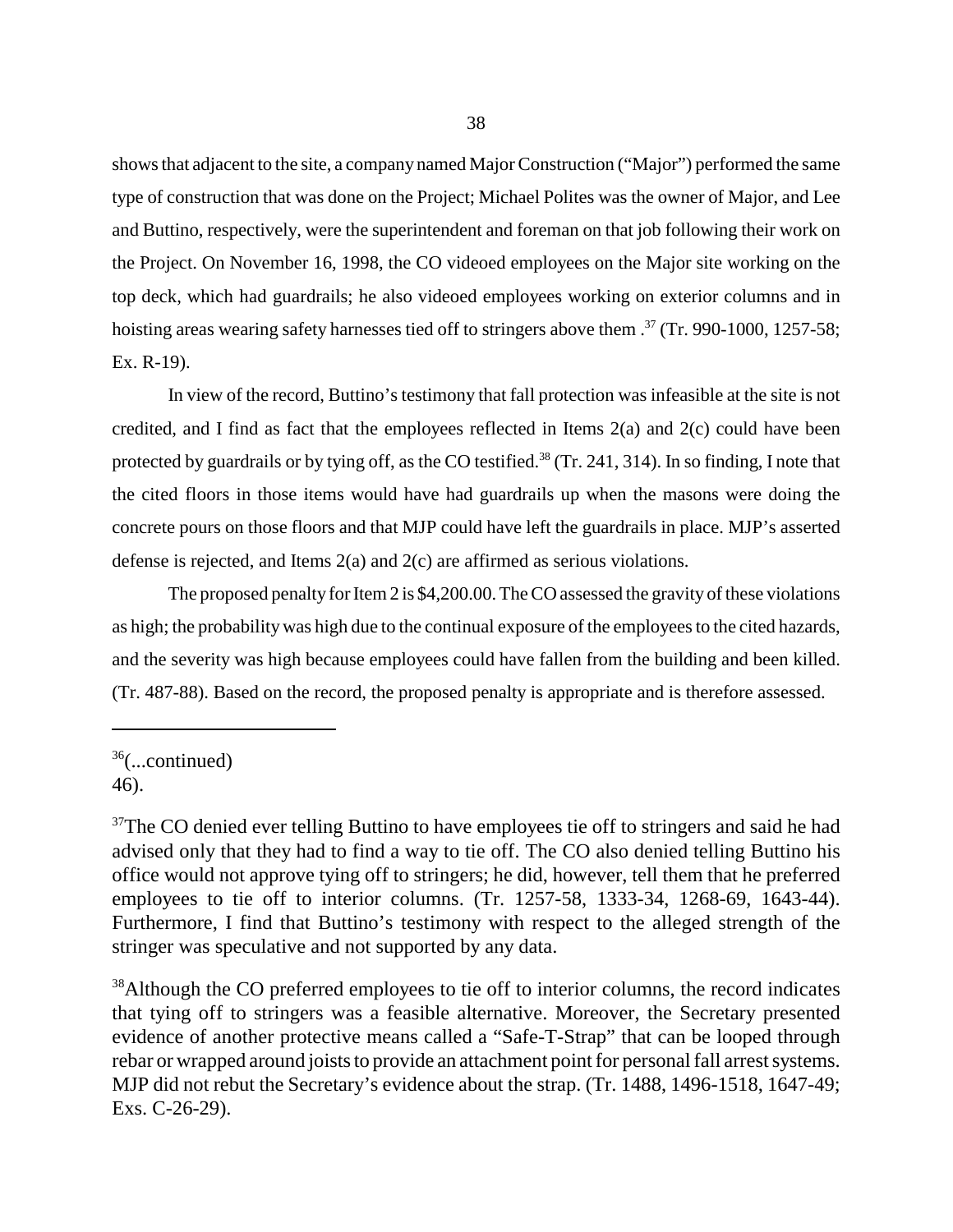shows that adjacent to the site, a company named Major Construction ("Major") performed the same type of construction that was done on the Project; Michael Polites was the owner of Major, and Lee and Buttino, respectively, were the superintendent and foreman on that job following their work on the Project. On November 16, 1998, the CO videoed employees on the Major site working on the top deck, which had guardrails; he also videoed employees working on exterior columns and in hoisting areas wearing safety harnesses tied off to stringers above them .<sup>37</sup> (Tr. 990-1000, 1257-58; Ex. R-19).

In view of the record, Buttino's testimony that fall protection was infeasible at the site is not credited, and I find as fact that the employees reflected in Items 2(a) and 2(c) could have been protected by guardrails or by tying off, as the CO testified.<sup>38</sup> (Tr. 241, 314). In so finding, I note that the cited floors in those items would have had guardrails up when the masons were doing the concrete pours on those floors and that MJP could have left the guardrails in place. MJP's asserted defense is rejected, and Items 2(a) and 2(c) are affirmed as serious violations.

The proposed penalty for Item 2 is \$4,200.00. The CO assessed the gravity of these violations as high; the probability was high due to the continual exposure of the employees to the cited hazards, and the severity was high because employees could have fallen from the building and been killed. (Tr. 487-88). Based on the record, the proposed penalty is appropriate and is therefore assessed.

 $36$ (...continued) 46).

<sup>38</sup>Although the CO preferred employees to tie off to interior columns, the record indicates that tying off to stringers was a feasible alternative. Moreover, the Secretary presented evidence of another protective means called a "Safe-T-Strap" that can be looped through rebar or wrapped around joists to provide an attachment point for personal fall arrest systems. MJP did not rebut the Secretary's evidence about the strap. (Tr. 1488, 1496-1518, 1647-49; Exs. C-26-29).

 $37$ The CO denied ever telling Buttino to have employees tie off to stringers and said he had advised only that they had to find a way to tie off. The CO also denied telling Buttino his office would not approve tying off to stringers; he did, however, tell them that he preferred employees to tie off to interior columns. (Tr. 1257-58, 1333-34, 1268-69, 1643-44). Furthermore, I find that Buttino's testimony with respect to the alleged strength of the stringer was speculative and not supported by any data.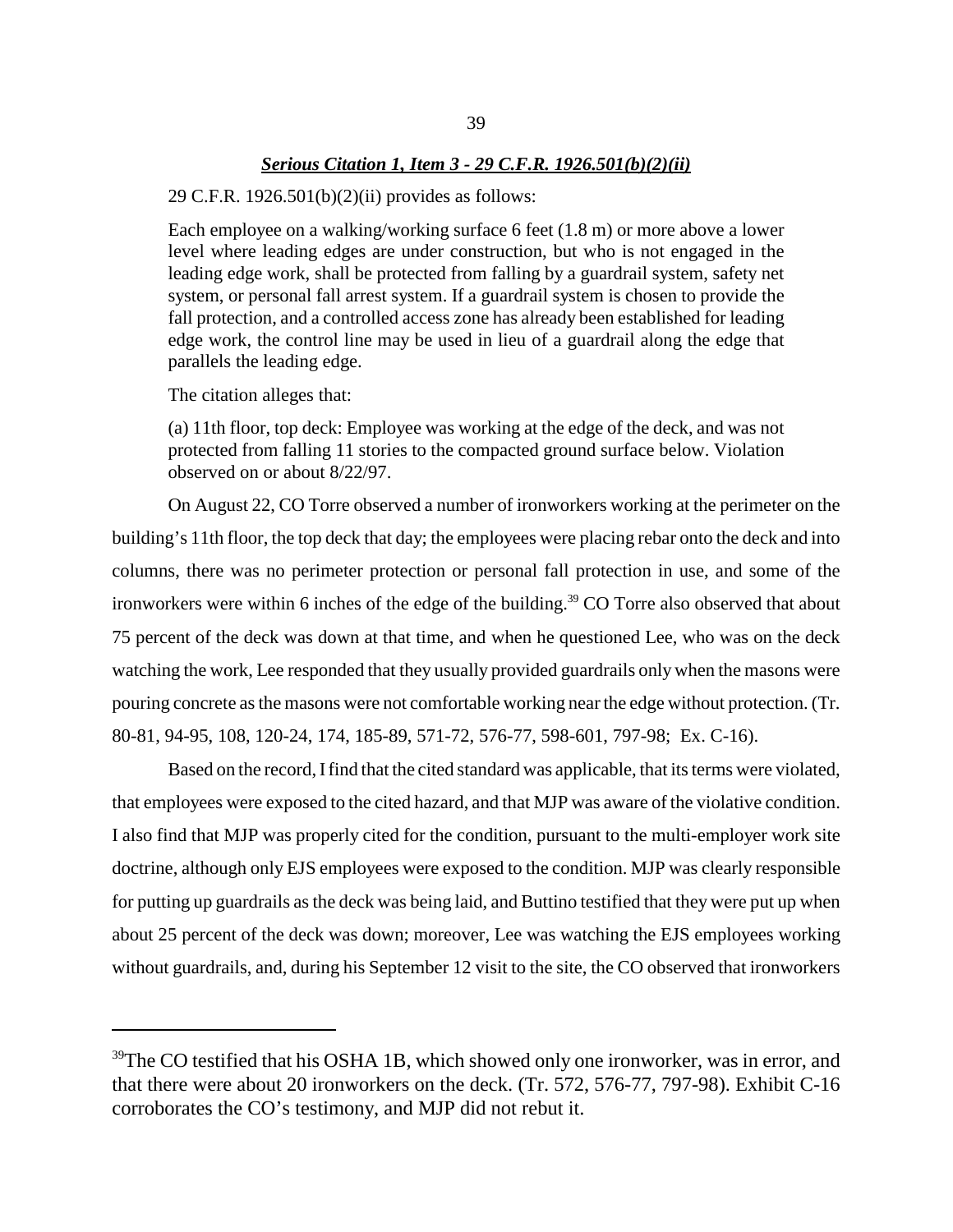## *Serious Citation 1, Item 3 - 29 C.F.R. 1926.501(b)(2)(ii)*

### 29 C.F.R.  $1926.501(b)(2)(ii)$  provides as follows:

Each employee on a walking/working surface 6 feet (1.8 m) or more above a lower level where leading edges are under construction, but who is not engaged in the leading edge work, shall be protected from falling by a guardrail system, safety net system, or personal fall arrest system. If a guardrail system is chosen to provide the fall protection, and a controlled access zone has already been established for leading edge work, the control line may be used in lieu of a guardrail along the edge that parallels the leading edge.

The citation alleges that:

(a) 11th floor, top deck: Employee was working at the edge of the deck, and was not protected from falling 11 stories to the compacted ground surface below. Violation observed on or about 8/22/97.

On August 22, CO Torre observed a number of ironworkers working at the perimeter on the building's 11th floor, the top deck that day; the employees were placing rebar onto the deck and into columns, there was no perimeter protection or personal fall protection in use, and some of the ironworkers were within 6 inches of the edge of the building. 39 CO Torre also observed that about 75 percent of the deck was down at that time, and when he questioned Lee, who was on the deck watching the work, Lee responded that they usually provided guardrails only when the masons were pouring concrete as the masons were not comfortable working near the edge without protection. (Tr. 80-81, 94-95, 108, 120-24, 174, 185-89, 571-72, 576-77, 598-601, 797-98; Ex. C-16).

Based on the record, I find that the cited standard was applicable, that its terms were violated, that employees were exposed to the cited hazard, and that MJP was aware of the violative condition. I also find that MJP was properly cited for the condition, pursuant to the multi-employer work site doctrine, although only EJS employees were exposed to the condition. MJP was clearly responsible for putting up guardrails as the deck was being laid, and Buttino testified that they were put up when about 25 percent of the deck was down; moreover, Lee was watching the EJS employees working without guardrails, and, during his September 12 visit to the site, the CO observed that ironworkers

<sup>&</sup>lt;sup>39</sup>The CO testified that his OSHA 1B, which showed only one ironworker, was in error, and that there were about 20 ironworkers on the deck. (Tr. 572, 576-77, 797-98). Exhibit C-16 corroborates the CO's testimony, and MJP did not rebut it.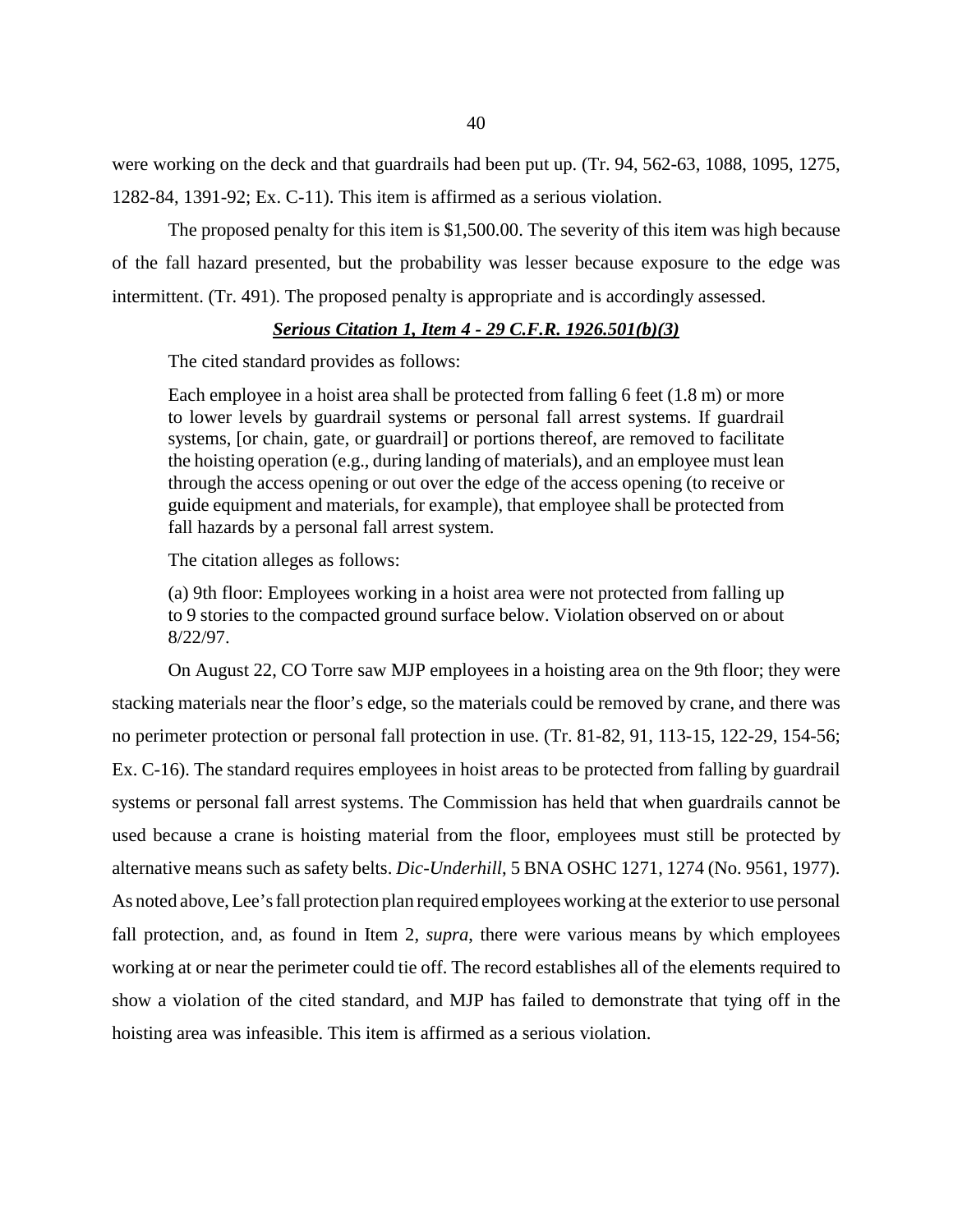were working on the deck and that guardrails had been put up. (Tr. 94, 562-63, 1088, 1095, 1275, 1282-84, 1391-92; Ex. C-11). This item is affirmed as a serious violation.

The proposed penalty for this item is \$1,500.00. The severity of this item was high because of the fall hazard presented, but the probability was lesser because exposure to the edge was intermittent. (Tr. 491). The proposed penalty is appropriate and is accordingly assessed.

## *Serious Citation 1, Item 4 - 29 C.F.R. 1926.501(b)(3)*

The cited standard provides as follows:

Each employee in a hoist area shall be protected from falling 6 feet (1.8 m) or more to lower levels by guardrail systems or personal fall arrest systems. If guardrail systems, [or chain, gate, or guardrail] or portions thereof, are removed to facilitate the hoisting operation (e.g., during landing of materials), and an employee must lean through the access opening or out over the edge of the access opening (to receive or guide equipment and materials, for example), that employee shall be protected from fall hazards by a personal fall arrest system.

The citation alleges as follows:

(a) 9th floor: Employees working in a hoist area were not protected from falling up to 9 stories to the compacted ground surface below. Violation observed on or about 8/22/97.

On August 22, CO Torre saw MJP employees in a hoisting area on the 9th floor; they were stacking materials near the floor's edge, so the materials could be removed by crane, and there was no perimeter protection or personal fall protection in use. (Tr. 81-82, 91, 113-15, 122-29, 154-56; Ex. C-16). The standard requires employees in hoist areas to be protected from falling by guardrail systems or personal fall arrest systems. The Commission has held that when guardrails cannot be used because a crane is hoisting material from the floor, employees must still be protected by alternative means such as safety belts. *Dic-Underhill*, 5 BNA OSHC 1271, 1274 (No. 9561, 1977). As noted above, Lee's fall protection plan required employees working at the exterior to use personal fall protection, and, as found in Item 2, *supra*, there were various means by which employees working at or near the perimeter could tie off. The record establishes all of the elements required to show a violation of the cited standard, and MJP has failed to demonstrate that tying off in the hoisting area was infeasible. This item is affirmed as a serious violation.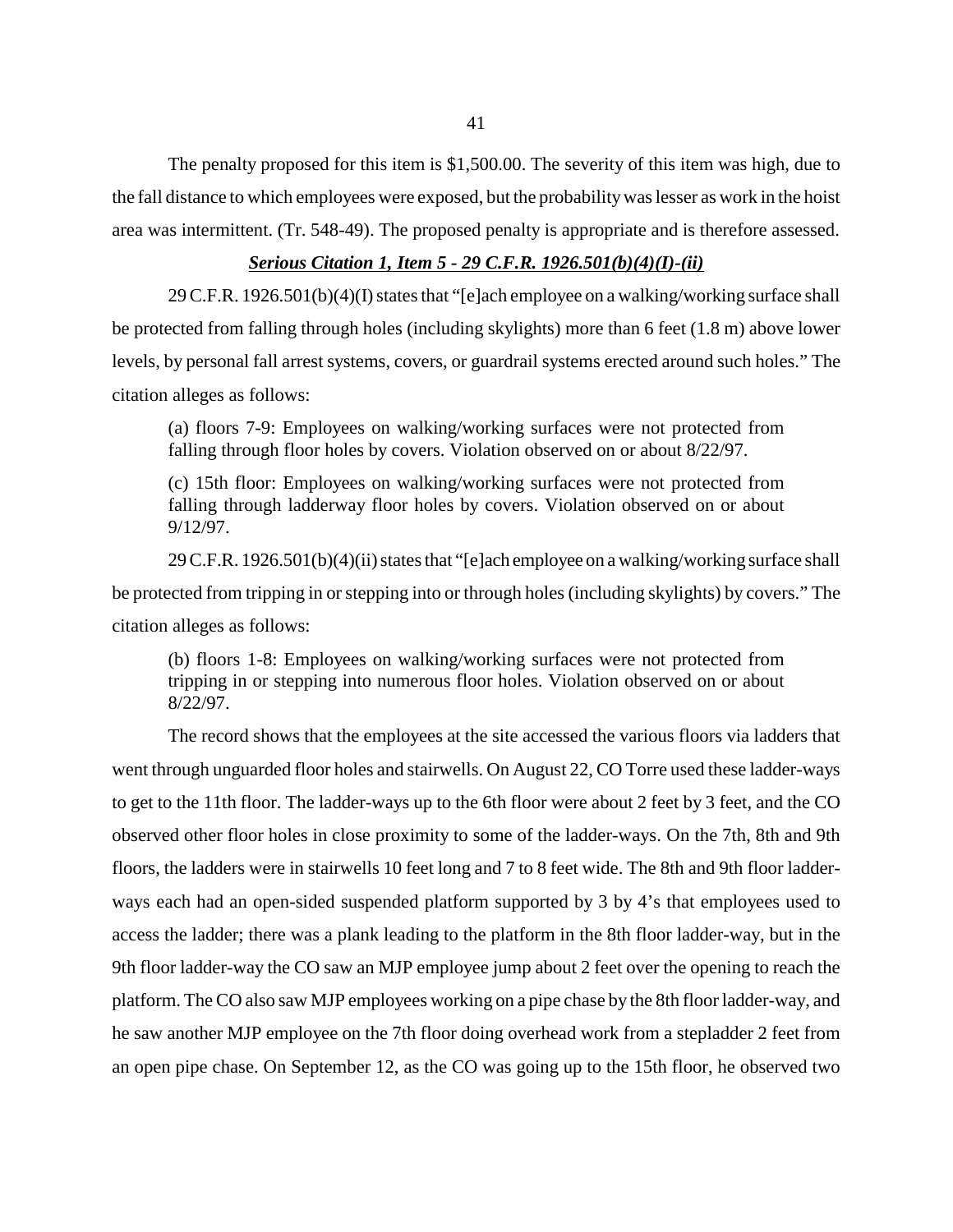The penalty proposed for this item is \$1,500.00. The severity of this item was high, due to the fall distance to which employees were exposed, but the probability was lesser as work in the hoist area was intermittent. (Tr. 548-49). The proposed penalty is appropriate and is therefore assessed.

## *Serious Citation 1, Item 5 - 29 C.F.R. 1926.501(b)(4)(I)-(ii)*

29 C.F.R. 1926.501(b)(4)(I) states that "[e]ach employee on a walking/working surface shall be protected from falling through holes (including skylights) more than 6 feet (1.8 m) above lower levels, by personal fall arrest systems, covers, or guardrail systems erected around such holes." The citation alleges as follows:

(a) floors 7-9: Employees on walking/working surfaces were not protected from falling through floor holes by covers. Violation observed on or about 8/22/97.

(c) 15th floor: Employees on walking/working surfaces were not protected from falling through ladderway floor holes by covers. Violation observed on or about 9/12/97.

29 C.F.R. 1926.501(b)(4)(ii) states that "[e]ach employee on a walking/working surface shall be protected from tripping in or stepping into or through holes (including skylights) by covers." The citation alleges as follows:

(b) floors 1-8: Employees on walking/working surfaces were not protected from tripping in or stepping into numerous floor holes. Violation observed on or about 8/22/97.

The record shows that the employees at the site accessed the various floors via ladders that went through unguarded floor holes and stairwells. On August 22, CO Torre used these ladder-ways to get to the 11th floor. The ladder-ways up to the 6th floor were about 2 feet by 3 feet, and the CO observed other floor holes in close proximity to some of the ladder-ways. On the 7th, 8th and 9th floors, the ladders were in stairwells 10 feet long and 7 to 8 feet wide. The 8th and 9th floor ladderways each had an open-sided suspended platform supported by 3 by 4's that employees used to access the ladder; there was a plank leading to the platform in the 8th floor ladder-way, but in the 9th floor ladder-way the CO saw an MJP employee jump about 2 feet over the opening to reach the platform. The CO also saw MJP employees working on a pipe chase by the 8th floor ladder-way, and he saw another MJP employee on the 7th floor doing overhead work from a stepladder 2 feet from an open pipe chase. On September 12, as the CO was going up to the 15th floor, he observed two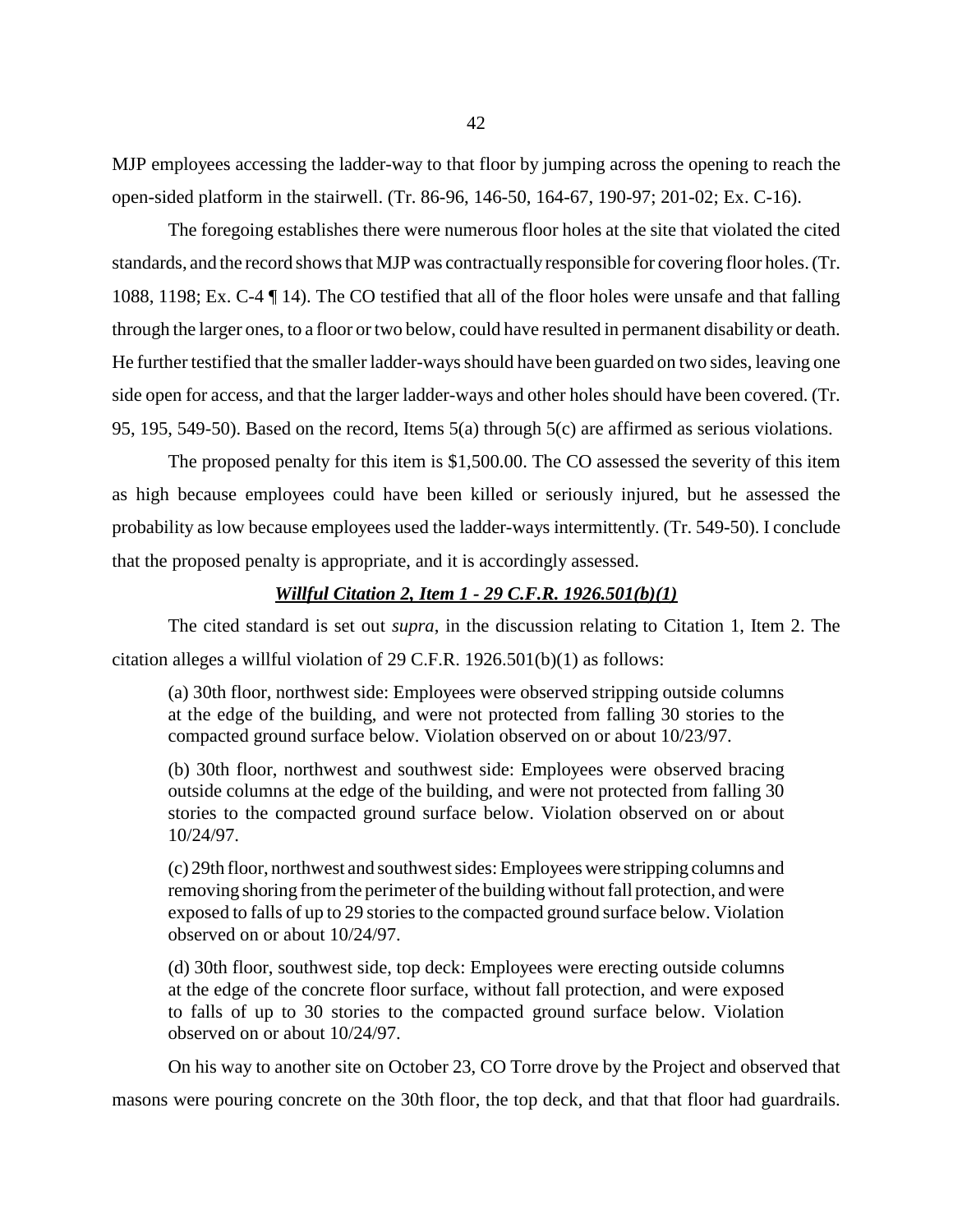MJP employees accessing the ladder-way to that floor by jumping across the opening to reach the open-sided platform in the stairwell. (Tr. 86-96, 146-50, 164-67, 190-97; 201-02; Ex. C-16).

The foregoing establishes there were numerous floor holes at the site that violated the cited standards, and the record shows that MJP was contractually responsible for covering floor holes. (Tr. 1088, 1198; Ex. C-4 ¶ 14). The CO testified that all of the floor holes were unsafe and that falling through the larger ones, to a floor or two below, could have resulted in permanent disability or death. He further testified that the smaller ladder-ways should have been guarded on two sides, leaving one side open for access, and that the larger ladder-ways and other holes should have been covered. (Tr. 95, 195, 549-50). Based on the record, Items 5(a) through 5(c) are affirmed as serious violations.

The proposed penalty for this item is \$1,500.00. The CO assessed the severity of this item as high because employees could have been killed or seriously injured, but he assessed the probability as low because employees used the ladder-ways intermittently. (Tr. 549-50). I conclude that the proposed penalty is appropriate, and it is accordingly assessed.

## *Willful Citation 2, Item 1 - 29 C.F.R. 1926.501(b)(1)*

The cited standard is set out *supra*, in the discussion relating to Citation 1, Item 2. The citation alleges a willful violation of 29 C.F.R. 1926.501(b)(1) as follows:

(a) 30th floor, northwest side: Employees were observed stripping outside columns at the edge of the building, and were not protected from falling 30 stories to the compacted ground surface below. Violation observed on or about 10/23/97.

(b) 30th floor, northwest and southwest side: Employees were observed bracing outside columns at the edge of the building, and were not protected from falling 30 stories to the compacted ground surface below. Violation observed on or about 10/24/97.

(c) 29th floor, northwest and southwest sides: Employees were stripping columns and removing shoring from the perimeter of the building without fall protection, and were exposed to falls of up to 29 stories to the compacted ground surface below. Violation observed on or about 10/24/97.

(d) 30th floor, southwest side, top deck: Employees were erecting outside columns at the edge of the concrete floor surface, without fall protection, and were exposed to falls of up to 30 stories to the compacted ground surface below. Violation observed on or about 10/24/97.

On his way to another site on October 23, CO Torre drove by the Project and observed that masons were pouring concrete on the 30th floor, the top deck, and that that floor had guardrails.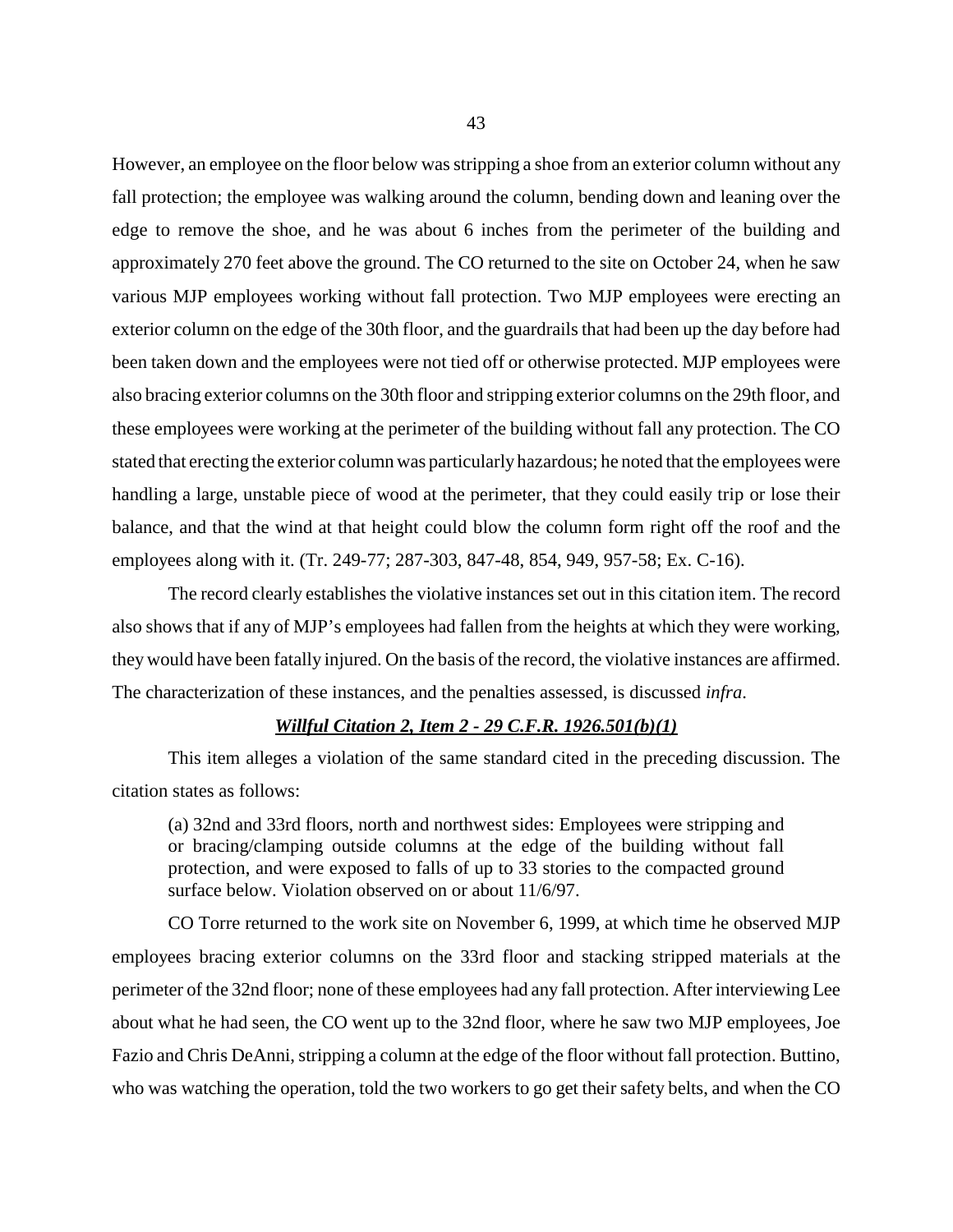However, an employee on the floor below was stripping a shoe from an exterior column without any fall protection; the employee was walking around the column, bending down and leaning over the edge to remove the shoe, and he was about 6 inches from the perimeter of the building and approximately 270 feet above the ground. The CO returned to the site on October 24, when he saw various MJP employees working without fall protection. Two MJP employees were erecting an exterior column on the edge of the 30th floor, and the guardrails that had been up the day before had been taken down and the employees were not tied off or otherwise protected. MJP employees were also bracing exterior columns on the 30th floor and stripping exterior columns on the 29th floor, and these employees were working at the perimeter of the building without fall any protection. The CO stated that erecting the exterior column was particularly hazardous; he noted that the employees were handling a large, unstable piece of wood at the perimeter, that they could easily trip or lose their balance, and that the wind at that height could blow the column form right off the roof and the employees along with it. (Tr. 249-77; 287-303, 847-48, 854, 949, 957-58; Ex. C-16).

The record clearly establishes the violative instances set out in this citation item. The record also shows that if any of MJP's employees had fallen from the heights at which they were working, they would have been fatally injured. On the basis of the record, the violative instances are affirmed. The characterization of these instances, and the penalties assessed, is discussed *infra*.

## *Willful Citation 2, Item 2 - 29 C.F.R. 1926.501(b)(1)*

This item alleges a violation of the same standard cited in the preceding discussion. The citation states as follows:

(a) 32nd and 33rd floors, north and northwest sides: Employees were stripping and or bracing/clamping outside columns at the edge of the building without fall protection, and were exposed to falls of up to 33 stories to the compacted ground surface below. Violation observed on or about 11/6/97.

CO Torre returned to the work site on November 6, 1999, at which time he observed MJP employees bracing exterior columns on the 33rd floor and stacking stripped materials at the perimeter of the 32nd floor; none of these employees had any fall protection. After interviewing Lee about what he had seen, the CO went up to the 32nd floor, where he saw two MJP employees, Joe Fazio and Chris DeAnni, stripping a column at the edge of the floor without fall protection. Buttino, who was watching the operation, told the two workers to go get their safety belts, and when the CO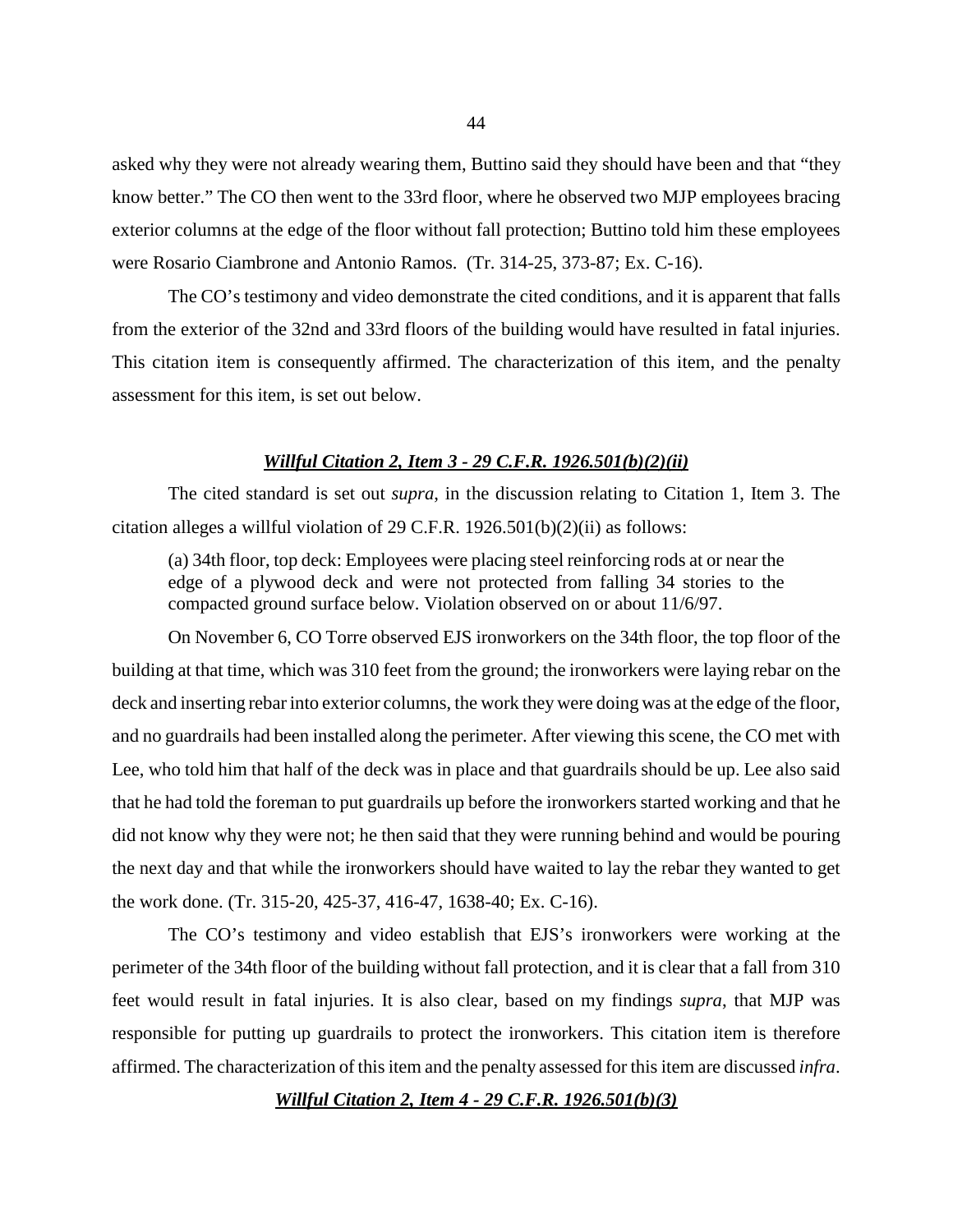asked why they were not already wearing them, Buttino said they should have been and that "they know better." The CO then went to the 33rd floor, where he observed two MJP employees bracing exterior columns at the edge of the floor without fall protection; Buttino told him these employees were Rosario Ciambrone and Antonio Ramos. (Tr. 314-25, 373-87; Ex. C-16).

The CO's testimony and video demonstrate the cited conditions, and it is apparent that falls from the exterior of the 32nd and 33rd floors of the building would have resulted in fatal injuries. This citation item is consequently affirmed. The characterization of this item, and the penalty assessment for this item, is set out below.

## *Willful Citation 2, Item 3 - 29 C.F.R. 1926.501(b)(2)(ii)*

The cited standard is set out *supra*, in the discussion relating to Citation 1, Item 3. The citation alleges a willful violation of 29 C.F.R. 1926.501(b)(2)(ii) as follows:

(a) 34th floor, top deck: Employees were placing steel reinforcing rods at or near the edge of a plywood deck and were not protected from falling 34 stories to the compacted ground surface below. Violation observed on or about 11/6/97.

On November 6, CO Torre observed EJS ironworkers on the 34th floor, the top floor of the building at that time, which was 310 feet from the ground; the ironworkers were laying rebar on the deck and inserting rebar into exterior columns, the work they were doing was at the edge of the floor, and no guardrails had been installed along the perimeter. After viewing this scene, the CO met with Lee, who told him that half of the deck was in place and that guardrails should be up. Lee also said that he had told the foreman to put guardrails up before the ironworkers started working and that he did not know why they were not; he then said that they were running behind and would be pouring the next day and that while the ironworkers should have waited to lay the rebar they wanted to get the work done. (Tr. 315-20, 425-37, 416-47, 1638-40; Ex. C-16).

The CO's testimony and video establish that EJS's ironworkers were working at the perimeter of the 34th floor of the building without fall protection, and it is clear that a fall from 310 feet would result in fatal injuries. It is also clear, based on my findings *supra*, that MJP was responsible for putting up guardrails to protect the ironworkers. This citation item is therefore affirmed. The characterization of this item and the penalty assessed for this item are discussed *infra*.

*Willful Citation 2, Item 4 - 29 C.F.R. 1926.501(b)(3)*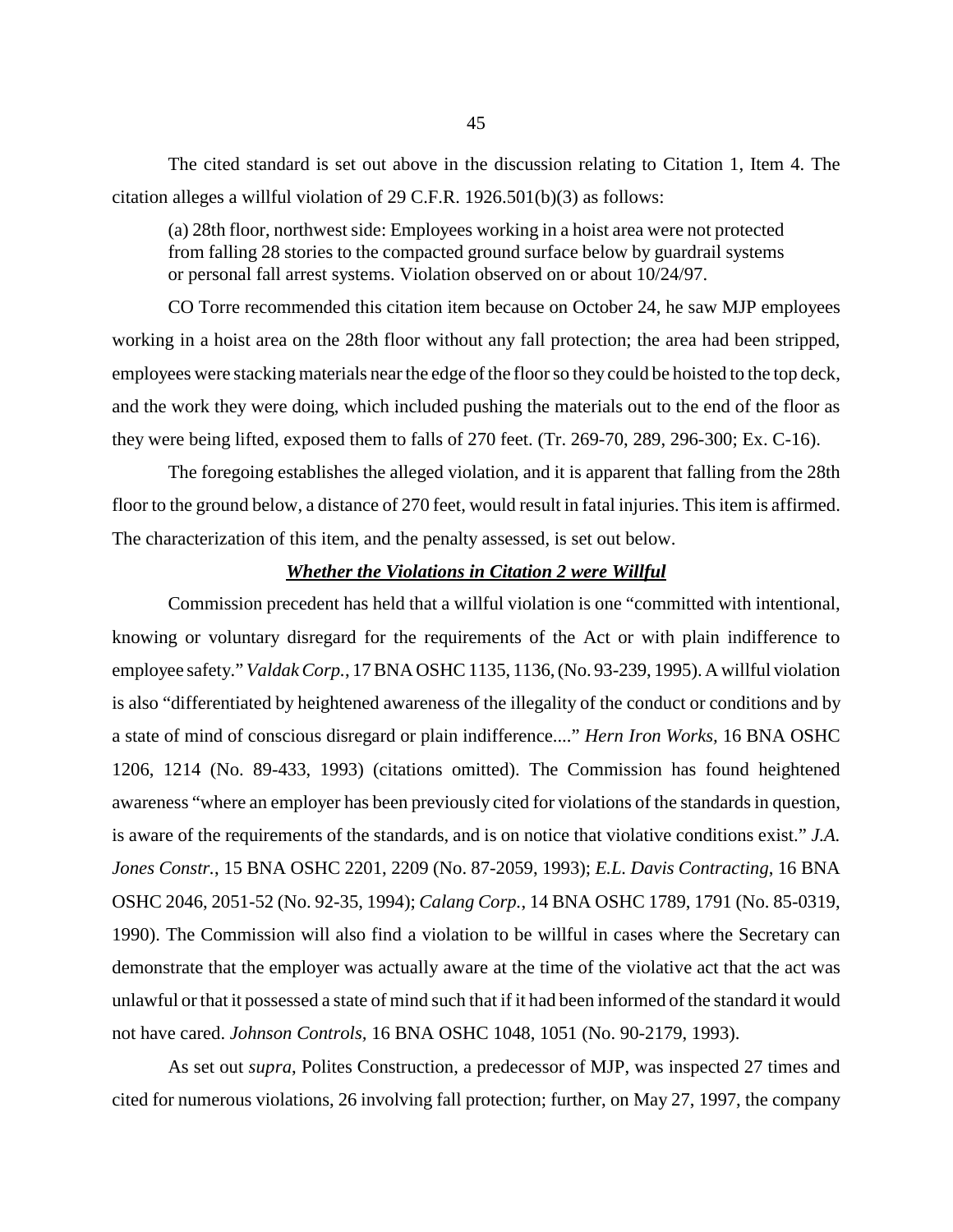The cited standard is set out above in the discussion relating to Citation 1, Item 4. The citation alleges a willful violation of 29 C.F.R. 1926.501(b)(3) as follows:

(a) 28th floor, northwest side: Employees working in a hoist area were not protected from falling 28 stories to the compacted ground surface below by guardrail systems or personal fall arrest systems. Violation observed on or about 10/24/97.

CO Torre recommended this citation item because on October 24, he saw MJP employees working in a hoist area on the 28th floor without any fall protection; the area had been stripped, employees were stacking materials near the edge of the floor so they could be hoisted to the top deck, and the work they were doing, which included pushing the materials out to the end of the floor as they were being lifted, exposed them to falls of 270 feet. (Tr. 269-70, 289, 296-300; Ex. C-16).

The foregoing establishes the alleged violation, and it is apparent that falling from the 28th floor to the ground below, a distance of 270 feet, would result in fatal injuries. This item is affirmed. The characterization of this item, and the penalty assessed, is set out below.

#### *Whether the Violations in Citation 2 were Willful*

Commission precedent has held that a willful violation is one "committed with intentional, knowing or voluntary disregard for the requirements of the Act or with plain indifference to employee safety." *Valdak Corp.*, 17 BNA OSHC 1135, 1136, (No. 93-239, 1995). A willful violation is also "differentiated by heightened awareness of the illegality of the conduct or conditions and by a state of mind of conscious disregard or plain indifference...." *Hern Iron Works,* 16 BNA OSHC 1206, 1214 (No. 89-433, 1993) (citations omitted). The Commission has found heightened awareness "where an employer has been previously cited for violations of the standards in question, is aware of the requirements of the standards, and is on notice that violative conditions exist." *J.A. Jones Constr.*, 15 BNA OSHC 2201, 2209 (No. 87-2059, 1993); *E.L. Davis Contracting*, 16 BNA OSHC 2046, 2051-52 (No. 92-35, 1994); *Calang Corp.*, 14 BNA OSHC 1789, 1791 (No. 85-0319, 1990). The Commission will also find a violation to be willful in cases where the Secretary can demonstrate that the employer was actually aware at the time of the violative act that the act was unlawful or that it possessed a state of mind such that if it had been informed of the standard it would not have cared. *Johnson Controls,* 16 BNA OSHC 1048, 1051 (No. 90-2179, 1993).

As set out *supra*, Polites Construction, a predecessor of MJP, was inspected 27 times and cited for numerous violations, 26 involving fall protection; further, on May 27, 1997, the company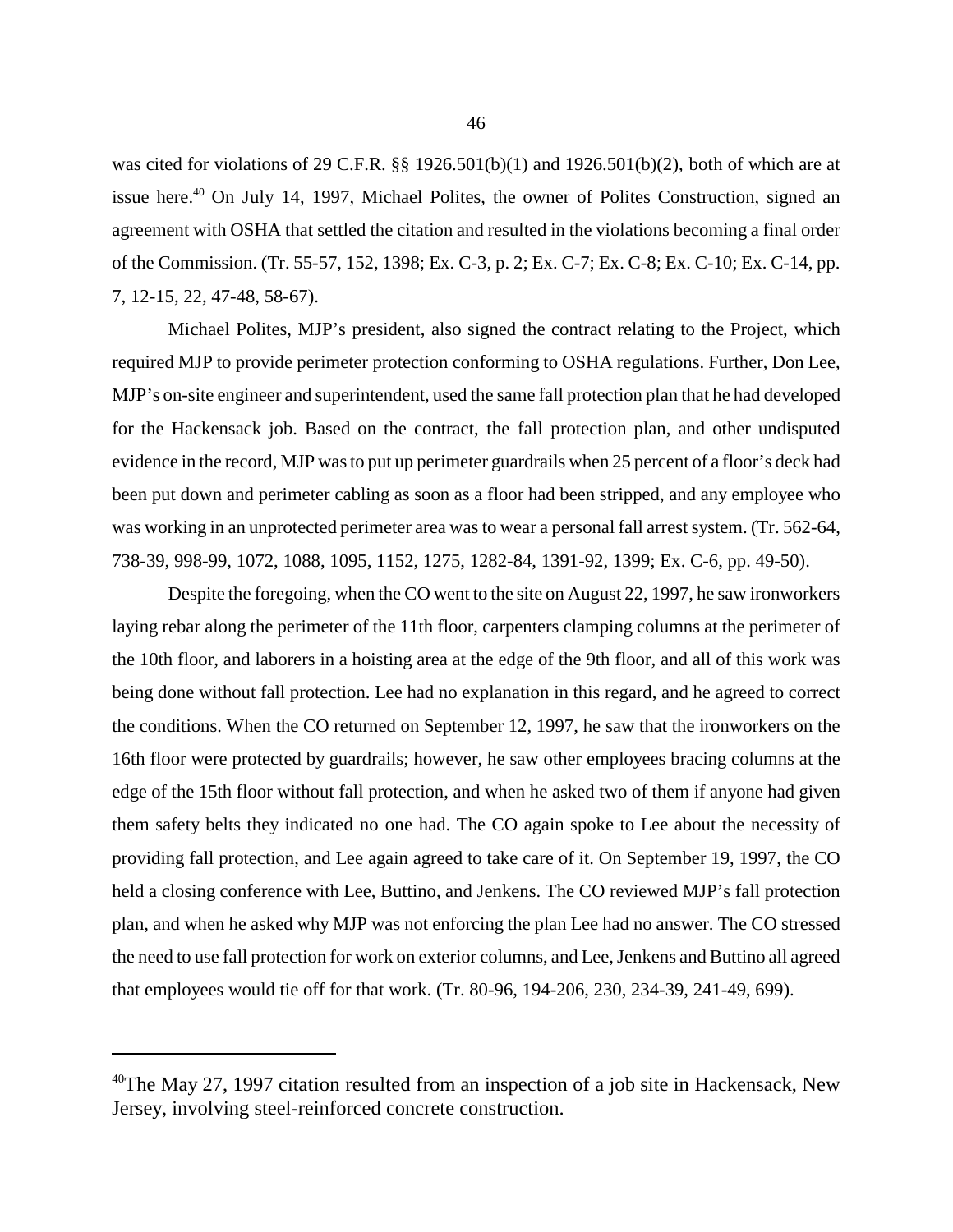was cited for violations of 29 C.F.R. §§ 1926.501(b)(1) and 1926.501(b)(2), both of which are at issue here.<sup>40</sup> On July 14, 1997, Michael Polites, the owner of Polites Construction, signed an agreement with OSHA that settled the citation and resulted in the violations becoming a final order of the Commission. (Tr. 55-57, 152, 1398; Ex. C-3, p. 2; Ex. C-7; Ex. C-8; Ex. C-10; Ex. C-14, pp. 7, 12-15, 22, 47-48, 58-67).

Michael Polites, MJP's president, also signed the contract relating to the Project, which required MJP to provide perimeter protection conforming to OSHA regulations. Further, Don Lee, MJP's on-site engineer and superintendent, used the same fall protection plan that he had developed for the Hackensack job. Based on the contract, the fall protection plan, and other undisputed evidence in the record, MJP was to put up perimeter guardrails when 25 percent of a floor's deck had been put down and perimeter cabling as soon as a floor had been stripped, and any employee who was working in an unprotected perimeter area was to wear a personal fall arrest system. (Tr. 562-64, 738-39, 998-99, 1072, 1088, 1095, 1152, 1275, 1282-84, 1391-92, 1399; Ex. C-6, pp. 49-50).

Despite the foregoing, when the CO went to the site on August 22, 1997, he saw ironworkers laying rebar along the perimeter of the 11th floor, carpenters clamping columns at the perimeter of the 10th floor, and laborers in a hoisting area at the edge of the 9th floor, and all of this work was being done without fall protection. Lee had no explanation in this regard, and he agreed to correct the conditions. When the CO returned on September 12, 1997, he saw that the ironworkers on the 16th floor were protected by guardrails; however, he saw other employees bracing columns at the edge of the 15th floor without fall protection, and when he asked two of them if anyone had given them safety belts they indicated no one had. The CO again spoke to Lee about the necessity of providing fall protection, and Lee again agreed to take care of it. On September 19, 1997, the CO held a closing conference with Lee, Buttino, and Jenkens. The CO reviewed MJP's fall protection plan, and when he asked why MJP was not enforcing the plan Lee had no answer. The CO stressed the need to use fall protection for work on exterior columns, and Lee, Jenkens and Buttino all agreed that employees would tie off for that work. (Tr. 80-96, 194-206, 230, 234-39, 241-49, 699).

 $40$ The May 27, 1997 citation resulted from an inspection of a job site in Hackensack, New Jersey, involving steel-reinforced concrete construction.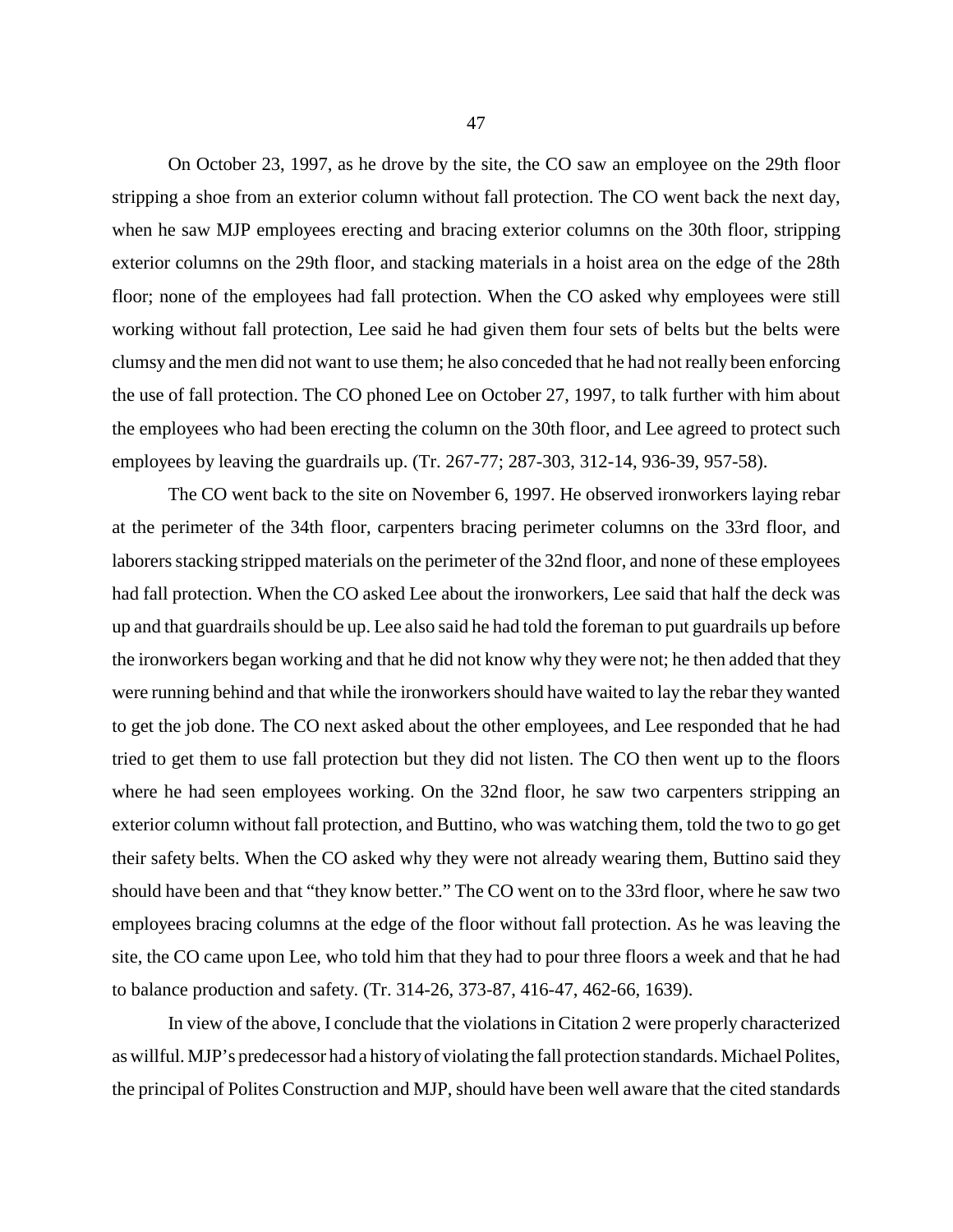On October 23, 1997, as he drove by the site, the CO saw an employee on the 29th floor stripping a shoe from an exterior column without fall protection. The CO went back the next day, when he saw MJP employees erecting and bracing exterior columns on the 30th floor, stripping exterior columns on the 29th floor, and stacking materials in a hoist area on the edge of the 28th floor; none of the employees had fall protection. When the CO asked why employees were still working without fall protection, Lee said he had given them four sets of belts but the belts were clumsy and the men did not want to use them; he also conceded that he had not really been enforcing the use of fall protection. The CO phoned Lee on October 27, 1997, to talk further with him about the employees who had been erecting the column on the 30th floor, and Lee agreed to protect such employees by leaving the guardrails up. (Tr. 267-77; 287-303, 312-14, 936-39, 957-58).

The CO went back to the site on November 6, 1997. He observed ironworkers laying rebar at the perimeter of the 34th floor, carpenters bracing perimeter columns on the 33rd floor, and laborers stacking stripped materials on the perimeter of the 32nd floor, and none of these employees had fall protection. When the CO asked Lee about the ironworkers, Lee said that half the deck was up and that guardrails should be up. Lee also said he had told the foreman to put guardrails up before the ironworkers began working and that he did not know why they were not; he then added that they were running behind and that while the ironworkers should have waited to lay the rebar they wanted to get the job done. The CO next asked about the other employees, and Lee responded that he had tried to get them to use fall protection but they did not listen. The CO then went up to the floors where he had seen employees working. On the 32nd floor, he saw two carpenters stripping an exterior column without fall protection, and Buttino, who was watching them, told the two to go get their safety belts. When the CO asked why they were not already wearing them, Buttino said they should have been and that "they know better." The CO went on to the 33rd floor, where he saw two employees bracing columns at the edge of the floor without fall protection. As he was leaving the site, the CO came upon Lee, who told him that they had to pour three floors a week and that he had to balance production and safety. (Tr. 314-26, 373-87, 416-47, 462-66, 1639).

In view of the above, I conclude that the violations in Citation 2 were properly characterized as willful. MJP's predecessor had a history of violating the fall protection standards. Michael Polites, the principal of Polites Construction and MJP, should have been well aware that the cited standards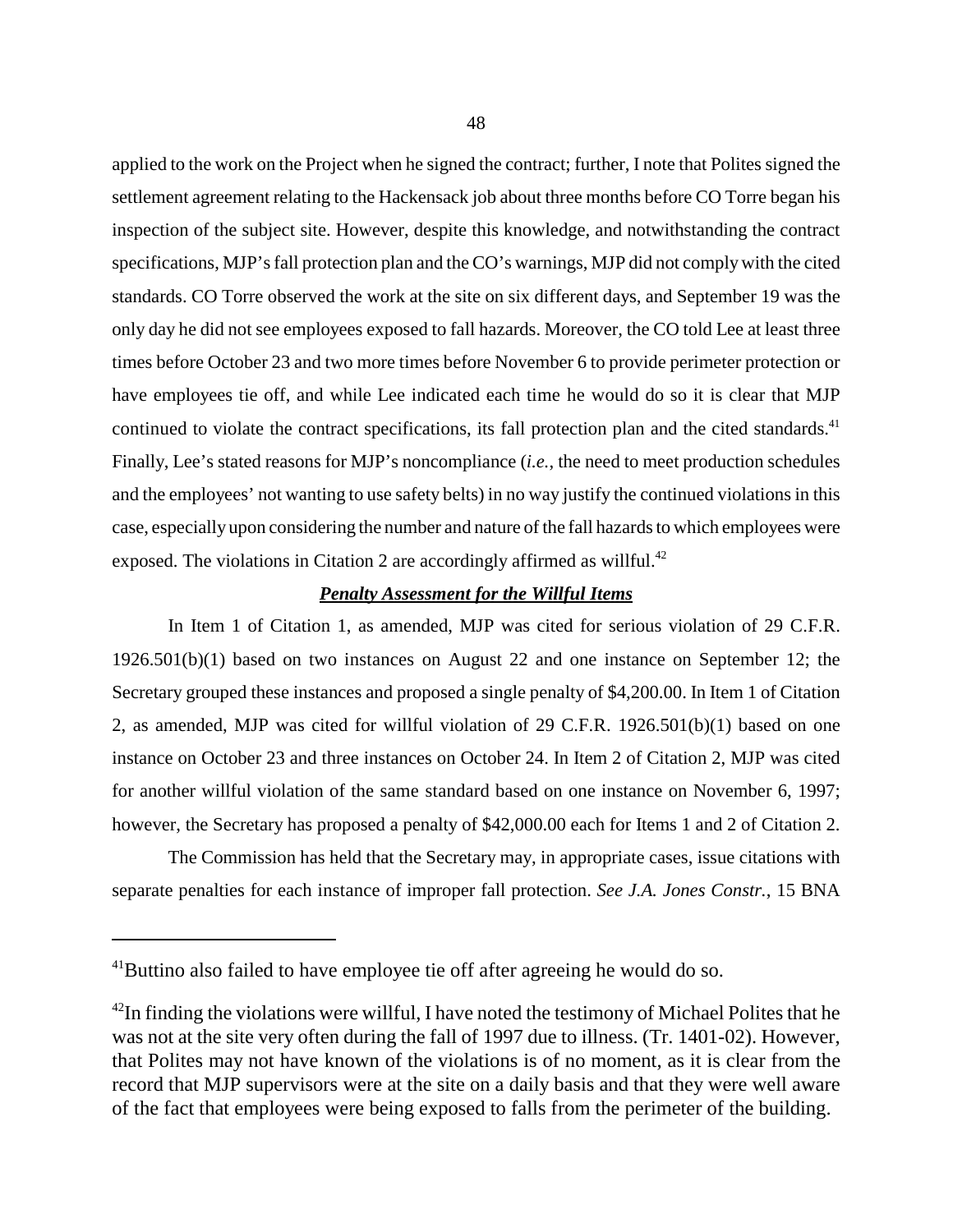applied to the work on the Project when he signed the contract; further, I note that Polites signed the settlement agreement relating to the Hackensack job about three months before CO Torre began his inspection of the subject site. However, despite this knowledge, and notwithstanding the contract specifications, MJP's fall protection plan and the CO's warnings, MJP did not comply with the cited standards. CO Torre observed the work at the site on six different days, and September 19 was the only day he did not see employees exposed to fall hazards. Moreover, the CO told Lee at least three times before October 23 and two more times before November 6 to provide perimeter protection or have employees tie off, and while Lee indicated each time he would do so it is clear that MJP continued to violate the contract specifications, its fall protection plan and the cited standards.<sup>41</sup> Finally, Lee's stated reasons for MJP's noncompliance (*i.e.*, the need to meet production schedules and the employees' not wanting to use safety belts) in no way justify the continued violations in this case, especially upon considering the number and nature of the fall hazards to which employees were exposed. The violations in Citation 2 are accordingly affirmed as willful.<sup>42</sup>

## *Penalty Assessment for the Willful Items*

In Item 1 of Citation 1, as amended, MJP was cited for serious violation of 29 C.F.R. 1926.501(b)(1) based on two instances on August 22 and one instance on September 12; the Secretary grouped these instances and proposed a single penalty of \$4,200.00. In Item 1 of Citation 2, as amended, MJP was cited for willful violation of 29 C.F.R. 1926.501(b)(1) based on one instance on October 23 and three instances on October 24. In Item 2 of Citation 2, MJP was cited for another willful violation of the same standard based on one instance on November 6, 1997; however, the Secretary has proposed a penalty of \$42,000.00 each for Items 1 and 2 of Citation 2.

The Commission has held that the Secretary may, in appropriate cases, issue citations with separate penalties for each instance of improper fall protection. *See J.A. Jones Constr.*, 15 BNA

<sup>&</sup>lt;sup>41</sup>Buttino also failed to have employee tie off after agreeing he would do so.

 $42$ In finding the violations were willful, I have noted the testimony of Michael Polites that he was not at the site very often during the fall of 1997 due to illness. (Tr. 1401-02). However, that Polites may not have known of the violations is of no moment, as it is clear from the record that MJP supervisors were at the site on a daily basis and that they were well aware of the fact that employees were being exposed to falls from the perimeter of the building.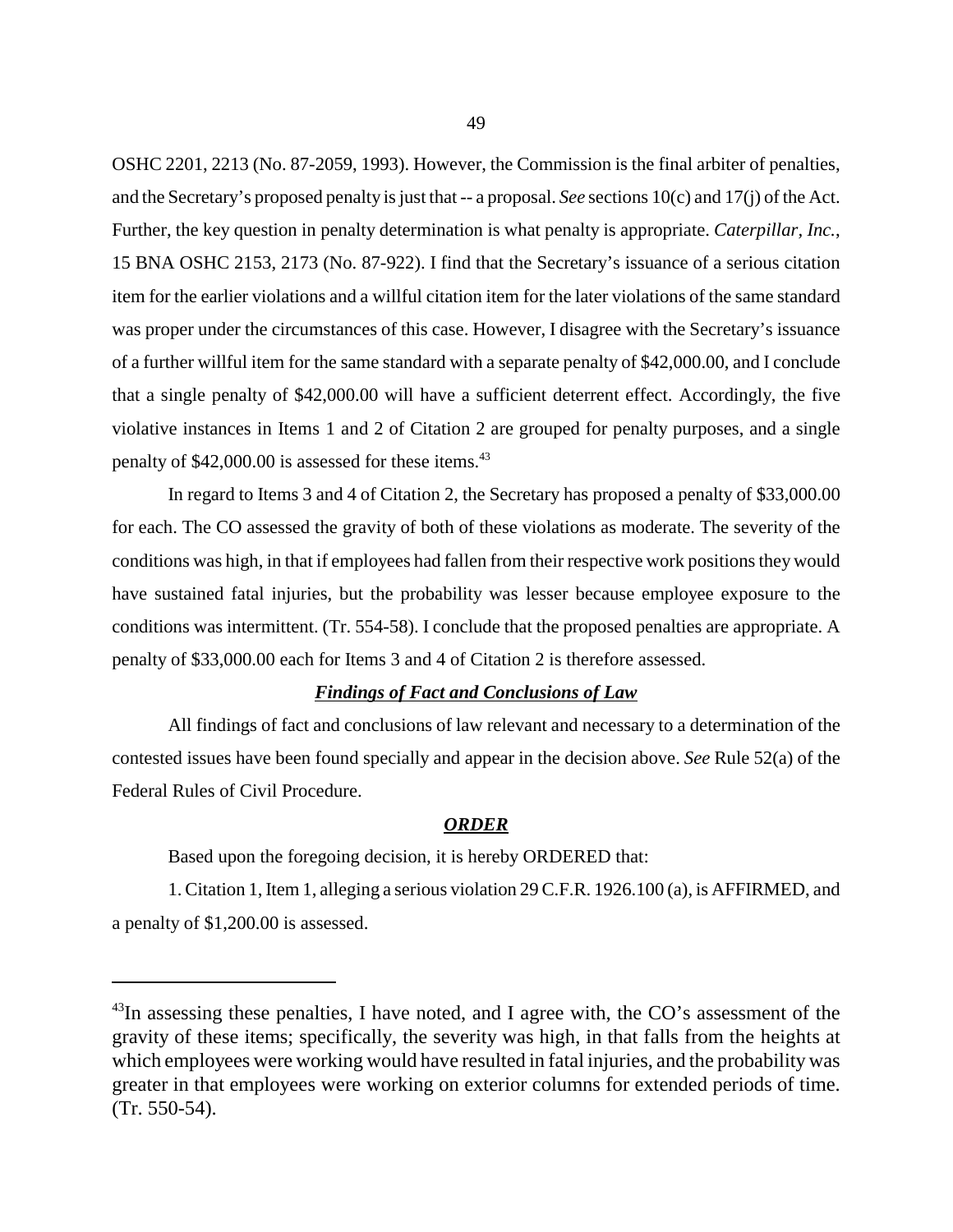OSHC 2201, 2213 (No. 87-2059, 1993). However, the Commission is the final arbiter of penalties, and the Secretary's proposed penalty is just that -- a proposal. *See* sections 10(c) and 17(j) of the Act. Further, the key question in penalty determination is what penalty is appropriate. *Caterpillar, Inc.*, 15 BNA OSHC 2153, 2173 (No. 87-922). I find that the Secretary's issuance of a serious citation item for the earlier violations and a willful citation item for the later violations of the same standard was proper under the circumstances of this case. However, I disagree with the Secretary's issuance of a further willful item for the same standard with a separate penalty of \$42,000.00, and I conclude that a single penalty of \$42,000.00 will have a sufficient deterrent effect. Accordingly, the five violative instances in Items 1 and 2 of Citation 2 are grouped for penalty purposes, and a single penalty of \$42,000.00 is assessed for these items.<sup>43</sup>

In regard to Items 3 and 4 of Citation 2, the Secretary has proposed a penalty of \$33,000.00 for each. The CO assessed the gravity of both of these violations as moderate. The severity of the conditions was high, in that if employees had fallen from their respective work positions they would have sustained fatal injuries, but the probability was lesser because employee exposure to the conditions was intermittent. (Tr. 554-58). I conclude that the proposed penalties are appropriate. A penalty of \$33,000.00 each for Items 3 and 4 of Citation 2 is therefore assessed.

### *Findings of Fact and Conclusions of Law*

All findings of fact and conclusions of law relevant and necessary to a determination of the contested issues have been found specially and appear in the decision above. *See* Rule 52(a) of the Federal Rules of Civil Procedure.

#### *ORDER*

Based upon the foregoing decision, it is hereby ORDERED that:

1. Citation 1, Item 1, alleging a serious violation 29 C.F.R. 1926.100 (a), is AFFIRMED, and a penalty of \$1,200.00 is assessed.

 $^{43}$ In assessing these penalties, I have noted, and I agree with, the CO's assessment of the gravity of these items; specifically, the severity was high, in that falls from the heights at which employees were working would have resulted in fatal injuries, and the probability was greater in that employees were working on exterior columns for extended periods of time. (Tr. 550-54).